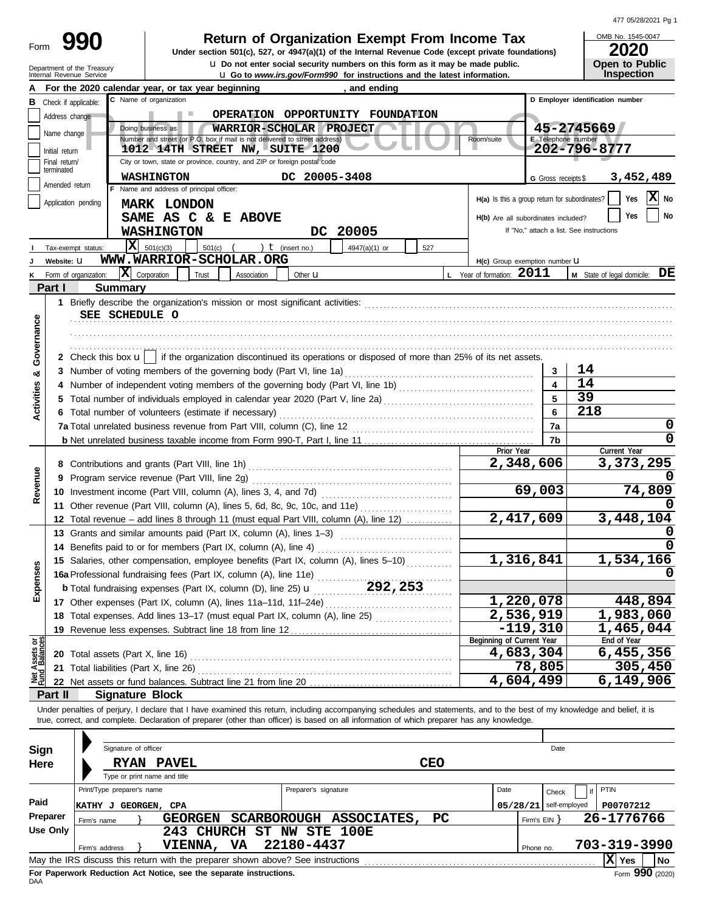| 477 05/28/2021 Pg 1 |  |
|---------------------|--|

| 990                        | <b>Return of Organization Exempt From Income Tax</b>                                               | OMB No. 1545-0047     |
|----------------------------|----------------------------------------------------------------------------------------------------|-----------------------|
| Form                       | Under section 501(c), 527, or 4947(a)(1) of the Internal Revenue Code (except private foundations) | 2020                  |
| Department of the Treasury | La Do not enter social security numbers on this form as it may be made public.                     | <b>Open to Public</b> |
| Internal Revenue Service   | <b>LI Go to</b> www.irs.gov/Form990 for instructions and the latest information.                   | <b>Inspection</b>     |

OMB No. 1545-0047 **Inspection**

|                                |                                                | For the 2020 calendar year, or tax year beginning                                                                                                                          |                      | a so to <i>www.as.govn</i> onnove for modelong and the latest imormation<br>, and ending |            |                                               |                              |                                          |
|--------------------------------|------------------------------------------------|----------------------------------------------------------------------------------------------------------------------------------------------------------------------------|----------------------|------------------------------------------------------------------------------------------|------------|-----------------------------------------------|------------------------------|------------------------------------------|
| в                              | Check if applicable:                           | C Name of organization                                                                                                                                                     |                      |                                                                                          |            |                                               |                              | D Employer identification number         |
|                                | Address change                                 |                                                                                                                                                                            |                      | OPERATION OPPORTUNITY FOUNDATION                                                         |            |                                               |                              |                                          |
|                                | Name change                                    | Doing business as<br>WARRIOR-SCHOLAR PROJECT                                                                                                                               |                      |                                                                                          |            |                                               |                              | 45-2745669                               |
|                                |                                                | Number and street (or P.O. box if mail is not delivered to street address)                                                                                                 |                      |                                                                                          |            | Room/suite                                    | E Telephone number           |                                          |
|                                | Initial return                                 | 1012 14TH STREET NW, SUITE 1200                                                                                                                                            |                      |                                                                                          |            |                                               |                              | 202-796-8777                             |
|                                | Final return/<br>terminated                    | City or town, state or province, country, and ZIP or foreign postal code                                                                                                   |                      |                                                                                          |            |                                               |                              |                                          |
|                                | Amended return                                 | <b>WASHINGTON</b>                                                                                                                                                          | DC 20005-3408        |                                                                                          |            |                                               | G Gross receipts \$          | 3,452,489                                |
|                                |                                                | F Name and address of principal officer:                                                                                                                                   |                      |                                                                                          |            | H(a) Is this a group return for subordinates? |                              | $ \mathbf{X} $ No<br>Yes                 |
|                                | Application pending                            | <b>MARK LONDON</b>                                                                                                                                                         |                      |                                                                                          |            |                                               |                              |                                          |
|                                |                                                | SAME AS C & E ABOVE                                                                                                                                                        |                      |                                                                                          |            | H(b) Are all subordinates included?           |                              | No<br>Yes                                |
|                                |                                                | <b>WASHINGTON</b>                                                                                                                                                          |                      | DC 20005                                                                                 |            |                                               |                              | If "No," attach a list. See instructions |
|                                | Tax-exempt status:                             | $X = 501(c)(3)$<br>501(c)                                                                                                                                                  | ) $t$ (insert no.)   | 4947(a)(1) or                                                                            | 527        |                                               |                              |                                          |
|                                | Website: U                                     | WWW.WARRIOR-SCHOLAR.ORG                                                                                                                                                    |                      |                                                                                          |            | H(c) Group exemption number U                 |                              |                                          |
|                                | Form of organization:                          | $ \mathbf{X} $ Corporation<br>Trust<br>Association                                                                                                                         | Other <b>u</b>       |                                                                                          |            | L Year of formation: 2011                     |                              | <b>M</b> State of legal domicile: $DE$   |
|                                | Part I                                         | <b>Summary</b>                                                                                                                                                             |                      |                                                                                          |            |                                               |                              |                                          |
|                                |                                                |                                                                                                                                                                            |                      |                                                                                          |            |                                               |                              |                                          |
|                                |                                                | SEE SCHEDULE O                                                                                                                                                             |                      |                                                                                          |            |                                               |                              |                                          |
| Governance                     |                                                |                                                                                                                                                                            |                      |                                                                                          |            |                                               |                              |                                          |
|                                |                                                |                                                                                                                                                                            |                      |                                                                                          |            |                                               |                              |                                          |
|                                |                                                | 2 Check this box $\mathbf{u}$   if the organization discontinued its operations or disposed of more than 25% of its net assets.                                            |                      |                                                                                          |            |                                               |                              |                                          |
|                                |                                                |                                                                                                                                                                            |                      |                                                                                          |            |                                               |                              | 14                                       |
| య                              |                                                | 3 Number of voting members of the governing body (Part VI, line 1a)                                                                                                        |                      |                                                                                          |            |                                               | 3<br>$\overline{\mathbf{A}}$ | 14                                       |
| Activities                     |                                                |                                                                                                                                                                            |                      |                                                                                          |            |                                               |                              | 39                                       |
|                                |                                                | 5 Total number of individuals employed in calendar year 2020 (Part V, line 2a) [11] [20] [1] [20] [1] [20] [20                                                             |                      |                                                                                          |            |                                               | 5                            |                                          |
|                                |                                                | 6 Total number of volunteers (estimate if necessary)                                                                                                                       |                      |                                                                                          |            |                                               | 6                            | 218                                      |
|                                |                                                |                                                                                                                                                                            |                      |                                                                                          |            |                                               | 7a                           | U                                        |
|                                |                                                |                                                                                                                                                                            |                      |                                                                                          |            |                                               | 7b                           |                                          |
|                                |                                                |                                                                                                                                                                            |                      |                                                                                          |            | Prior Year<br>2,348,606                       |                              | Current Year                             |
|                                |                                                |                                                                                                                                                                            |                      |                                                                                          |            |                                               |                              | 3,373,295                                |
| Revenue                        | 9 Program service revenue (Part VIII, line 2g) |                                                                                                                                                                            |                      |                                                                                          |            |                                               |                              |                                          |
|                                |                                                |                                                                                                                                                                            |                      |                                                                                          |            |                                               | 69,003                       | 74,809                                   |
|                                |                                                | 11 Other revenue (Part VIII, column (A), lines 5, 6d, 8c, 9c, 10c, and 11e)                                                                                                |                      |                                                                                          |            |                                               |                              |                                          |
|                                |                                                | 12 Total revenue - add lines 8 through 11 (must equal Part VIII, column (A), line 12)                                                                                      |                      |                                                                                          |            | 2,417,609                                     |                              | 3,448,104                                |
|                                |                                                | 13 Grants and similar amounts paid (Part IX, column (A), lines 1-3)                                                                                                        |                      |                                                                                          |            |                                               |                              |                                          |
|                                |                                                | 14 Benefits paid to or for members (Part IX, column (A), line 4)                                                                                                           |                      |                                                                                          |            |                                               |                              |                                          |
|                                |                                                | 15 Salaries, other compensation, employee benefits (Part IX, column (A), lines 5-10)                                                                                       |                      |                                                                                          |            | 1,316,841                                     |                              | 1,534,166                                |
| penses                         |                                                | 16a Professional fundraising fees (Part IX, column (A), line 11e)                                                                                                          |                      |                                                                                          |            |                                               |                              |                                          |
|                                |                                                | <b>b</b> Total fundraising expenses (Part IX, column (D), line 25) <b>u</b>                                                                                                |                      | 292,253                                                                                  |            |                                               |                              |                                          |
| ш                              |                                                |                                                                                                                                                                            |                      |                                                                                          |            | 1,220,078                                     |                              | 448,894                                  |
|                                |                                                | 18 Total expenses. Add lines 13-17 (must equal Part IX, column (A), line 25) [                                                                                             |                      |                                                                                          |            | 2,536,919                                     |                              | 1,983,060                                |
|                                |                                                | 19 Revenue less expenses. Subtract line 18 from line 12                                                                                                                    |                      |                                                                                          |            |                                               | $-119,310$                   | 1,465,044                                |
|                                |                                                |                                                                                                                                                                            |                      |                                                                                          |            | Beginning of Current Year                     |                              | End of Year                              |
| Net Assets or<br>Fund Balances |                                                | 20 Total assets (Part X, line 16)                                                                                                                                          |                      |                                                                                          |            | 4,683,304                                     |                              | 6,455,356                                |
|                                |                                                | 21 Total liabilities (Part X, line 26)                                                                                                                                     |                      |                                                                                          |            |                                               | 78,805                       | 305,450                                  |
|                                |                                                | 22 Net assets or fund balances. Subtract line 21 from line 20                                                                                                              |                      |                                                                                          |            | 4,604,499                                     |                              | 6,149,906                                |
|                                | Part II                                        | <b>Signature Block</b>                                                                                                                                                     |                      |                                                                                          |            |                                               |                              |                                          |
|                                |                                                | Under penalties of perjury, I declare that I have examined this return, including accompanying schedules and statements, and to the best of my knowledge and belief, it is |                      |                                                                                          |            |                                               |                              |                                          |
|                                |                                                | true, correct, and complete. Declaration of preparer (other than officer) is based on all information of which preparer has any knowledge.                                 |                      |                                                                                          |            |                                               |                              |                                          |
|                                |                                                |                                                                                                                                                                            |                      |                                                                                          |            |                                               |                              |                                          |
| <b>Sign</b>                    |                                                | Signature of officer                                                                                                                                                       |                      |                                                                                          |            |                                               | Date                         |                                          |
| Here                           |                                                | <b>RYAN PAVEL</b>                                                                                                                                                          |                      |                                                                                          | <b>CEO</b> |                                               |                              |                                          |
|                                |                                                | Type or print name and title                                                                                                                                               |                      |                                                                                          |            |                                               |                              |                                          |
|                                |                                                | Print/Type preparer's name                                                                                                                                                 | Preparer's signature |                                                                                          |            | Date                                          | Check                        | PTIN<br>if                               |
| Paid                           |                                                | <b>KATHY J GEORGEN, CPA</b>                                                                                                                                                |                      |                                                                                          |            | 05/28/21                                      | self-employed                | P00707212                                |
|                                | Preparer                                       | GEORGEN SCARBOROUGH ASSOCIATES,                                                                                                                                            |                      |                                                                                          | <b>PC</b>  |                                               | Firm's $EIN$ }               | 26-1776766                               |
|                                | Firm's name<br><b>Use Only</b>                 | 243 CHURCH ST NW STE 100E                                                                                                                                                  |                      |                                                                                          |            |                                               |                              |                                          |
|                                |                                                | VIENNA, VA                                                                                                                                                                 | 22180-4437           |                                                                                          |            |                                               |                              | 703-319-3990                             |
|                                | Firm's address                                 | May the IRS discuss this return with the preparer shown above? See instructions                                                                                            |                      |                                                                                          |            |                                               | Phone no.                    | $ \mathbf{X} $ Yes<br>No                 |
|                                |                                                |                                                                                                                                                                            |                      |                                                                                          |            |                                               |                              |                                          |

| Sign     | Signature of officer                                                            |                                        |                                 |     |                          | Date       |                       |
|----------|---------------------------------------------------------------------------------|----------------------------------------|---------------------------------|-----|--------------------------|------------|-----------------------|
| Here     | <b>PAVEL</b><br><b>RYAN</b>                                                     |                                        |                                 | CEO |                          |            |                       |
|          | Type or print name and title<br>Print/Type preparer's name                      |                                        | Preparer's signature            |     | Date                     | Check      | PTIN                  |
| Paid     | GEORGEN, CPA<br> KATHY J                                                        |                                        |                                 |     | $05/28/21$ self-employed | P00707212  |                       |
| Preparer | GEORGEN<br>Firm's name                                                          | <b>SCARBOROUGH</b>                     | <b>ASSOCIATES,</b><br><b>PC</b> |     |                          | Firm's EIN | 26-1776766            |
| Use Only | 243<br><b>VIENNA,</b><br>Firm's address                                         | NW<br>CHURCH<br>ST<br>22180-4437<br>VA | STE 100E                        |     | Phone no.                |            | 703-319-3990          |
|          | May the IRS discuss this return with the preparer shown above? See instructions |                                        |                                 |     |                          |            | X<br><b>No</b><br>Yes |
|          | For Paperwork Reduction Act Notice, see the separate instructions.              |                                        |                                 |     |                          |            | $Form$ 990 (2020)     |

For Paperwork Reduction Act Notice, see the separate instructions.<br>DAA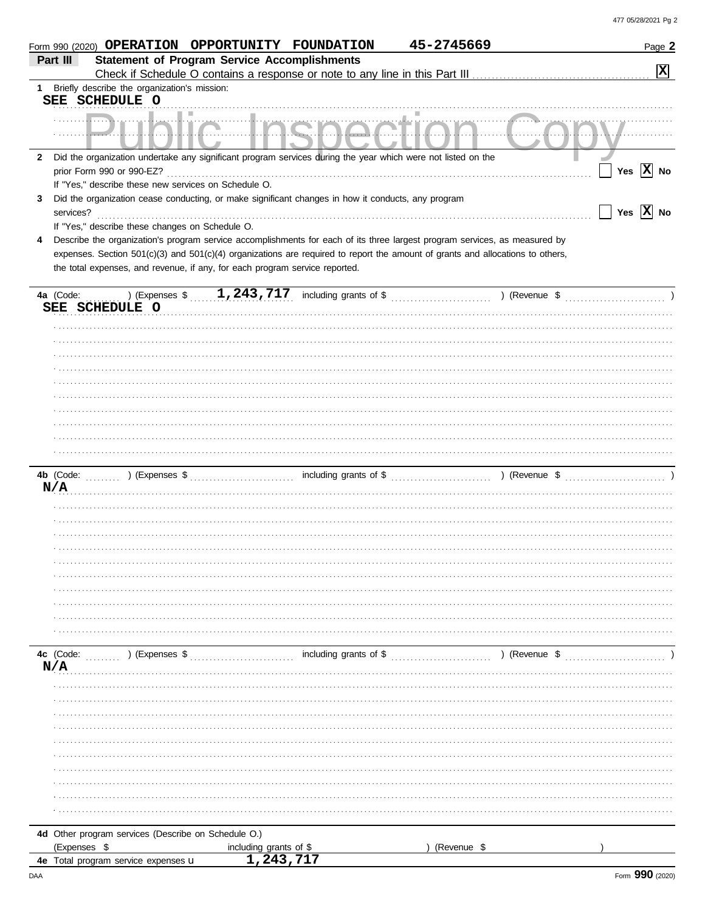|              | Form 990 (2020) OPERATION OPPORTUNITY FOUNDATION                                                                                                                                                              |                                       |                                                                                                                           | 45-2745669  | Page 2                      |
|--------------|---------------------------------------------------------------------------------------------------------------------------------------------------------------------------------------------------------------|---------------------------------------|---------------------------------------------------------------------------------------------------------------------------|-------------|-----------------------------|
|              | <b>Statement of Program Service Accomplishments</b><br>Part III                                                                                                                                               |                                       |                                                                                                                           |             |                             |
|              |                                                                                                                                                                                                               |                                       |                                                                                                                           |             | $\boxed{\mathbf{x}}$        |
| 1.           | Briefly describe the organization's mission:                                                                                                                                                                  |                                       |                                                                                                                           |             |                             |
|              | SEE SCHEDULE O                                                                                                                                                                                                |                                       |                                                                                                                           |             |                             |
|              |                                                                                                                                                                                                               |                                       |                                                                                                                           |             |                             |
|              |                                                                                                                                                                                                               |                                       |                                                                                                                           |             |                             |
| $\mathbf{2}$ | Did the organization undertake any significant program services during the year which were not listed on the                                                                                                  |                                       |                                                                                                                           |             |                             |
|              | prior Form 990 or 990-EZ?                                                                                                                                                                                     |                                       |                                                                                                                           |             | Yes $\overline{X}$ No       |
|              | If "Yes," describe these new services on Schedule O.                                                                                                                                                          |                                       |                                                                                                                           |             |                             |
| 3            | Did the organization cease conducting, or make significant changes in how it conducts, any program                                                                                                            |                                       |                                                                                                                           |             |                             |
|              | services?                                                                                                                                                                                                     |                                       |                                                                                                                           |             | $\sqrt{}$ Yes $\sqrt{X}$ No |
|              | If "Yes," describe these changes on Schedule O.                                                                                                                                                               |                                       |                                                                                                                           |             |                             |
| 4            | Describe the organization's program service accomplishments for each of its three largest program services, as measured by                                                                                    |                                       |                                                                                                                           |             |                             |
|              | expenses. Section 501(c)(3) and 501(c)(4) organizations are required to report the amount of grants and allocations to others,<br>the total expenses, and revenue, if any, for each program service reported. |                                       |                                                                                                                           |             |                             |
|              |                                                                                                                                                                                                               |                                       |                                                                                                                           |             |                             |
|              | 4a (Code:                                                                                                                                                                                                     |                                       |                                                                                                                           |             |                             |
|              | SEE SCHEDULE O                                                                                                                                                                                                |                                       |                                                                                                                           |             |                             |
|              |                                                                                                                                                                                                               |                                       |                                                                                                                           |             |                             |
|              |                                                                                                                                                                                                               |                                       |                                                                                                                           |             |                             |
|              |                                                                                                                                                                                                               |                                       |                                                                                                                           |             |                             |
|              |                                                                                                                                                                                                               |                                       |                                                                                                                           |             |                             |
|              |                                                                                                                                                                                                               |                                       |                                                                                                                           |             |                             |
|              |                                                                                                                                                                                                               |                                       |                                                                                                                           |             |                             |
|              |                                                                                                                                                                                                               |                                       |                                                                                                                           |             |                             |
|              |                                                                                                                                                                                                               |                                       |                                                                                                                           |             |                             |
|              |                                                                                                                                                                                                               |                                       |                                                                                                                           |             |                             |
|              |                                                                                                                                                                                                               |                                       |                                                                                                                           |             |                             |
|              |                                                                                                                                                                                                               |                                       |                                                                                                                           |             |                             |
|              | N/A                                                                                                                                                                                                           |                                       |                                                                                                                           |             |                             |
|              |                                                                                                                                                                                                               |                                       |                                                                                                                           |             |                             |
|              |                                                                                                                                                                                                               |                                       |                                                                                                                           |             |                             |
|              |                                                                                                                                                                                                               |                                       |                                                                                                                           |             |                             |
|              |                                                                                                                                                                                                               |                                       |                                                                                                                           |             |                             |
|              |                                                                                                                                                                                                               |                                       |                                                                                                                           |             |                             |
|              |                                                                                                                                                                                                               |                                       |                                                                                                                           |             |                             |
|              |                                                                                                                                                                                                               |                                       |                                                                                                                           |             |                             |
|              |                                                                                                                                                                                                               |                                       |                                                                                                                           |             |                             |
|              |                                                                                                                                                                                                               |                                       |                                                                                                                           |             |                             |
|              |                                                                                                                                                                                                               |                                       |                                                                                                                           |             |                             |
|              | 4c (Code:<br>$\ldots$ ) (Expenses \$                                                                                                                                                                          |                                       | $\ldots$ , and $\ldots$ , $\ldots$ including grants of \$ $\ldots$ , $\ldots$ , $\ldots$ , $\ldots$ , $\ldots$ , $\ldots$ |             | ) (Revenue \$               |
|              | N/A                                                                                                                                                                                                           |                                       |                                                                                                                           |             |                             |
|              |                                                                                                                                                                                                               |                                       |                                                                                                                           |             |                             |
|              |                                                                                                                                                                                                               |                                       |                                                                                                                           |             |                             |
|              |                                                                                                                                                                                                               |                                       |                                                                                                                           |             |                             |
|              |                                                                                                                                                                                                               |                                       |                                                                                                                           |             |                             |
|              |                                                                                                                                                                                                               |                                       |                                                                                                                           |             |                             |
|              |                                                                                                                                                                                                               |                                       |                                                                                                                           |             |                             |
|              |                                                                                                                                                                                                               |                                       |                                                                                                                           |             |                             |
|              |                                                                                                                                                                                                               |                                       |                                                                                                                           |             |                             |
|              |                                                                                                                                                                                                               |                                       |                                                                                                                           |             |                             |
|              |                                                                                                                                                                                                               |                                       |                                                                                                                           |             |                             |
|              |                                                                                                                                                                                                               |                                       |                                                                                                                           |             |                             |
|              | 4d Other program services (Describe on Schedule O.)                                                                                                                                                           |                                       |                                                                                                                           |             |                             |
|              | (Expenses \$<br>4e Total program service expenses u                                                                                                                                                           | including grants of \$<br>1, 243, 717 |                                                                                                                           | (Revenue \$ |                             |
|              |                                                                                                                                                                                                               |                                       |                                                                                                                           |             |                             |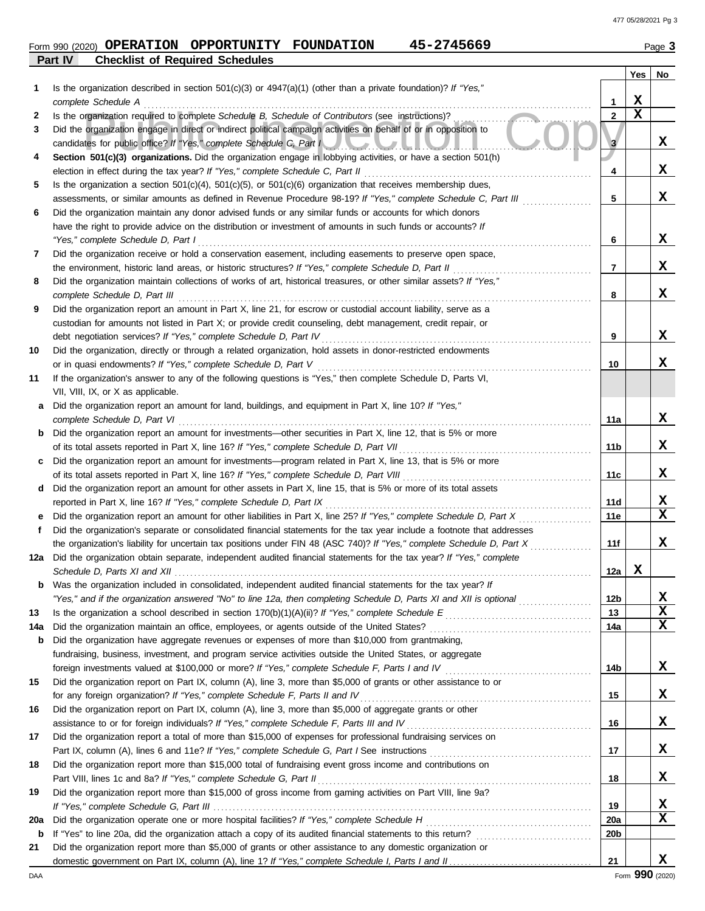# **Part IV Checklist of Required Schedules Form 990 (2020) OPERATION OPPORTUNITY FOUNDATION 45-2745669** Page 3

|     |                                                                                                                                                                                                               |                 | Yes         | No          |
|-----|---------------------------------------------------------------------------------------------------------------------------------------------------------------------------------------------------------------|-----------------|-------------|-------------|
|     | Is the organization described in section $501(c)(3)$ or $4947(a)(1)$ (other than a private foundation)? If "Yes,"                                                                                             |                 |             |             |
|     | complete Schedule A                                                                                                                                                                                           | 1               | X           |             |
| 2   | Is the organization required to complete Schedule B, Schedule of Contributors (see instructions)?                                                                                                             | $\overline{2}$  | $\mathbf x$ |             |
| 3   | Did the organization engage in direct or indirect political campaign activities on behalf of or in opposition to<br>candidates for public office? If "Yes," complete Schedule C, Part I                       | 3               |             | x           |
| 4   | Section 501(c)(3) organizations. Did the organization engage in lobbying activities, or have a section 501(h)<br>election in effect during the tax year? If "Yes," complete Schedule C, Part II               | 4               |             | x           |
| 5   | Is the organization a section $501(c)(4)$ , $501(c)(5)$ , or $501(c)(6)$ organization that receives membership dues,                                                                                          |                 |             |             |
|     | assessments, or similar amounts as defined in Revenue Procedure 98-19? If "Yes," complete Schedule C, Part III                                                                                                | 5               |             | x           |
| 6   | Did the organization maintain any donor advised funds or any similar funds or accounts for which donors                                                                                                       |                 |             |             |
|     | have the right to provide advice on the distribution or investment of amounts in such funds or accounts? If                                                                                                   |                 |             |             |
|     | "Yes," complete Schedule D, Part I                                                                                                                                                                            | 6               |             | X           |
| 7   | Did the organization receive or hold a conservation easement, including easements to preserve open space,                                                                                                     |                 |             |             |
|     | the environment, historic land areas, or historic structures? If "Yes," complete Schedule D, Part II                                                                                                          | $\overline{7}$  |             | x           |
| 8   | Did the organization maintain collections of works of art, historical treasures, or other similar assets? If "Yes,"                                                                                           |                 |             |             |
|     | complete Schedule D, Part III                                                                                                                                                                                 | 8               |             | x           |
| 9   | Did the organization report an amount in Part X, line 21, for escrow or custodial account liability, serve as a                                                                                               |                 |             |             |
|     | custodian for amounts not listed in Part X; or provide credit counseling, debt management, credit repair, or                                                                                                  |                 |             |             |
|     | debt negotiation services? If "Yes," complete Schedule D, Part IV                                                                                                                                             | 9               |             | X           |
| 10  | Did the organization, directly or through a related organization, hold assets in donor-restricted endowments                                                                                                  |                 |             |             |
|     | or in quasi endowments? If "Yes," complete Schedule D, Part V                                                                                                                                                 | 10              |             | x           |
| 11  | If the organization's answer to any of the following questions is "Yes," then complete Schedule D, Parts VI,                                                                                                  |                 |             |             |
|     | VII, VIII, IX, or X as applicable.                                                                                                                                                                            |                 |             |             |
| a   | Did the organization report an amount for land, buildings, and equipment in Part X, line 10? If "Yes,"                                                                                                        |                 |             |             |
|     | complete Schedule D, Part VI                                                                                                                                                                                  | 11a             |             | x           |
| b   | Did the organization report an amount for investments—other securities in Part X, line 12, that is 5% or more<br>of its total assets reported in Part X, line 16? If "Yes," complete Schedule D, Part VII     | 11b             |             | х           |
|     | Did the organization report an amount for investments—program related in Part X, line 13, that is 5% or more                                                                                                  |                 |             |             |
|     | of its total assets reported in Part X, line 16? If "Yes," complete Schedule D, Part VIII                                                                                                                     | 11c             |             | х           |
| d   | Did the organization report an amount for other assets in Part X, line 15, that is 5% or more of its total assets                                                                                             |                 |             |             |
|     | reported in Part X, line 16? If "Yes," complete Schedule D, Part IX                                                                                                                                           | 11d             |             | X           |
|     | Did the organization report an amount for other liabilities in Part X, line 25? If "Yes," complete Schedule D, Part X                                                                                         | 11e             |             | $\mathbf x$ |
| f   | Did the organization's separate or consolidated financial statements for the tax year include a footnote that addresses                                                                                       |                 |             |             |
|     | the organization's liability for uncertain tax positions under FIN 48 (ASC 740)? If "Yes," complete Schedule D, Part X                                                                                        | 11f             |             | x           |
|     | 12a Did the organization obtain separate, independent audited financial statements for the tax year? If "Yes," complete                                                                                       |                 |             |             |
|     |                                                                                                                                                                                                               | 12a             | X           |             |
|     | Was the organization included in consolidated, independent audited financial statements for the tax year? If                                                                                                  |                 |             |             |
|     | "Yes," and if the organization answered "No" to line 12a, then completing Schedule D, Parts XI and XII is optional                                                                                            | 12 <sub>b</sub> |             | х           |
| 13  | Is the organization a school described in section $170(b)(1)(A)(ii)?$ If "Yes," complete Schedule E                                                                                                           | 13              |             | х<br>X      |
| 14a | Did the organization maintain an office, employees, or agents outside of the United States?                                                                                                                   | 14a             |             |             |
| b   | Did the organization have aggregate revenues or expenses of more than \$10,000 from grantmaking,<br>fundraising, business, investment, and program service activities outside the United States, or aggregate |                 |             |             |
|     | foreign investments valued at \$100,000 or more? If "Yes," complete Schedule F, Parts I and IV                                                                                                                | 14b             |             | X           |
| 15  | Did the organization report on Part IX, column (A), line 3, more than \$5,000 of grants or other assistance to or                                                                                             |                 |             |             |
|     | for any foreign organization? If "Yes," complete Schedule F, Parts II and IV                                                                                                                                  | 15              |             | X           |
| 16  | Did the organization report on Part IX, column (A), line 3, more than \$5,000 of aggregate grants or other                                                                                                    |                 |             |             |
|     | assistance to or for foreign individuals? If "Yes," complete Schedule F, Parts III and IV                                                                                                                     | 16              |             | X           |
| 17  | Did the organization report a total of more than \$15,000 of expenses for professional fundraising services on                                                                                                |                 |             |             |
|     |                                                                                                                                                                                                               | 17              |             | X           |
| 18  | Did the organization report more than \$15,000 total of fundraising event gross income and contributions on                                                                                                   |                 |             |             |
|     | Part VIII, lines 1c and 8a? If "Yes," complete Schedule G, Part II                                                                                                                                            | 18              |             | X           |
| 19  | Did the organization report more than \$15,000 of gross income from gaming activities on Part VIII, line 9a?                                                                                                  |                 |             |             |
|     |                                                                                                                                                                                                               | 19              |             | х           |
| 20a | Did the organization operate one or more hospital facilities? If "Yes," complete Schedule H                                                                                                                   | <b>20a</b>      |             | х           |
| b   | If "Yes" to line 20a, did the organization attach a copy of its audited financial statements to this return?                                                                                                  | 20 <sub>b</sub> |             |             |
| 21  | Did the organization report more than \$5,000 of grants or other assistance to any domestic organization or                                                                                                   |                 |             | x           |
|     |                                                                                                                                                                                                               | 21              |             |             |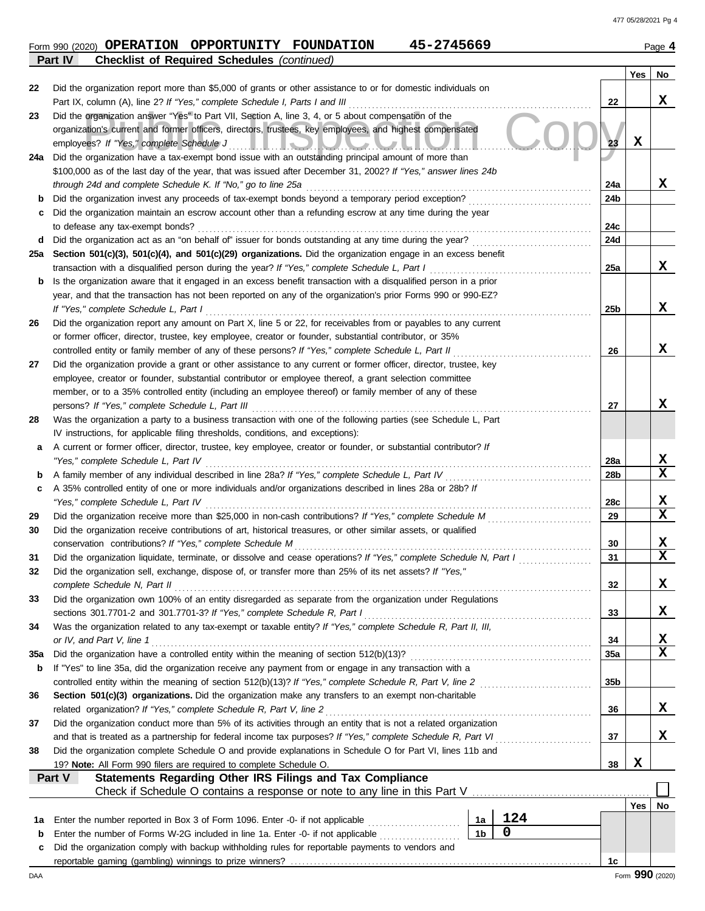|         | Form 990 (2020) <b>OPERATION</b> | OPPORTUNITY                                        | <b>FOUNDATION</b> | 45-2745669 | Page $4$ |
|---------|----------------------------------|----------------------------------------------------|-------------------|------------|----------|
| Part IV |                                  | <b>Checklist of Required Schedules (continued)</b> |                   |            |          |

|             |                                                                                                                                                                                                                                  |                 | Yes         | No |  |  |  |  |
|-------------|----------------------------------------------------------------------------------------------------------------------------------------------------------------------------------------------------------------------------------|-----------------|-------------|----|--|--|--|--|
| 22          | Did the organization report more than \$5,000 of grants or other assistance to or for domestic individuals on                                                                                                                    |                 |             |    |  |  |  |  |
|             | Part IX, column (A), line 2? If "Yes," complete Schedule I, Parts I and III                                                                                                                                                      | 22              |             | x  |  |  |  |  |
| 23          | Did the organization answer "Yes" to Part VII, Section A, line 3, 4, or 5 about compensation of the                                                                                                                              |                 |             |    |  |  |  |  |
|             | organization's current and former officers, directors, trustees, key employees, and highest compensated                                                                                                                          |                 |             |    |  |  |  |  |
|             | employees? If "Yes," complete Schedule J<br><u> III. ISO II OA OA OA U III</u>                                                                                                                                                   | 23              | $\mathbf x$ |    |  |  |  |  |
| 24a         | Did the organization have a tax-exempt bond issue with an outstanding principal amount of more than                                                                                                                              |                 |             |    |  |  |  |  |
|             | \$100,000 as of the last day of the year, that was issued after December 31, 2002? If "Yes," answer lines 24b                                                                                                                    |                 |             |    |  |  |  |  |
|             | through 24d and complete Schedule K. If "No," go to line 25a                                                                                                                                                                     | 24a             |             | x  |  |  |  |  |
| b           | Did the organization invest any proceeds of tax-exempt bonds beyond a temporary period exception?                                                                                                                                | 24b             |             |    |  |  |  |  |
| c           | Did the organization maintain an escrow account other than a refunding escrow at any time during the year                                                                                                                        |                 |             |    |  |  |  |  |
|             | to defease any tax-exempt bonds?                                                                                                                                                                                                 | 24c             |             |    |  |  |  |  |
| d           | Did the organization act as an "on behalf of" issuer for bonds outstanding at any time during the year?                                                                                                                          | 24d             |             |    |  |  |  |  |
| 25а         | Section 501(c)(3), 501(c)(4), and 501(c)(29) organizations. Did the organization engage in an excess benefit                                                                                                                     |                 |             | x  |  |  |  |  |
|             | transaction with a disqualified person during the year? If "Yes," complete Schedule L, Part I                                                                                                                                    | 25a             |             |    |  |  |  |  |
| b           | Is the organization aware that it engaged in an excess benefit transaction with a disqualified person in a prior<br>year, and that the transaction has not been reported on any of the organization's prior Forms 990 or 990-EZ? |                 |             |    |  |  |  |  |
|             | If "Yes," complete Schedule L, Part I                                                                                                                                                                                            | 25 <sub>b</sub> |             | x  |  |  |  |  |
| 26          | Did the organization report any amount on Part X, line 5 or 22, for receivables from or payables to any current                                                                                                                  |                 |             |    |  |  |  |  |
|             | or former officer, director, trustee, key employee, creator or founder, substantial contributor, or 35%                                                                                                                          |                 |             |    |  |  |  |  |
|             | controlled entity or family member of any of these persons? If "Yes," complete Schedule L, Part II                                                                                                                               | 26              |             | x  |  |  |  |  |
| 27          | Did the organization provide a grant or other assistance to any current or former officer, director, trustee, key                                                                                                                |                 |             |    |  |  |  |  |
|             | employee, creator or founder, substantial contributor or employee thereof, a grant selection committee                                                                                                                           |                 |             |    |  |  |  |  |
|             | member, or to a 35% controlled entity (including an employee thereof) or family member of any of these                                                                                                                           |                 |             |    |  |  |  |  |
|             | persons? If "Yes," complete Schedule L, Part III                                                                                                                                                                                 | 27              |             | x  |  |  |  |  |
| 28          | Was the organization a party to a business transaction with one of the following parties (see Schedule L, Part                                                                                                                   |                 |             |    |  |  |  |  |
|             | IV instructions, for applicable filing thresholds, conditions, and exceptions):                                                                                                                                                  |                 |             |    |  |  |  |  |
| а           | A current or former officer, director, trustee, key employee, creator or founder, or substantial contributor? If                                                                                                                 |                 |             |    |  |  |  |  |
|             | "Yes," complete Schedule L, Part IV                                                                                                                                                                                              | 28a             |             | x  |  |  |  |  |
| b           | A family member of any individual described in line 28a? If "Yes," complete Schedule L, Part IV                                                                                                                                  | 28b             |             | X  |  |  |  |  |
| c           | A 35% controlled entity of one or more individuals and/or organizations described in lines 28a or 28b? If                                                                                                                        |                 |             |    |  |  |  |  |
|             | "Yes," complete Schedule L, Part IV                                                                                                                                                                                              | 28c             |             | X  |  |  |  |  |
| 29          | Did the organization receive more than \$25,000 in non-cash contributions? If "Yes," complete Schedule M                                                                                                                         | 29              |             | X  |  |  |  |  |
| 30          | Did the organization receive contributions of art, historical treasures, or other similar assets, or qualified                                                                                                                   |                 |             |    |  |  |  |  |
|             | conservation contributions? If "Yes," complete Schedule M                                                                                                                                                                        | 30              |             | X  |  |  |  |  |
| 31          | Did the organization liquidate, terminate, or dissolve and cease operations? If "Yes," complete Schedule N, Part I                                                                                                               | 31              |             | x  |  |  |  |  |
| 32          | Did the organization sell, exchange, dispose of, or transfer more than 25% of its net assets? If "Yes,"                                                                                                                          |                 |             |    |  |  |  |  |
|             | complete Schedule N, Part II                                                                                                                                                                                                     | 32              |             | ▵  |  |  |  |  |
| 33          | Did the organization own 100% of an entity disregarded as separate from the organization under Regulations                                                                                                                       |                 |             |    |  |  |  |  |
|             | sections 301.7701-2 and 301.7701-3? If "Yes," complete Schedule R, Part I                                                                                                                                                        | 33              |             | x  |  |  |  |  |
| 34          | Was the organization related to any tax-exempt or taxable entity? If "Yes," complete Schedule R, Part II, III,                                                                                                                   |                 |             |    |  |  |  |  |
|             | or IV, and Part V, line 1                                                                                                                                                                                                        | 34              |             | X  |  |  |  |  |
| 35a         | Did the organization have a controlled entity within the meaning of section 512(b)(13)?                                                                                                                                          | 35a             |             | X  |  |  |  |  |
| b           | If "Yes" to line 35a, did the organization receive any payment from or engage in any transaction with a                                                                                                                          |                 |             |    |  |  |  |  |
|             | controlled entity within the meaning of section 512(b)(13)? If "Yes," complete Schedule R, Part V, line 2                                                                                                                        | 35b             |             |    |  |  |  |  |
| 36          | Section 501(c)(3) organizations. Did the organization make any transfers to an exempt non-charitable                                                                                                                             | 36              |             | x  |  |  |  |  |
|             | related organization? If "Yes," complete Schedule R, Part V, line 2                                                                                                                                                              |                 |             |    |  |  |  |  |
|             | Did the organization conduct more than 5% of its activities through an entity that is not a related organization<br>37<br>37                                                                                                     |                 |             |    |  |  |  |  |
| 38          | and that is treated as a partnership for federal income tax purposes? If "Yes," complete Schedule R, Part VI<br>Did the organization complete Schedule O and provide explanations in Schedule O for Part VI, lines 11b and       |                 |             |    |  |  |  |  |
|             | 19? Note: All Form 990 filers are required to complete Schedule O.                                                                                                                                                               | 38              | X           |    |  |  |  |  |
|             | Statements Regarding Other IRS Filings and Tax Compliance<br>Part V                                                                                                                                                              |                 |             |    |  |  |  |  |
|             | Check if Schedule O contains a response or note to any line in this Part V                                                                                                                                                       |                 |             |    |  |  |  |  |
|             |                                                                                                                                                                                                                                  |                 | Yes         | No |  |  |  |  |
| 1а          | 124<br>Enter the number reported in Box 3 of Form 1096. Enter -0- if not applicable<br>1a                                                                                                                                        |                 |             |    |  |  |  |  |
| $\mathbf b$ | $\mathbf 0$<br>1 <sub>b</sub><br>Enter the number of Forms W-2G included in line 1a. Enter -0- if not applicable                                                                                                                 |                 |             |    |  |  |  |  |
| c           | Did the organization comply with backup withholding rules for reportable payments to vendors and                                                                                                                                 |                 |             |    |  |  |  |  |
|             |                                                                                                                                                                                                                                  | 1c              |             |    |  |  |  |  |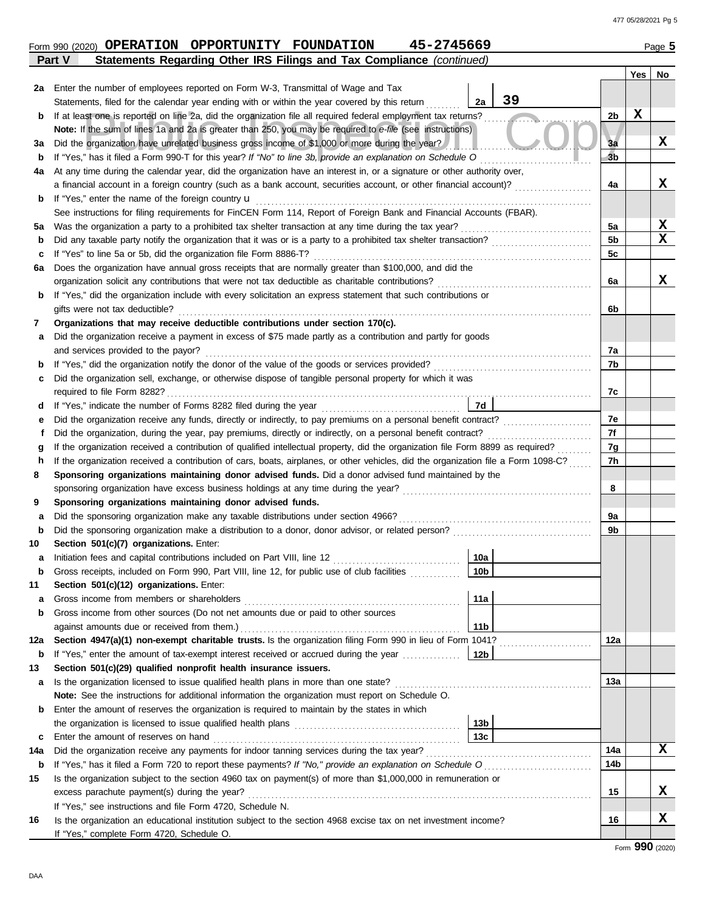|        | 45-2745669<br>Form 990 (2020) OPERATION OPPORTUNITY FOUNDATION                                                                                                                                                  |                |             | Page 5      |  |  |  |  |  |  |
|--------|-----------------------------------------------------------------------------------------------------------------------------------------------------------------------------------------------------------------|----------------|-------------|-------------|--|--|--|--|--|--|
|        | Statements Regarding Other IRS Filings and Tax Compliance (continued)<br>Part V                                                                                                                                 |                |             |             |  |  |  |  |  |  |
|        |                                                                                                                                                                                                                 |                | Yes         | No          |  |  |  |  |  |  |
| 2a     | Enter the number of employees reported on Form W-3, Transmittal of Wage and Tax<br>39<br>2a                                                                                                                     |                |             |             |  |  |  |  |  |  |
|        | Statements, filed for the calendar year ending with or within the year covered by this return<br>If at least one is reported on line 2a, did the organization file all required federal employment tax returns? | 2b             | $\mathbf x$ |             |  |  |  |  |  |  |
| b      | Note: If the sum of lines 1a and 2a is greater than 250, you may be required to e-file (see instructions)                                                                                                       |                |             |             |  |  |  |  |  |  |
| За     | Did the organization have unrelated business gross income of \$1,000 or more during the year?                                                                                                                   | 3a             |             | X           |  |  |  |  |  |  |
| b      | If "Yes," has it filed a Form 990-T for this year? If "No" to line 3b, provide an explanation on Schedule O                                                                                                     | 3 <sub>b</sub> |             |             |  |  |  |  |  |  |
| 4a     | At any time during the calendar year, did the organization have an interest in, or a signature or other authority over,                                                                                         |                |             |             |  |  |  |  |  |  |
|        | a financial account in a foreign country (such as a bank account, securities account, or other financial account)?                                                                                              | 4a             |             | X           |  |  |  |  |  |  |
| b      | If "Yes," enter the name of the foreign country u                                                                                                                                                               |                |             |             |  |  |  |  |  |  |
|        | See instructions for filing requirements for FinCEN Form 114, Report of Foreign Bank and Financial Accounts (FBAR).                                                                                             |                |             |             |  |  |  |  |  |  |
| 5a     |                                                                                                                                                                                                                 | 5a             |             | х           |  |  |  |  |  |  |
| b      | Did any taxable party notify the organization that it was or is a party to a prohibited tax shelter transaction?                                                                                                | 5 <sub>b</sub> |             | $\mathbf x$ |  |  |  |  |  |  |
| с      | If "Yes" to line 5a or 5b, did the organization file Form 8886-T?                                                                                                                                               | 5 <sub>c</sub> |             |             |  |  |  |  |  |  |
| 6а     | Does the organization have annual gross receipts that are normally greater than \$100,000, and did the                                                                                                          |                |             |             |  |  |  |  |  |  |
|        | organization solicit any contributions that were not tax deductible as charitable contributions?                                                                                                                | 6a             |             | X           |  |  |  |  |  |  |
| b      | If "Yes," did the organization include with every solicitation an express statement that such contributions or                                                                                                  |                |             |             |  |  |  |  |  |  |
|        | gifts were not tax deductible?                                                                                                                                                                                  | 6b             |             |             |  |  |  |  |  |  |
| 7      | Organizations that may receive deductible contributions under section 170(c).                                                                                                                                   |                |             |             |  |  |  |  |  |  |
| а      | Did the organization receive a payment in excess of \$75 made partly as a contribution and partly for goods                                                                                                     |                |             |             |  |  |  |  |  |  |
|        | and services provided to the payor?                                                                                                                                                                             | 7a             |             |             |  |  |  |  |  |  |
| b      | If "Yes," did the organization notify the donor of the value of the goods or services provided?                                                                                                                 | 7b             |             |             |  |  |  |  |  |  |
| c      | Did the organization sell, exchange, or otherwise dispose of tangible personal property for which it was                                                                                                        |                |             |             |  |  |  |  |  |  |
|        |                                                                                                                                                                                                                 | 7c             |             |             |  |  |  |  |  |  |
| d      | 7d                                                                                                                                                                                                              |                |             |             |  |  |  |  |  |  |
| е      | Did the organization receive any funds, directly or indirectly, to pay premiums on a personal benefit contract?                                                                                                 | 7e             |             |             |  |  |  |  |  |  |
| f      | Did the organization, during the year, pay premiums, directly or indirectly, on a personal benefit contract?                                                                                                    | 7f             |             |             |  |  |  |  |  |  |
| g      | If the organization received a contribution of qualified intellectual property, did the organization file Form 8899 as required?                                                                                | 7g             |             |             |  |  |  |  |  |  |
| h      | If the organization received a contribution of cars, boats, airplanes, or other vehicles, did the organization file a Form 1098-C?                                                                              | 7h             |             |             |  |  |  |  |  |  |
| 8      | Sponsoring organizations maintaining donor advised funds. Did a donor advised fund maintained by the                                                                                                            |                |             |             |  |  |  |  |  |  |
|        |                                                                                                                                                                                                                 | 8              |             |             |  |  |  |  |  |  |
| 9      | Sponsoring organizations maintaining donor advised funds.                                                                                                                                                       |                |             |             |  |  |  |  |  |  |
| а      | Did the sponsoring organization make any taxable distributions under section 4966?<br>Did the sponsoring organization make a distribution to a donor, donor advisor, or related person?                         | 9а<br>9b       |             |             |  |  |  |  |  |  |
| b      | Section 501(c)(7) organizations. Enter:                                                                                                                                                                         |                |             |             |  |  |  |  |  |  |
| 10     | Initiation fees and capital contributions included on Part VIII, line 12 [11][11][11][11][11][11][11][11][11][<br>10a                                                                                           |                |             |             |  |  |  |  |  |  |
| а<br>b | Gross receipts, included on Form 990, Part VIII, line 12, for public use of club facilities<br>10 <sub>b</sub>                                                                                                  |                |             |             |  |  |  |  |  |  |
| 11     | Section 501(c)(12) organizations. Enter:                                                                                                                                                                        |                |             |             |  |  |  |  |  |  |
| а      | 11a                                                                                                                                                                                                             |                |             |             |  |  |  |  |  |  |
| b      | Gross income from other sources (Do not net amounts due or paid to other sources                                                                                                                                |                |             |             |  |  |  |  |  |  |
|        | 11 <sub>b</sub><br>against amounts due or received from them.)                                                                                                                                                  |                |             |             |  |  |  |  |  |  |
| 12a    | Section 4947(a)(1) non-exempt charitable trusts. Is the organization filing Form 990 in lieu of Form 1041?                                                                                                      | 12a            |             |             |  |  |  |  |  |  |
| b      | If "Yes," enter the amount of tax-exempt interest received or accrued during the year<br>12b                                                                                                                    |                |             |             |  |  |  |  |  |  |
| 13     | Section 501(c)(29) qualified nonprofit health insurance issuers.                                                                                                                                                |                |             |             |  |  |  |  |  |  |
| а      | Is the organization licensed to issue qualified health plans in more than one state?                                                                                                                            | 13a            |             |             |  |  |  |  |  |  |
|        | Note: See the instructions for additional information the organization must report on Schedule O.                                                                                                               |                |             |             |  |  |  |  |  |  |
| b      | Enter the amount of reserves the organization is required to maintain by the states in which                                                                                                                    |                |             |             |  |  |  |  |  |  |
|        | 13 <sub>b</sub>                                                                                                                                                                                                 |                |             |             |  |  |  |  |  |  |
| c      | 13 <sub>c</sub><br>Enter the amount of reserves on hand                                                                                                                                                         |                |             |             |  |  |  |  |  |  |
| 14a    |                                                                                                                                                                                                                 | 14a            |             | X           |  |  |  |  |  |  |
| b      |                                                                                                                                                                                                                 | 14b            |             |             |  |  |  |  |  |  |
| 15     | Is the organization subject to the section 4960 tax on payment(s) of more than \$1,000,000 in remuneration or                                                                                                   |                |             |             |  |  |  |  |  |  |
|        | excess parachute payment(s) during the year?                                                                                                                                                                    | 15             |             | X           |  |  |  |  |  |  |
|        | If "Yes," see instructions and file Form 4720, Schedule N.                                                                                                                                                      |                |             |             |  |  |  |  |  |  |
| 16     | Is the organization an educational institution subject to the section 4968 excise tax on net investment income?                                                                                                 | 16             |             | X           |  |  |  |  |  |  |
|        | If "Yes," complete Form 4720, Schedule O.                                                                                                                                                                       |                |             |             |  |  |  |  |  |  |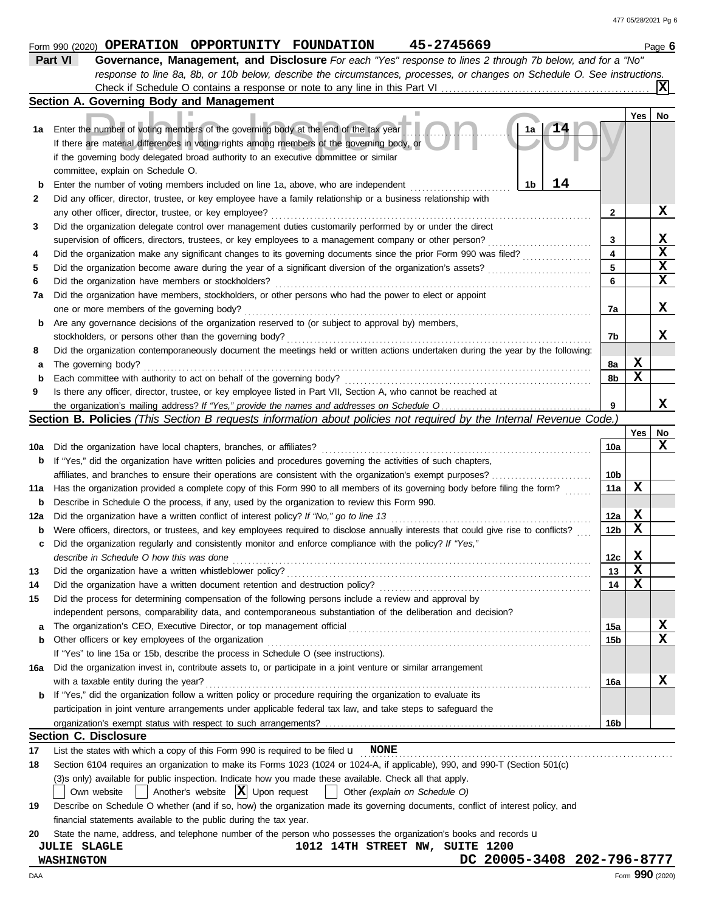|             | 45-2745669<br>Form 990 (2020) OPERATION OPPORTUNITY FOUNDATION                                                                                                             |              |             | Page 6          |
|-------------|----------------------------------------------------------------------------------------------------------------------------------------------------------------------------|--------------|-------------|-----------------|
|             | Part VI<br>Governance, Management, and Disclosure For each "Yes" response to lines 2 through 7b below, and for a "No"                                                      |              |             |                 |
|             | response to line 8a, 8b, or 10b below, describe the circumstances, processes, or changes on Schedule O. See instructions.                                                  |              |             |                 |
|             |                                                                                                                                                                            |              |             |                 |
|             | Section A. Governing Body and Management                                                                                                                                   |              |             |                 |
|             |                                                                                                                                                                            |              | Yes         | No              |
| 1a          | 1a<br>Enter the number of voting members of the governing body at the end of the tax year                                                                                  |              |             |                 |
|             | If there are material differences in voting rights among members of the governing body, or                                                                                 |              |             |                 |
|             | if the governing body delegated broad authority to an executive committee or similar                                                                                       |              |             |                 |
|             | committee, explain on Schedule O.                                                                                                                                          |              |             |                 |
| b           | 14<br>1 <sub>b</sub><br>Enter the number of voting members included on line 1a, above, who are independent                                                                 |              |             |                 |
| 2           | Did any officer, director, trustee, or key employee have a family relationship or a business relationship with                                                             |              |             |                 |
|             | any other officer, director, trustee, or key employee?                                                                                                                     | $\mathbf{2}$ |             | X               |
| 3           | Did the organization delegate control over management duties customarily performed by or under the direct                                                                  |              |             |                 |
|             | supervision of officers, directors, trustees, or key employees to a management company or other person?                                                                    | 3            |             | X               |
| 4           | Did the organization make any significant changes to its governing documents since the prior Form 990 was filed?                                                           | 4            |             | $\mathbf x$     |
| 5           | Did the organization become aware during the year of a significant diversion of the organization's assets?                                                                 | 5            |             | $\mathbf x$     |
| 6           | Did the organization have members or stockholders?<br>.                                                                                                                    | 6            |             | $\mathbf x$     |
| 7a          | Did the organization have members, stockholders, or other persons who had the power to elect or appoint                                                                    |              |             |                 |
|             | one or more members of the governing body?                                                                                                                                 | 7а           |             | X               |
| b           | Are any governance decisions of the organization reserved to (or subject to approval by) members,                                                                          |              |             |                 |
|             | stockholders, or persons other than the governing body?                                                                                                                    | 7b           |             | X               |
| 8           | Did the organization contemporaneously document the meetings held or written actions undertaken during the year by the following:                                          |              |             |                 |
| а           | The governing body?                                                                                                                                                        | 8а           | X           |                 |
| $\mathbf b$ | Each committee with authority to act on behalf of the governing body?                                                                                                      | 8b           | X           |                 |
| 9           | Is there any officer, director, trustee, or key employee listed in Part VII, Section A, who cannot be reached at                                                           |              |             |                 |
|             |                                                                                                                                                                            | 9            |             | x               |
|             | <b>Section B. Policies</b> (This Section B requests information about policies not required by the Internal Revenue Code.)                                                 |              |             |                 |
|             |                                                                                                                                                                            |              | Yes         | No              |
| 10a         | Did the organization have local chapters, branches, or affiliates?                                                                                                         | 10a          |             | X               |
| b           | If "Yes," did the organization have written policies and procedures governing the activities of such chapters,                                                             |              |             |                 |
|             | affiliates, and branches to ensure their operations are consistent with the organization's exempt purposes?                                                                | 10b          |             |                 |
| 11a         | Has the organization provided a complete copy of this Form 990 to all members of its governing body before filing the form?                                                | 11a          | х           |                 |
| b           | Describe in Schedule O the process, if any, used by the organization to review this Form 990.                                                                              |              |             |                 |
| 12a         | Did the organization have a written conflict of interest policy? If "No," go to line 13                                                                                    | 12a          | X           |                 |
| b           | Were officers, directors, or trustees, and key employees required to disclose annually interests that could give rise to conflicts?                                        | 12b          | X           |                 |
| с           | Did the organization regularly and consistently monitor and enforce compliance with the policy? If "Yes,"                                                                  |              |             |                 |
|             | describe in Schedule O how this was done                                                                                                                                   | 12c          | $\mathbf x$ |                 |
| 13          | Did the organization have a written whistleblower policy?                                                                                                                  | 13           | X           |                 |
| 14          | Did the organization have a written document retention and destruction policy?                                                                                             | 14           | х           |                 |
| 15          | Did the process for determining compensation of the following persons include a review and approval by                                                                     |              |             |                 |
|             | independent persons, comparability data, and contemporaneous substantiation of the deliberation and decision?                                                              |              |             |                 |
| а           | The organization's CEO, Executive Director, or top management official                                                                                                     | 15a          |             | X               |
| b           | Other officers or key employees of the organization                                                                                                                        | 15b          |             | X               |
|             | If "Yes" to line 15a or 15b, describe the process in Schedule O (see instructions).                                                                                        |              |             |                 |
| 16a         | Did the organization invest in, contribute assets to, or participate in a joint venture or similar arrangement                                                             |              |             |                 |
|             | with a taxable entity during the year?                                                                                                                                     | 16a          |             | x               |
| b           | If "Yes," did the organization follow a written policy or procedure requiring the organization to evaluate its                                                             |              |             |                 |
|             | participation in joint venture arrangements under applicable federal tax law, and take steps to safeguard the                                                              |              |             |                 |
|             |                                                                                                                                                                            | 16b          |             |                 |
|             | <b>Section C. Disclosure</b>                                                                                                                                               |              |             |                 |
| 17          | List the states with which a copy of this Form 990 is required to be filed $\mathbf{u}$ NONE                                                                               |              |             |                 |
| 18          | Section 6104 requires an organization to make its Forms 1023 (1024 or 1024-A, if applicable), 990, and 990-T (Section 501(c)                                               |              |             |                 |
|             | (3)s only) available for public inspection. Indicate how you made these available. Check all that apply.                                                                   |              |             |                 |
|             | Another's website $ \mathbf{X} $ Upon request<br>Own website<br>Other (explain on Schedule O)                                                                              |              |             |                 |
| 19          | Describe on Schedule O whether (and if so, how) the organization made its governing documents, conflict of interest policy, and                                            |              |             |                 |
|             | financial statements available to the public during the tax year.                                                                                                          |              |             |                 |
|             |                                                                                                                                                                            |              |             |                 |
| 20          | State the name, address, and telephone number of the person who possesses the organization's books and records u<br>1012 14TH STREET NW, SUITE 1200<br><b>JULIE SLAGLE</b> |              |             |                 |
|             | DC 20005-3408 202-796-8777<br><b>WASHINGTON</b>                                                                                                                            |              |             |                 |
| DAA         |                                                                                                                                                                            |              |             | Form 990 (2020) |
|             |                                                                                                                                                                            |              |             |                 |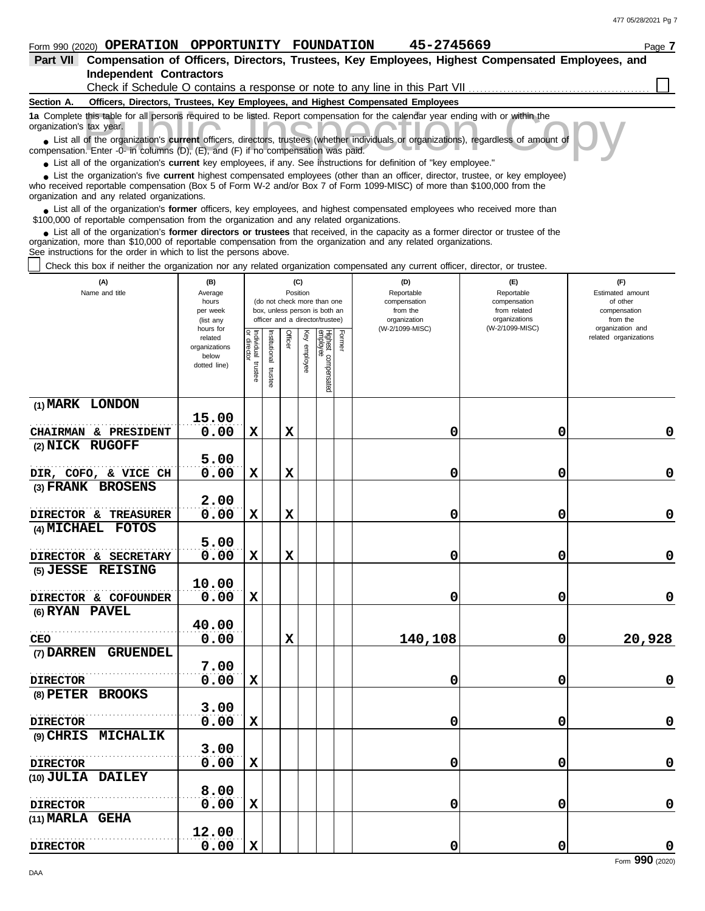# **Independent Contractors Part VII Compensation of Officers, Directors, Trustees, Key Employees, Highest Compensated Employees, and**

Check if Schedule O contains a response or note to any line in this Part VII

### **Section A. Officers, Directors, Trustees, Key Employees, and Highest Compensated Employees**

**1a** Complete this table for all persons required to be listed. Report compensation for the calendar year ending with or within the organization's tax year.

this table for all persons required to be listed. Report compensation for the calendar year ending with or within the<br>tax year.<br>of the organization's **current** officers, directors, trustees (whether individuals or organiza ■ List all of the organization's **current** officers, directors, trustees (whether individuals or organizations), regardless of amount of compensation. Enter -0- in columns (D), (E), and (F) if no compensation was paid.

● List all of the organization's **current** key employees, if any. See instructions for definition of "key employee."

who received reportable compensation (Box 5 of Form W-2 and/or Box 7 of Form 1099-MISC) of more than \$100,000 from the ■ List the organization's five **current** highest compensated employees (other than an officer, director, trustee, or key employee)<br> **•** Preceived reportable compensation (Box 5 of Form W.2 and/or Box 7 of Form 1000 MISC)

organization and any related organizations. ■ List all of the organization's **former** officers, key employees, and highest compensated employees who received more than<br> **•** 00,000 of reportable compensation from the ergonization and any related ergonizations \$100,000 of reportable compensation from the organization and any related organizations.

■ List all of the organization's **former directors or trustees** that received, in the capacity as a former director or trustee of the<br>paization, more than \$10,000 of reportable compensation from the organization and any r organization, more than \$10,000 of reportable compensation from the organization and any related organizations. See instructions for the order in which to list the persons above.

Check this box if neither the organization nor any related organization compensated any current officer, director, or trustee.

| (A)<br>Name and title              | (B)<br>Average<br>hours<br>per week<br>(list any<br>hours for |                                   | (C)<br>Position<br>(do not check more than one<br>box, unless person is both an<br>officer and a director/trustee) |             | (D)<br>Reportable<br>compensation<br>from the<br>organization<br>(W-2/1099-MISC) | (E)<br>Reportable<br>compensation<br>from related<br>organizations<br>(W-2/1099-MISC) | (F)<br>Estimated amount<br>of other<br>compensation<br>from the<br>organization and |         |   |                       |
|------------------------------------|---------------------------------------------------------------|-----------------------------------|--------------------------------------------------------------------------------------------------------------------|-------------|----------------------------------------------------------------------------------|---------------------------------------------------------------------------------------|-------------------------------------------------------------------------------------|---------|---|-----------------------|
|                                    | related<br>organizations<br>below<br>dotted line)             | Individual trustee<br>or director | Institutional trustee                                                                                              | Officer     | Key<br>employee                                                                  | Highest compensated<br>employee                                                       | Former                                                                              |         |   | related organizations |
| (1) MARK LONDON                    | 15.00                                                         |                                   |                                                                                                                    |             |                                                                                  |                                                                                       |                                                                                     |         |   |                       |
| CHAIRMAN & PRESIDENT               | 0.00                                                          | $\mathbf x$                       |                                                                                                                    | X           |                                                                                  |                                                                                       |                                                                                     | 0       | 0 | $\mathbf 0$           |
| (2) NICK RUGOFF                    |                                                               |                                   |                                                                                                                    |             |                                                                                  |                                                                                       |                                                                                     |         |   |                       |
|                                    | 5.00                                                          |                                   |                                                                                                                    |             |                                                                                  |                                                                                       |                                                                                     |         |   |                       |
| DIR, COFO, & VICE CH               | 0.00                                                          | $\mathbf x$                       |                                                                                                                    | $\mathbf x$ |                                                                                  |                                                                                       |                                                                                     | 0       | 0 | $\pmb{0}$             |
| (3) FRANK BROSENS                  |                                                               |                                   |                                                                                                                    |             |                                                                                  |                                                                                       |                                                                                     |         |   |                       |
|                                    | 2.00                                                          |                                   |                                                                                                                    |             |                                                                                  |                                                                                       |                                                                                     |         |   |                       |
| DIRECTOR & TREASURER               | 0.00                                                          | $\mathbf x$                       |                                                                                                                    | $\mathbf x$ |                                                                                  |                                                                                       |                                                                                     | 0       | 0 | $\mathbf 0$           |
| (4) MICHAEL FOTOS                  |                                                               |                                   |                                                                                                                    |             |                                                                                  |                                                                                       |                                                                                     |         |   |                       |
|                                    | 5.00                                                          |                                   |                                                                                                                    |             |                                                                                  |                                                                                       |                                                                                     |         |   |                       |
| DIRECTOR & SECRETARY               | 0.00                                                          | $\mathbf x$                       |                                                                                                                    | $\mathbf x$ |                                                                                  |                                                                                       |                                                                                     | 0       | 0 | $\mathbf 0$           |
| (5) JESSE REISING                  |                                                               |                                   |                                                                                                                    |             |                                                                                  |                                                                                       |                                                                                     |         |   |                       |
|                                    | 10.00                                                         |                                   |                                                                                                                    |             |                                                                                  |                                                                                       |                                                                                     |         |   |                       |
| DIRECTOR & COFOUNDER               | 0.00                                                          | $\mathbf x$                       |                                                                                                                    |             |                                                                                  |                                                                                       |                                                                                     | 0       | 0 | $\pmb{0}$             |
| (6) RYAN PAVEL                     |                                                               |                                   |                                                                                                                    |             |                                                                                  |                                                                                       |                                                                                     |         |   |                       |
|                                    | 40.00                                                         |                                   |                                                                                                                    |             |                                                                                  |                                                                                       |                                                                                     |         |   |                       |
| CEO                                | 0.00                                                          |                                   |                                                                                                                    | $\mathbf x$ |                                                                                  |                                                                                       |                                                                                     | 140,108 | 0 | 20,928                |
| (7) DARREN<br><b>GRUENDEL</b>      |                                                               |                                   |                                                                                                                    |             |                                                                                  |                                                                                       |                                                                                     |         |   |                       |
|                                    | 7.00                                                          |                                   |                                                                                                                    |             |                                                                                  |                                                                                       |                                                                                     |         |   |                       |
| <b>DIRECTOR</b>                    | 0.00                                                          | $\mathbf x$                       |                                                                                                                    |             |                                                                                  |                                                                                       |                                                                                     | 0       | 0 | 0                     |
| (8) PETER BROOKS                   |                                                               |                                   |                                                                                                                    |             |                                                                                  |                                                                                       |                                                                                     |         |   |                       |
|                                    | 3.00                                                          |                                   |                                                                                                                    |             |                                                                                  |                                                                                       |                                                                                     |         |   |                       |
| <b>DIRECTOR</b>                    | 0.00                                                          | $\mathbf x$                       |                                                                                                                    |             |                                                                                  |                                                                                       |                                                                                     | 0       | 0 | $\mathbf 0$           |
| (9) CHRIS MICHALIK                 |                                                               |                                   |                                                                                                                    |             |                                                                                  |                                                                                       |                                                                                     |         |   |                       |
|                                    | 3.00                                                          |                                   |                                                                                                                    |             |                                                                                  |                                                                                       |                                                                                     |         |   |                       |
| <b>DIRECTOR</b>                    | 0.00                                                          | $\mathbf x$                       |                                                                                                                    |             |                                                                                  |                                                                                       |                                                                                     | 0       | 0 | $\pmb{0}$             |
| (10) JULIA DAILEY                  |                                                               |                                   |                                                                                                                    |             |                                                                                  |                                                                                       |                                                                                     |         |   |                       |
|                                    | 8.00<br>0.00                                                  | $\mathbf x$                       |                                                                                                                    |             |                                                                                  |                                                                                       |                                                                                     |         |   | 0                     |
| <b>DIRECTOR</b><br>(11) MARLA GEHA |                                                               |                                   |                                                                                                                    |             |                                                                                  |                                                                                       |                                                                                     | 0       | 0 |                       |
|                                    | 12.00                                                         |                                   |                                                                                                                    |             |                                                                                  |                                                                                       |                                                                                     |         |   |                       |
| <b>DIRECTOR</b>                    | 0.00                                                          | $\mathbf x$                       |                                                                                                                    |             |                                                                                  |                                                                                       |                                                                                     | 0       | 0 | $\mathbf 0$           |
|                                    |                                                               |                                   |                                                                                                                    |             |                                                                                  |                                                                                       |                                                                                     |         |   |                       |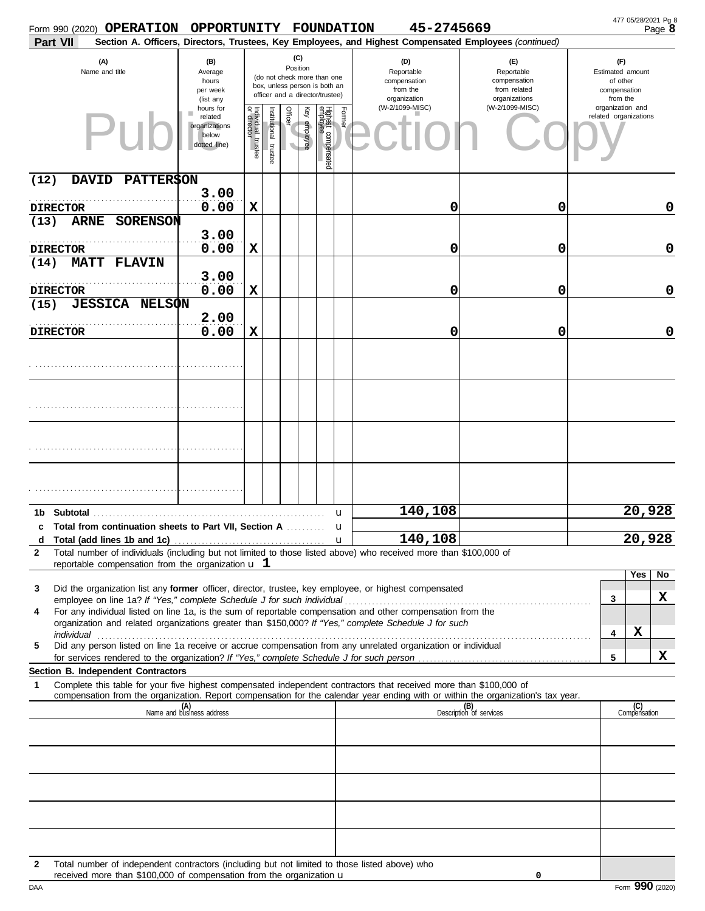|                         | Form 990 (2020) OPERATION                                                                                                                                                       | OPPORTUNITY FOUNDATION                                        |                                      |                      |                                     |                 |                                                                                                 |             | 45-2745669                                                                                                                                                                                                                                                                                                                              |                                                                                       |                                                                                     | 477 05/28/2021 Pg 8<br>Page 8 |
|-------------------------|---------------------------------------------------------------------------------------------------------------------------------------------------------------------------------|---------------------------------------------------------------|--------------------------------------|----------------------|-------------------------------------|-----------------|-------------------------------------------------------------------------------------------------|-------------|-----------------------------------------------------------------------------------------------------------------------------------------------------------------------------------------------------------------------------------------------------------------------------------------------------------------------------------------|---------------------------------------------------------------------------------------|-------------------------------------------------------------------------------------|-------------------------------|
| <b>Part VII</b>         |                                                                                                                                                                                 |                                                               |                                      |                      |                                     |                 |                                                                                                 |             | Section A. Officers, Directors, Trustees, Key Employees, and Highest Compensated Employees (continued)                                                                                                                                                                                                                                  |                                                                                       |                                                                                     |                               |
|                         | (A)<br>Name and title                                                                                                                                                           | (B)<br>Average<br>hours<br>per week<br>(list any<br>hours for |                                      |                      |                                     | (C)<br>Position | (do not check more than one<br>box, unless person is both an<br>officer and a director/trustee) |             | (D)<br>Reportable<br>compensation<br>from the<br>organization<br>(W-2/1099-MISC)                                                                                                                                                                                                                                                        | (E)<br>Reportable<br>compensation<br>from related<br>organizations<br>(W-2/1099-MISC) | (F)<br>Estimated amount<br>of other<br>compensation<br>from the<br>organization and |                               |
|                         |                                                                                                                                                                                 | related<br>organizations<br>below<br>dotted line)             | Individual<br>or director<br>trustee | nstitutional trustee | Officer<br>$\overline{\phantom{a}}$ | Ķey<br>employee | Highest compensated<br>employee                                                                 | Former      |                                                                                                                                                                                                                                                                                                                                         |                                                                                       | related organizations                                                               |                               |
| (12)                    | <b>PATTER\$ON</b><br><b>DAVID</b>                                                                                                                                               |                                                               |                                      |                      |                                     |                 |                                                                                                 |             |                                                                                                                                                                                                                                                                                                                                         |                                                                                       |                                                                                     |                               |
| <b>DIRECTOR</b>         |                                                                                                                                                                                 | 3.00<br>0.00                                                  | $\mathbf x$                          |                      |                                     |                 |                                                                                                 |             | 0                                                                                                                                                                                                                                                                                                                                       | 0                                                                                     |                                                                                     | 0                             |
| (13)                    | <b>ARNE</b><br>SORENSON                                                                                                                                                         |                                                               |                                      |                      |                                     |                 |                                                                                                 |             |                                                                                                                                                                                                                                                                                                                                         |                                                                                       |                                                                                     |                               |
| <b>DIRECTOR</b>         |                                                                                                                                                                                 | 3.00<br>0.00                                                  | $\mathbf x$                          |                      |                                     |                 |                                                                                                 |             | 0                                                                                                                                                                                                                                                                                                                                       | 0                                                                                     |                                                                                     | 0                             |
| <b>MATT</b><br>(14)     | <b>FLAVIN</b>                                                                                                                                                                   | 3.00                                                          |                                      |                      |                                     |                 |                                                                                                 |             |                                                                                                                                                                                                                                                                                                                                         |                                                                                       |                                                                                     |                               |
| <b>DIRECTOR</b><br>(15) | <b>JESSICA NELSON</b>                                                                                                                                                           | 0.00                                                          | $\mathbf x$                          |                      |                                     |                 |                                                                                                 |             | 0                                                                                                                                                                                                                                                                                                                                       | 0                                                                                     |                                                                                     | 0                             |
| <b>DIRECTOR</b>         |                                                                                                                                                                                 | 2.00<br>0.00                                                  | $\mathbf x$                          |                      |                                     |                 |                                                                                                 |             | 0                                                                                                                                                                                                                                                                                                                                       | 0                                                                                     |                                                                                     | 0                             |
|                         |                                                                                                                                                                                 |                                                               |                                      |                      |                                     |                 |                                                                                                 |             |                                                                                                                                                                                                                                                                                                                                         |                                                                                       |                                                                                     |                               |
|                         |                                                                                                                                                                                 |                                                               |                                      |                      |                                     |                 |                                                                                                 |             |                                                                                                                                                                                                                                                                                                                                         |                                                                                       |                                                                                     |                               |
|                         |                                                                                                                                                                                 |                                                               |                                      |                      |                                     |                 |                                                                                                 |             |                                                                                                                                                                                                                                                                                                                                         |                                                                                       |                                                                                     |                               |
|                         |                                                                                                                                                                                 |                                                               |                                      |                      |                                     |                 |                                                                                                 |             |                                                                                                                                                                                                                                                                                                                                         |                                                                                       |                                                                                     |                               |
|                         |                                                                                                                                                                                 |                                                               |                                      |                      |                                     |                 |                                                                                                 |             |                                                                                                                                                                                                                                                                                                                                         |                                                                                       |                                                                                     |                               |
|                         |                                                                                                                                                                                 |                                                               |                                      |                      |                                     |                 |                                                                                                 | u           | 140,108                                                                                                                                                                                                                                                                                                                                 |                                                                                       |                                                                                     | 20,928                        |
|                         | c Total from continuation sheets to Part VII. Section A                                                                                                                         |                                                               |                                      |                      |                                     |                 |                                                                                                 | u           |                                                                                                                                                                                                                                                                                                                                         |                                                                                       |                                                                                     |                               |
| $\mathbf{2}$            |                                                                                                                                                                                 |                                                               |                                      |                      |                                     |                 |                                                                                                 | $\mathbf u$ | 140,108<br>Total number of individuals (including but not limited to those listed above) who received more than \$100,000 of                                                                                                                                                                                                            |                                                                                       |                                                                                     | 20,928                        |
|                         | reportable compensation from the organization $\bf{u}$ 1                                                                                                                        |                                                               |                                      |                      |                                     |                 |                                                                                                 |             |                                                                                                                                                                                                                                                                                                                                         |                                                                                       |                                                                                     |                               |
| 3                       |                                                                                                                                                                                 |                                                               |                                      |                      |                                     |                 |                                                                                                 |             | Did the organization list any former officer, director, trustee, key employee, or highest compensated                                                                                                                                                                                                                                   |                                                                                       | Yes                                                                                 | No                            |
| 4                       |                                                                                                                                                                                 |                                                               |                                      |                      |                                     |                 |                                                                                                 |             | For any individual listed on line 1a, is the sum of reportable compensation and other compensation from the                                                                                                                                                                                                                             |                                                                                       | 3                                                                                   | X                             |
|                         |                                                                                                                                                                                 |                                                               |                                      |                      |                                     |                 |                                                                                                 |             | organization and related organizations greater than \$150,000? If "Yes," complete Schedule J for such<br>individual with a construction of the construction of the construction of the construction of the construction of the construction of the construction of the construction of the construction of the construction of the cons |                                                                                       | X<br>4                                                                              |                               |
| 5                       |                                                                                                                                                                                 |                                                               |                                      |                      |                                     |                 |                                                                                                 |             | Did any person listed on line 1a receive or accrue compensation from any unrelated organization or individual                                                                                                                                                                                                                           |                                                                                       |                                                                                     | X                             |
|                         | Section B. Independent Contractors                                                                                                                                              |                                                               |                                      |                      |                                     |                 |                                                                                                 |             |                                                                                                                                                                                                                                                                                                                                         |                                                                                       | 5                                                                                   |                               |
| 1                       |                                                                                                                                                                                 |                                                               |                                      |                      |                                     |                 |                                                                                                 |             | Complete this table for your five highest compensated independent contractors that received more than \$100,000 of<br>compensation from the organization. Report compensation for the calendar year ending with or within the organization's tax year.                                                                                  |                                                                                       |                                                                                     |                               |
|                         |                                                                                                                                                                                 | (A)<br>Name and business address                              |                                      |                      |                                     |                 |                                                                                                 |             |                                                                                                                                                                                                                                                                                                                                         | (B)<br>Description of services                                                        | (C)<br>Compensation                                                                 |                               |
|                         |                                                                                                                                                                                 |                                                               |                                      |                      |                                     |                 |                                                                                                 |             |                                                                                                                                                                                                                                                                                                                                         |                                                                                       |                                                                                     |                               |
|                         |                                                                                                                                                                                 |                                                               |                                      |                      |                                     |                 |                                                                                                 |             |                                                                                                                                                                                                                                                                                                                                         |                                                                                       |                                                                                     |                               |
|                         |                                                                                                                                                                                 |                                                               |                                      |                      |                                     |                 |                                                                                                 |             |                                                                                                                                                                                                                                                                                                                                         |                                                                                       |                                                                                     |                               |
|                         |                                                                                                                                                                                 |                                                               |                                      |                      |                                     |                 |                                                                                                 |             |                                                                                                                                                                                                                                                                                                                                         |                                                                                       |                                                                                     |                               |
|                         |                                                                                                                                                                                 |                                                               |                                      |                      |                                     |                 |                                                                                                 |             |                                                                                                                                                                                                                                                                                                                                         |                                                                                       |                                                                                     |                               |
| $\mathbf{2}$            | Total number of independent contractors (including but not limited to those listed above) who<br>received more than \$100,000 of compensation from the organization $\mathbf u$ |                                                               |                                      |                      |                                     |                 |                                                                                                 |             |                                                                                                                                                                                                                                                                                                                                         | 0                                                                                     |                                                                                     |                               |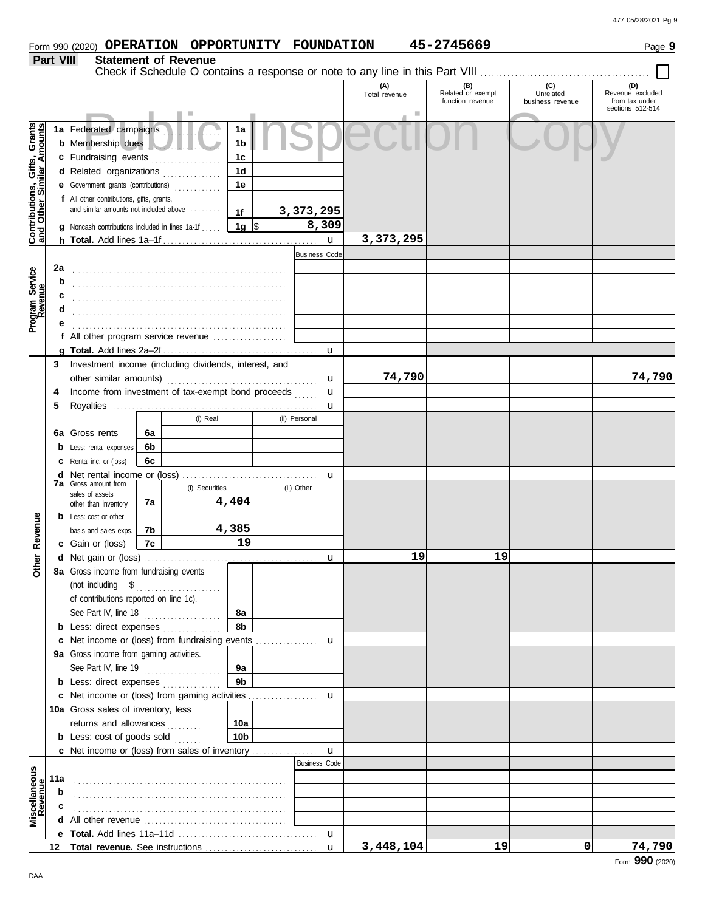# Form 990 (2020) Page **9 OPERATION OPPORTUNITY FOUNDATION 45-2745669**

|                                                                  | Part VIII |                                                                                    |          | <b>Statement of Revenue</b> |                        |                      |                      |                                              | Check if Schedule O contains a response or note to any line in this Part VIII |                                           |
|------------------------------------------------------------------|-----------|------------------------------------------------------------------------------------|----------|-----------------------------|------------------------|----------------------|----------------------|----------------------------------------------|-------------------------------------------------------------------------------|-------------------------------------------|
|                                                                  |           |                                                                                    |          |                             |                        |                      | (A)<br>Total revenue | (B)<br>Related or exempt<br>function revenue | (C)<br>Unrelated<br>business revenue                                          | (D)<br>Revenue excluded<br>from tax under |
|                                                                  |           |                                                                                    |          |                             |                        |                      | ш                    |                                              |                                                                               | sections 512-514                          |
| <b>Contributions, Gifts, Grants</b><br>and Other Similar Amounts |           | 1a Federated campaigns<br><b>b</b> Membership dues                                 |          |                             | 1a<br>1b               |                      |                      |                                              |                                                                               |                                           |
|                                                                  |           | c Fundraising events                                                               |          |                             | 1 <sub>c</sub>         |                      |                      |                                              |                                                                               |                                           |
|                                                                  |           | d Related organizations                                                            |          |                             | 1d                     |                      |                      |                                              |                                                                               |                                           |
|                                                                  |           | e Government grants (contributions)                                                |          |                             | 1e                     |                      |                      |                                              |                                                                               |                                           |
|                                                                  |           | f All other contributions, gifts, grants,                                          |          |                             |                        |                      |                      |                                              |                                                                               |                                           |
|                                                                  |           | and similar amounts not included above                                             |          |                             | 1f                     | 3,373,295            |                      |                                              |                                                                               |                                           |
|                                                                  |           | <b>g</b> Noncash contributions included in lines 1a-1f                             |          |                             | 1g $\sqrt{ }$          | 8,309                |                      |                                              |                                                                               |                                           |
|                                                                  |           |                                                                                    |          |                             |                        | $\mathbf{u}$         | 3,373,295            |                                              |                                                                               |                                           |
|                                                                  |           |                                                                                    |          |                             |                        | <b>Business Code</b> |                      |                                              |                                                                               |                                           |
|                                                                  | 2a        |                                                                                    |          |                             |                        |                      |                      |                                              |                                                                               |                                           |
| Program Service<br>Revenue                                       | b         |                                                                                    |          |                             |                        |                      |                      |                                              |                                                                               |                                           |
|                                                                  |           |                                                                                    |          |                             |                        |                      |                      |                                              |                                                                               |                                           |
|                                                                  |           |                                                                                    |          |                             |                        |                      |                      |                                              |                                                                               |                                           |
|                                                                  |           | f All other program service revenue                                                |          |                             |                        |                      |                      |                                              |                                                                               |                                           |
|                                                                  |           |                                                                                    |          |                             |                        | $\mathbf u$          |                      |                                              |                                                                               |                                           |
|                                                                  | 3         | Investment income (including dividends, interest, and                              |          |                             |                        |                      |                      |                                              |                                                                               |                                           |
|                                                                  |           |                                                                                    |          |                             |                        | u                    | 74,790               |                                              |                                                                               | 74,790                                    |
|                                                                  | 4         | Income from investment of tax-exempt bond proceeds                                 |          |                             |                        | u                    |                      |                                              |                                                                               |                                           |
|                                                                  | 5         |                                                                                    |          |                             |                        | u                    |                      |                                              |                                                                               |                                           |
|                                                                  |           |                                                                                    |          | (i) Real                    |                        | (ii) Personal        |                      |                                              |                                                                               |                                           |
|                                                                  | 6а        | Gross rents                                                                        | 6a       |                             |                        |                      |                      |                                              |                                                                               |                                           |
|                                                                  | b         | Less: rental expenses                                                              | 6b       |                             |                        |                      |                      |                                              |                                                                               |                                           |
|                                                                  | с         | Rental inc. or (loss)                                                              | 6с       |                             |                        |                      |                      |                                              |                                                                               |                                           |
|                                                                  | d         | <b>7a</b> Gross amount from                                                        |          |                             |                        | u                    |                      |                                              |                                                                               |                                           |
|                                                                  |           | sales of assets                                                                    |          | (i) Securities              |                        | (ii) Other           |                      |                                              |                                                                               |                                           |
|                                                                  |           | other than inventory                                                               | 7a       |                             | 4,404                  |                      |                      |                                              |                                                                               |                                           |
| Revenue                                                          |           | <b>b</b> Less: cost or other                                                       |          |                             | 4,385                  |                      |                      |                                              |                                                                               |                                           |
|                                                                  |           | basis and sales exps.<br><b>c</b> Gain or (loss)                                   | 7b<br>7c |                             | 19                     |                      |                      |                                              |                                                                               |                                           |
|                                                                  |           |                                                                                    |          |                             |                        | u                    | 19                   | 19                                           |                                                                               |                                           |
| <b>Other</b>                                                     |           | 8a Gross income from fundraising events                                            |          |                             |                        |                      |                      |                                              |                                                                               |                                           |
|                                                                  |           | (not including $$$                                                                 |          | .                           |                        |                      |                      |                                              |                                                                               |                                           |
|                                                                  |           | of contributions reported on line 1c).                                             |          |                             |                        |                      |                      |                                              |                                                                               |                                           |
|                                                                  |           | See Part IV, line 18                                                               |          |                             | 8a                     |                      |                      |                                              |                                                                               |                                           |
|                                                                  |           | <b>b</b> Less: direct expenses                                                     |          |                             | 8b                     |                      |                      |                                              |                                                                               |                                           |
|                                                                  |           | c Net income or (loss) from fundraising events                                     |          |                             |                        | u                    |                      |                                              |                                                                               |                                           |
|                                                                  |           | 9a Gross income from gaming activities.                                            |          |                             |                        |                      |                      |                                              |                                                                               |                                           |
|                                                                  |           | See Part IV, line 19                                                               |          | .                           | 9a                     |                      |                      |                                              |                                                                               |                                           |
|                                                                  |           | <b>b</b> Less: direct expenses                                                     |          |                             | 9 <sub>b</sub>         |                      |                      |                                              |                                                                               |                                           |
|                                                                  |           |                                                                                    |          |                             |                        | u                    |                      |                                              |                                                                               |                                           |
|                                                                  |           | 10a Gross sales of inventory, less                                                 |          |                             |                        |                      |                      |                                              |                                                                               |                                           |
|                                                                  |           | returns and allowances<br><b>b</b> Less: cost of goods sold                        |          |                             | 10a<br>10 <sub>b</sub> |                      |                      |                                              |                                                                               |                                           |
|                                                                  |           |                                                                                    |          |                             |                        | $\mathbf{u}$         |                      |                                              |                                                                               |                                           |
|                                                                  |           |                                                                                    |          |                             |                        | <b>Business Code</b> |                      |                                              |                                                                               |                                           |
| Miscellaneous<br>Revenue                                         | 11a       |                                                                                    |          |                             |                        |                      |                      |                                              |                                                                               |                                           |
|                                                                  | b         |                                                                                    |          |                             |                        |                      |                      |                                              |                                                                               |                                           |
|                                                                  |           |                                                                                    |          |                             |                        |                      |                      |                                              |                                                                               |                                           |
|                                                                  | d         | All other revenue <i>containance</i> and <i>All</i> other revenue <i>container</i> |          |                             |                        |                      |                      |                                              |                                                                               |                                           |
|                                                                  |           |                                                                                    |          |                             |                        |                      |                      |                                              |                                                                               |                                           |
|                                                                  | 12        |                                                                                    |          |                             |                        | $\mathbf{u}$         | 3,448,104            | 19                                           | $\Omega$                                                                      | 74,790                                    |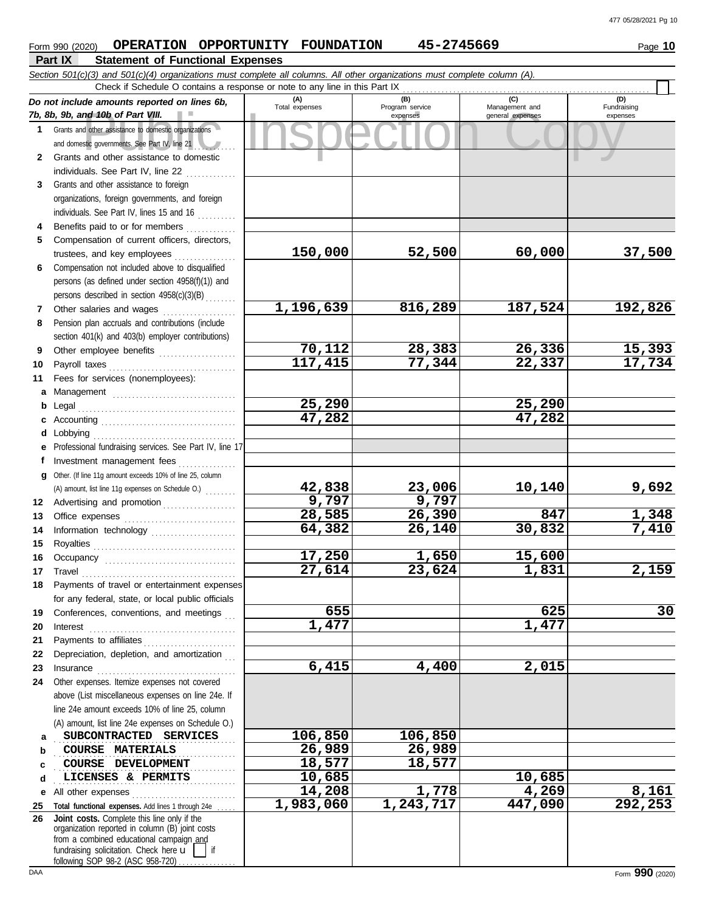## nd 10b of Part VIII.<br>
dother assistance to domestic organizations<br>
and other assistance to domestic<br>
and other assistance to domestic **Part IX Statement of Functional Expenses Form 990 (2020) OPERATION OPPORTUNITY FOUNDATION 45-2745669** Page 10 *Section 501(c)(3) and 501(c)(4) organizations must complete all columns. All other organizations must complete column (A). Do not include amounts reported on lines 6b, 7b, 8b, 9b, and 10b of Part VIII.* **1** Grants and other assistance to domestic organizations **2** and domestic governments. See Part IV, line 21 . . . . *. . . .* . . . Grants and other assistance to domestic **(A) (B) (C) (D)** Total expenses Program service Management and expenses general expenses (D)<br>Fundraising expenses Check if Schedule O contains a response or note to any line in this Part IX

|    | and domestic governments. See Part IV, line 21                                                 |           |           |         |          |
|----|------------------------------------------------------------------------------------------------|-----------|-----------|---------|----------|
| 2  | Grants and other assistance to domestic                                                        |           |           |         |          |
|    | individuals. See Part IV, line 22                                                              |           |           |         |          |
| 3  | Grants and other assistance to foreign                                                         |           |           |         |          |
|    | organizations, foreign governments, and foreign                                                |           |           |         |          |
|    | individuals. See Part IV, lines 15 and 16                                                      |           |           |         |          |
| 4  | Benefits paid to or for members                                                                |           |           |         |          |
| 5  | Compensation of current officers, directors,                                                   |           |           |         |          |
|    | trustees, and key employees                                                                    | 150,000   | 52,500    | 60,000  | 37,500   |
| 6  | Compensation not included above to disqualified                                                |           |           |         |          |
|    | persons (as defined under section 4958(f)(1)) and                                              |           |           |         |          |
|    | persons described in section 4958(c)(3)(B)                                                     |           |           |         |          |
| 7  | Other salaries and wages                                                                       | 1,196,639 | 816,289   | 187,524 | 192,826  |
| 8  | Pension plan accruals and contributions (include                                               |           |           |         |          |
|    | section 401(k) and 403(b) employer contributions)                                              |           |           |         |          |
| 9  | Other employee benefits                                                                        | 70,112    | 28,383    | 26,336  | 15,393   |
| 10 | Payroll taxes                                                                                  | 117,415   | 77,344    | 22,337  | 17,734   |
| 11 | Fees for services (nonemployees):                                                              |           |           |         |          |
| a  |                                                                                                |           |           |         |          |
| b  | Legal                                                                                          | 25,290    |           | 25,290  |          |
|    |                                                                                                | 47,282    |           | 47,282  |          |
| d  | Lobbying                                                                                       |           |           |         |          |
| е  | Professional fundraising services. See Part IV, line 17                                        |           |           |         |          |
| f  | Investment management fees                                                                     |           |           |         |          |
| g  | Other. (If line 11g amount exceeds 10% of line 25, column                                      |           |           |         |          |
|    | (A) amount, list line 11g expenses on Schedule O.)                                             | 42,838    | 23,006    | 10,140  | 9,692    |
| 12 | Advertising and promotion                                                                      | 9,797     | 9,797     |         |          |
| 13 |                                                                                                | 28,585    | 26,390    | 847     | 1,348    |
| 14 |                                                                                                | 64,382    | 26,140    | 30,832  | 7,410    |
| 15 | Information technology                                                                         |           |           |         |          |
| 16 |                                                                                                | 17,250    | 1,650     | 15,600  |          |
| 17 |                                                                                                | 27,614    | 23,624    | 1,831   | 2,159    |
|    | Travel<br>Payments of travel or entertainment expenses                                         |           |           |         |          |
| 18 |                                                                                                |           |           |         |          |
|    | for any federal, state, or local public officials                                              | 655       |           | 625     | 30       |
| 19 | Conferences, conventions, and meetings                                                         | 1,477     |           | 1,477   |          |
| 20 | Interest                                                                                       |           |           |         |          |
| 21 |                                                                                                |           |           |         |          |
|    | 22 Depreciation, depletion, and amortization                                                   | 6,415     | 4,400     |         |          |
| 23 | Insurance                                                                                      |           |           | 2,015   |          |
| 24 | Other expenses. Itemize expenses not covered                                                   |           |           |         |          |
|    | above (List miscellaneous expenses on line 24e. If                                             |           |           |         |          |
|    | line 24e amount exceeds 10% of line 25, column                                                 |           |           |         |          |
|    | (A) amount, list line 24e expenses on Schedule O.)                                             |           |           |         |          |
| a  | SUBCONTRACTED SERVICES                                                                         | 106,850   | 106,850   |         |          |
| b  | <b>COURSE MATERIALS</b>                                                                        | 26,989    | 26,989    |         |          |
| c  | COURSE DEVELOPMENT                                                                             | 18,577    | 18,577    |         |          |
| d  | LICENSES & PERMITS                                                                             | 10,685    |           | 10,685  |          |
| е  | All other expenses                                                                             | 14,208    | 1,778     | 4,269   | 8,161    |
| 25 | Total functional expenses. Add lines 1 through 24e                                             | 1,983,060 | 1,243,717 | 447,090 | 292, 253 |
| 26 | Joint costs. Complete this line only if the<br>organization reported in column (B) joint costs |           |           |         |          |
|    | from a combined educational campaign and                                                       |           |           |         |          |
|    | fundraising solicitation. Check here u<br>if                                                   |           |           |         |          |
|    | following SOP 98-2 (ASC 958-720).                                                              |           |           |         |          |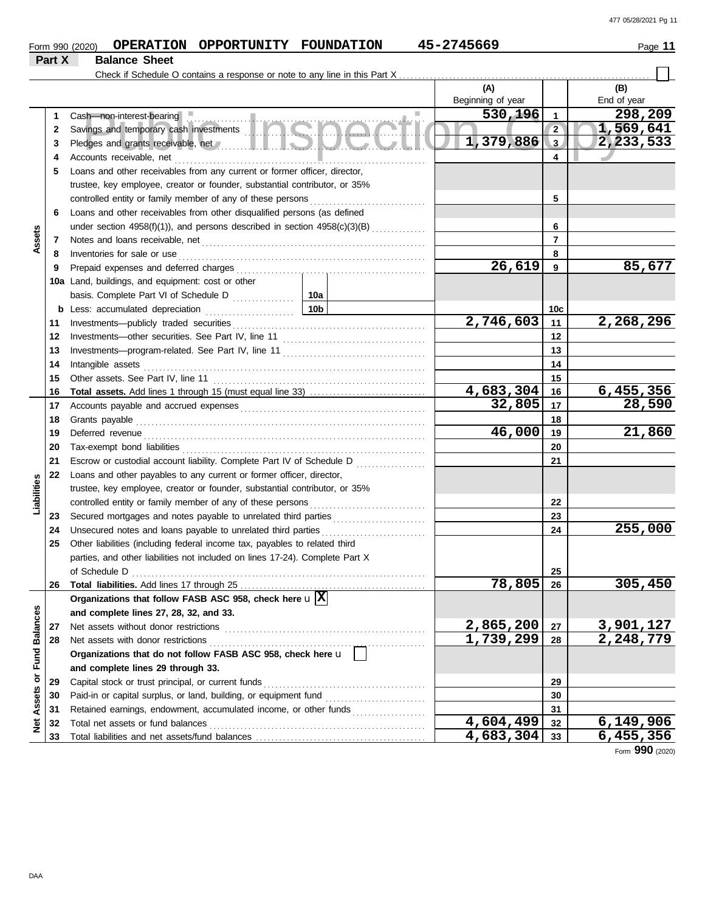|                             |        | Form 990 (2020)                                                                                                                                                                                                                      | OPERATION OPPORTUNITY FOUNDATION |                                           | 45-2745669             |                 | Page 11     |
|-----------------------------|--------|--------------------------------------------------------------------------------------------------------------------------------------------------------------------------------------------------------------------------------------|----------------------------------|-------------------------------------------|------------------------|-----------------|-------------|
|                             | Part X | <b>Balance Sheet</b>                                                                                                                                                                                                                 |                                  |                                           |                        |                 |             |
|                             |        |                                                                                                                                                                                                                                      |                                  |                                           |                        |                 |             |
|                             |        |                                                                                                                                                                                                                                      |                                  |                                           | (A)                    |                 | (B)         |
|                             |        |                                                                                                                                                                                                                                      |                                  |                                           | Beginning of year      |                 | End of year |
|                             |        | Cash-non-interest-bearing                                                                                                                                                                                                            |                                  |                                           | 530,196<br>m.          | $\mathbf{1}$    | 298,209     |
|                             | 2      | Savings and temporary cash investments <b>ANGLAY COMPANY</b>                                                                                                                                                                         |                                  |                                           |                        | $\overline{2}$  | 1,569,641   |
|                             | 3      | Pledges and grants receivable, net //www.allender.com/sections/sections/sections/sections/sections/                                                                                                                                  |                                  |                                           | 1,379,886              | 3               | 2,233,533   |
|                             | 4      | Accounts receivable, net                                                                                                                                                                                                             |                                  |                                           |                        | 4               |             |
|                             | 5      | Loans and other receivables from any current or former officer, director,                                                                                                                                                            |                                  |                                           |                        |                 |             |
|                             |        | trustee, key employee, creator or founder, substantial contributor, or 35%                                                                                                                                                           |                                  |                                           |                        |                 |             |
|                             |        |                                                                                                                                                                                                                                      |                                  |                                           |                        | 5               |             |
|                             | 6      | Loans and other receivables from other disqualified persons (as defined                                                                                                                                                              |                                  |                                           |                        |                 |             |
|                             |        | under section 4958(f)(1)), and persons described in section 4958(c)(3)(B)                                                                                                                                                            |                                  |                                           |                        | 6               |             |
| Assets                      | 7      |                                                                                                                                                                                                                                      |                                  |                                           |                        | $\overline{7}$  |             |
|                             | 8      | Inventories for sale or use                                                                                                                                                                                                          |                                  |                                           |                        | 8               |             |
|                             | 9      |                                                                                                                                                                                                                                      |                                  |                                           | 26,619                 | 9               | 85,677      |
|                             |        | 10a Land, buildings, and equipment: cost or other                                                                                                                                                                                    |                                  |                                           |                        |                 |             |
|                             |        |                                                                                                                                                                                                                                      |                                  |                                           |                        |                 |             |
|                             |        | <b>b</b> Less: accumulated depreciation                                                                                                                                                                                              |                                  | 10b                                       |                        | 10 <sub>c</sub> |             |
|                             | 11     |                                                                                                                                                                                                                                      |                                  |                                           | 2,746,603              | 11              | 2,268,296   |
|                             | 12     |                                                                                                                                                                                                                                      |                                  |                                           |                        | 12              |             |
|                             | 13     |                                                                                                                                                                                                                                      |                                  |                                           |                        | 13              |             |
|                             | 14     | Intangible assets                                                                                                                                                                                                                    |                                  |                                           |                        | 14              |             |
|                             | 15     |                                                                                                                                                                                                                                      |                                  |                                           |                        | 15              |             |
|                             | 16     |                                                                                                                                                                                                                                      |                                  |                                           | 4,683,304              | 16              | 6,455,356   |
|                             | 17     |                                                                                                                                                                                                                                      |                                  |                                           | 32,805                 | 17              | 28,590      |
|                             | 18     |                                                                                                                                                                                                                                      |                                  |                                           |                        | 18              |             |
|                             | 19     | Deferred revenue <b>contract and the contract of the contract of the contract of the contract of the contract of the contract of the contract of the contract of the contract of the contract of the contract of the contract of</b> |                                  |                                           | 46,000                 | 19              | 21,860      |
|                             | 20     |                                                                                                                                                                                                                                      |                                  |                                           |                        | 20              |             |
|                             | 21     | Escrow or custodial account liability. Complete Part IV of Schedule D                                                                                                                                                                |                                  | <u> 1999 - Johann Stoff, amerikansk f</u> |                        | 21              |             |
|                             | 22     | Loans and other payables to any current or former officer, director,                                                                                                                                                                 |                                  |                                           |                        |                 |             |
| Liabilities                 |        | trustee, key employee, creator or founder, substantial contributor, or 35%                                                                                                                                                           |                                  |                                           |                        |                 |             |
|                             |        |                                                                                                                                                                                                                                      |                                  |                                           |                        | 22              |             |
|                             | 23     | Secured mortgages and notes payable to unrelated third parties                                                                                                                                                                       |                                  |                                           |                        | 23              |             |
|                             | 24     | Unsecured notes and loans payable to unrelated third parties                                                                                                                                                                         |                                  |                                           |                        | 24              | 255,000     |
|                             | 25     | Other liabilities (including federal income tax, payables to related third                                                                                                                                                           |                                  |                                           |                        |                 |             |
|                             |        | parties, and other liabilities not included on lines 17-24). Complete Part X                                                                                                                                                         |                                  |                                           |                        |                 |             |
|                             |        | of Schedule D                                                                                                                                                                                                                        |                                  |                                           |                        | 25              |             |
|                             | 26     |                                                                                                                                                                                                                                      |                                  |                                           | 78,805                 | 26              | 305,450     |
|                             |        | Organizations that follow FASB ASC 958, check here $\mathbf{u} \overline{X}$                                                                                                                                                         |                                  |                                           |                        |                 |             |
|                             |        | and complete lines 27, 28, 32, and 33.                                                                                                                                                                                               |                                  |                                           |                        |                 |             |
|                             | 27     | Net assets without donor restrictions                                                                                                                                                                                                |                                  |                                           | 2,865,200              | 27              | 3,901,127   |
|                             | 28     | Net assets with donor restrictions                                                                                                                                                                                                   |                                  |                                           | 1,739,299              | 28              | 2,248,779   |
|                             |        | Organizations that do not follow FASB ASC 958, check here u                                                                                                                                                                          |                                  |                                           |                        |                 |             |
|                             |        | and complete lines 29 through 33.                                                                                                                                                                                                    |                                  |                                           |                        |                 |             |
|                             | 29     | Capital stock or trust principal, or current funds                                                                                                                                                                                   |                                  |                                           |                        | 29              |             |
|                             | 30     | Paid-in or capital surplus, or land, building, or equipment fund                                                                                                                                                                     |                                  |                                           |                        | 30              |             |
| Net Assets or Fund Balances | 31     | Retained earnings, endowment, accumulated income, or other funds                                                                                                                                                                     |                                  | .                                         |                        | 31              |             |
|                             | 32     | Total net assets or fund balances                                                                                                                                                                                                    |                                  |                                           | $\overline{4,604,499}$ | 32              | 6,149,906   |
|                             | 33     |                                                                                                                                                                                                                                      |                                  |                                           | 4,683,304              | 33              | 6,455,356   |

Form **990** (2020)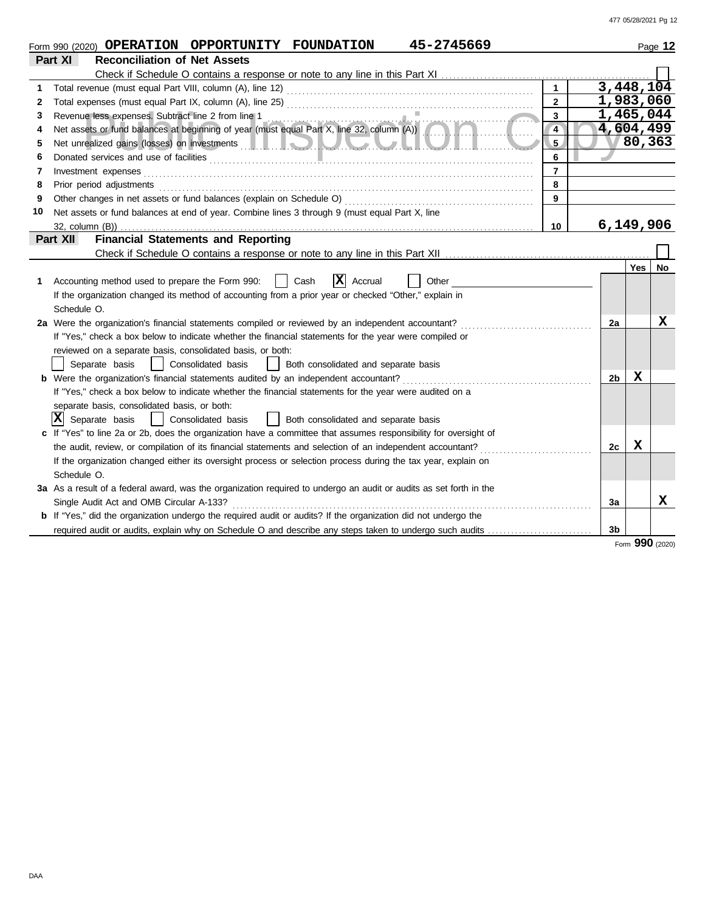|    | 45-2745669<br>Form 990 (2020) OPERATION OPPORTUNITY FOUNDATION                                                                                                                                                                            |                 |            | Page 12 |
|----|-------------------------------------------------------------------------------------------------------------------------------------------------------------------------------------------------------------------------------------------|-----------------|------------|---------|
|    | Part XI<br><b>Reconciliation of Net Assets</b>                                                                                                                                                                                            |                 |            |         |
|    |                                                                                                                                                                                                                                           |                 |            |         |
| 1  |                                                                                                                                                                                                                                           | 3,448,104       |            |         |
| 2  | $\mathbf{2}$                                                                                                                                                                                                                              | 1,983,060       |            |         |
| 3  | $\overline{\mathbf{3}}$<br>Revenue less expenses. Subtract line 2 from line 1<br>Net assets or fund balances at beginning of year (must equal Part X, line 32, column (A))                                                                | 1,465,044       |            |         |
| 4  | $\overline{4}$                                                                                                                                                                                                                            | 4,604,499       |            |         |
| 5  | Net unrealized gains (losses) on investments <b>and the contract of the contract of the contract of the contract of the contract of the contract of the contract of the contract of the contract of the contract of the contract</b><br>5 | $\sqrt{80,363}$ |            |         |
| 6  | 6                                                                                                                                                                                                                                         |                 |            |         |
| 7  | $\overline{7}$<br>Investment expenses                                                                                                                                                                                                     |                 |            |         |
| 8  | 8<br>Prior period adjustments entertainments and adjustments of the contract of the contract of the contract of the contract of the contract of the contract of the contract of the contract of the contract of the contract of the       |                 |            |         |
| 9  | 9                                                                                                                                                                                                                                         |                 |            |         |
| 10 | Net assets or fund balances at end of year. Combine lines 3 through 9 (must equal Part X, line                                                                                                                                            |                 |            |         |
|    | 10                                                                                                                                                                                                                                        | 6,149,906       |            |         |
|    | <b>Financial Statements and Reporting</b><br>Part XII                                                                                                                                                                                     |                 |            |         |
|    |                                                                                                                                                                                                                                           |                 |            |         |
|    |                                                                                                                                                                                                                                           |                 | <b>Yes</b> | No      |
| 1  | ΙXΙ<br>Accounting method used to prepare the Form 990:<br>Cash<br>Accrual<br>Other                                                                                                                                                        |                 |            |         |
|    | If the organization changed its method of accounting from a prior year or checked "Other," explain in                                                                                                                                     |                 |            |         |
|    | Schedule O.                                                                                                                                                                                                                               |                 |            |         |
|    | 2a Were the organization's financial statements compiled or reviewed by an independent accountant?                                                                                                                                        | 2a              |            | x       |
|    | If "Yes," check a box below to indicate whether the financial statements for the year were compiled or                                                                                                                                    |                 |            |         |
|    | reviewed on a separate basis, consolidated basis, or both:                                                                                                                                                                                |                 |            |         |
|    | Separate basis<br>Consolidated basis<br>Both consolidated and separate basis<br>$\mathbf{1}$                                                                                                                                              |                 |            |         |
|    | <b>b</b> Were the organization's financial statements audited by an independent accountant?                                                                                                                                               | 2b              | X          |         |
|    | If "Yes," check a box below to indicate whether the financial statements for the year were audited on a                                                                                                                                   |                 |            |         |
|    | separate basis, consolidated basis, or both:                                                                                                                                                                                              |                 |            |         |
|    | X <br>Separate basis<br>  Consolidated basis<br>Both consolidated and separate basis                                                                                                                                                      |                 |            |         |
|    | c If "Yes" to line 2a or 2b, does the organization have a committee that assumes responsibility for oversight of                                                                                                                          |                 |            |         |
|    | the audit, review, or compilation of its financial statements and selection of an independent accountant?                                                                                                                                 | 2c              | X          |         |
|    | If the organization changed either its oversight process or selection process during the tax year, explain on                                                                                                                             |                 |            |         |
|    | Schedule O.                                                                                                                                                                                                                               |                 |            |         |
|    | 3a As a result of a federal award, was the organization required to undergo an audit or audits as set forth in the                                                                                                                        |                 |            |         |
|    | Single Audit Act and OMB Circular A-133?                                                                                                                                                                                                  | За              |            | X       |
|    | <b>b</b> If "Yes," did the organization undergo the required audit or audits? If the organization did not undergo the                                                                                                                     |                 |            |         |
|    | required audit or audits, explain why on Schedule O and describe any steps taken to undergo such audits                                                                                                                                   | 3b              |            |         |

Form **990** (2020)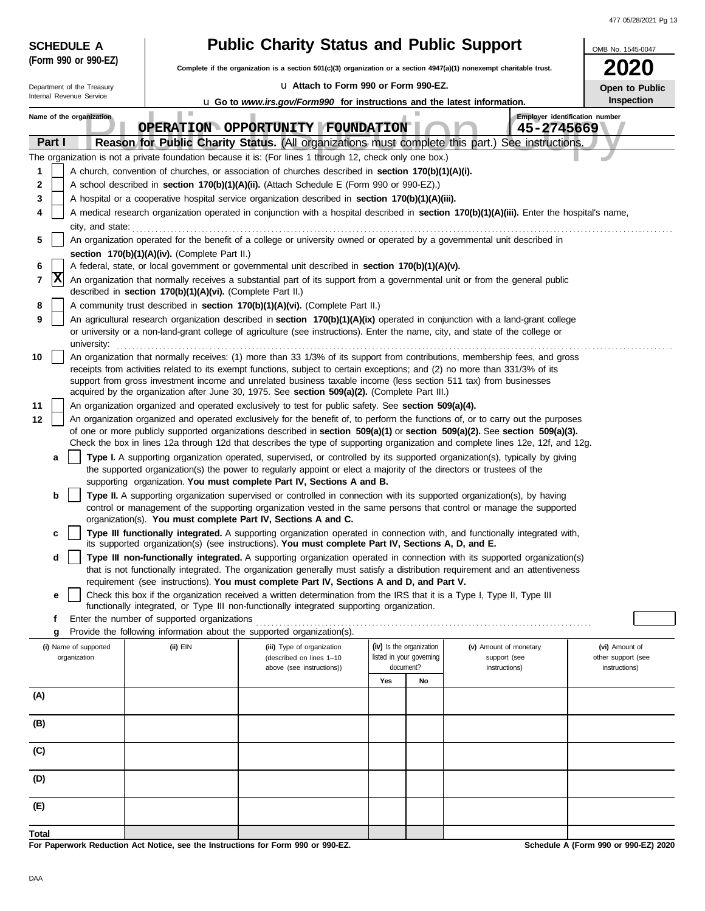| <b>SCHEDULE A</b>                                                                                                                                              |                                                                                                                  | <b>Public Charity Status and Public Support</b>                                                                                                                                                                                                                                                                                                                                                                                                                                                                                                                                                                                                                                                                                                                                                                                                                                                                                                                                                                                                                                                                                                                                                                                                                                                                                                                                                                                                                                                                                                                                                                                                                                                                                                                                                                                                                                                                                                                                                                                                                                                                                                                                                                                                                                                                                                                                                                                                                                                                                                                                                                                                                                                                                                                                                                                                                                                                                                                                                                                                                                                                                                                                                                                                                                                                                                                                                                                                                                                                                                                                                                                                              |     |                                                                   |                                                                   | OMB No. 1545-0047                                     |
|----------------------------------------------------------------------------------------------------------------------------------------------------------------|------------------------------------------------------------------------------------------------------------------|--------------------------------------------------------------------------------------------------------------------------------------------------------------------------------------------------------------------------------------------------------------------------------------------------------------------------------------------------------------------------------------------------------------------------------------------------------------------------------------------------------------------------------------------------------------------------------------------------------------------------------------------------------------------------------------------------------------------------------------------------------------------------------------------------------------------------------------------------------------------------------------------------------------------------------------------------------------------------------------------------------------------------------------------------------------------------------------------------------------------------------------------------------------------------------------------------------------------------------------------------------------------------------------------------------------------------------------------------------------------------------------------------------------------------------------------------------------------------------------------------------------------------------------------------------------------------------------------------------------------------------------------------------------------------------------------------------------------------------------------------------------------------------------------------------------------------------------------------------------------------------------------------------------------------------------------------------------------------------------------------------------------------------------------------------------------------------------------------------------------------------------------------------------------------------------------------------------------------------------------------------------------------------------------------------------------------------------------------------------------------------------------------------------------------------------------------------------------------------------------------------------------------------------------------------------------------------------------------------------------------------------------------------------------------------------------------------------------------------------------------------------------------------------------------------------------------------------------------------------------------------------------------------------------------------------------------------------------------------------------------------------------------------------------------------------------------------------------------------------------------------------------------------------------------------------------------------------------------------------------------------------------------------------------------------------------------------------------------------------------------------------------------------------------------------------------------------------------------------------------------------------------------------------------------------------------------------------------------------------------------------------------------------------|-----|-------------------------------------------------------------------|-------------------------------------------------------------------|-------------------------------------------------------|
| (Form 990 or 990-EZ)                                                                                                                                           |                                                                                                                  | Complete if the organization is a section 501(c)(3) organization or a section 4947(a)(1) nonexempt charitable trust.                                                                                                                                                                                                                                                                                                                                                                                                                                                                                                                                                                                                                                                                                                                                                                                                                                                                                                                                                                                                                                                                                                                                                                                                                                                                                                                                                                                                                                                                                                                                                                                                                                                                                                                                                                                                                                                                                                                                                                                                                                                                                                                                                                                                                                                                                                                                                                                                                                                                                                                                                                                                                                                                                                                                                                                                                                                                                                                                                                                                                                                                                                                                                                                                                                                                                                                                                                                                                                                                                                                                         |     |                                                                   |                                                                   |                                                       |
| Department of the Treasury                                                                                                                                     |                                                                                                                  | La Attach to Form 990 or Form 990-EZ.                                                                                                                                                                                                                                                                                                                                                                                                                                                                                                                                                                                                                                                                                                                                                                                                                                                                                                                                                                                                                                                                                                                                                                                                                                                                                                                                                                                                                                                                                                                                                                                                                                                                                                                                                                                                                                                                                                                                                                                                                                                                                                                                                                                                                                                                                                                                                                                                                                                                                                                                                                                                                                                                                                                                                                                                                                                                                                                                                                                                                                                                                                                                                                                                                                                                                                                                                                                                                                                                                                                                                                                                                        |     |                                                                   |                                                                   | Open to Public                                        |
| Internal Revenue Service                                                                                                                                       |                                                                                                                  | <b>u</b> Go to www.irs.gov/Form990 for instructions and the latest information.                                                                                                                                                                                                                                                                                                                                                                                                                                                                                                                                                                                                                                                                                                                                                                                                                                                                                                                                                                                                                                                                                                                                                                                                                                                                                                                                                                                                                                                                                                                                                                                                                                                                                                                                                                                                                                                                                                                                                                                                                                                                                                                                                                                                                                                                                                                                                                                                                                                                                                                                                                                                                                                                                                                                                                                                                                                                                                                                                                                                                                                                                                                                                                                                                                                                                                                                                                                                                                                                                                                                                                              |     |                                                                   |                                                                   | Inspection                                            |
| Name of the organization<br>Part I<br>1<br>2<br>3<br>4<br>city, and state:<br>5<br>6<br> x<br>7<br>8<br>9<br>university:<br>10<br>11<br>12<br>a<br>b<br>c<br>d | ш<br>section 170(b)(1)(A)(iv). (Complete Part II.)<br>described in section 170(b)(1)(A)(vi). (Complete Part II.) | OPERATION OPPORTUNITY FOUNDATION<br>Reason for Public Charity Status. (All organizations must complete this part.)<br>The organization is not a private foundation because it is: (For lines 1 through 12, check only one box.)<br>A church, convention of churches, or association of churches described in section 170(b)(1)(A)(i).<br>A school described in section 170(b)(1)(A)(ii). (Attach Schedule E (Form 990 or 990-EZ).)<br>A hospital or a cooperative hospital service organization described in section 170(b)(1)(A)(iii).<br>A medical research organization operated in conjunction with a hospital described in section 170(b)(1)(A)(iii). Enter the hospital's name,<br>An organization operated for the benefit of a college or university owned or operated by a governmental unit described in<br>A federal, state, or local government or governmental unit described in section 170(b)(1)(A)(v).<br>An organization that normally receives a substantial part of its support from a governmental unit or from the general public<br>A community trust described in section 170(b)(1)(A)(vi). (Complete Part II.)<br>An agricultural research organization described in section 170(b)(1)(A)(ix) operated in conjunction with a land-grant college<br>or university or a non-land-grant college of agriculture (see instructions). Enter the name, city, and state of the college or<br>An organization that normally receives: (1) more than 33 1/3% of its support from contributions, membership fees, and gross<br>receipts from activities related to its exempt functions, subject to certain exceptions; and (2) no more than 331/3% of its<br>support from gross investment income and unrelated business taxable income (less section 511 tax) from businesses<br>acquired by the organization after June 30, 1975. See section 509(a)(2). (Complete Part III.)<br>An organization organized and operated exclusively to test for public safety. See section 509(a)(4).<br>An organization organized and operated exclusively for the benefit of, to perform the functions of, or to carry out the purposes<br>of one or more publicly supported organizations described in section 509(a)(1) or section 509(a)(2). See section 509(a)(3).<br>Check the box in lines 12a through 12d that describes the type of supporting organization and complete lines 12e, 12f, and 12g.<br>Type I. A supporting organization operated, supervised, or controlled by its supported organization(s), typically by giving<br>the supported organization(s) the power to regularly appoint or elect a majority of the directors or trustees of the<br>supporting organization. You must complete Part IV, Sections A and B.<br>Type II. A supporting organization supervised or controlled in connection with its supported organization(s), by having<br>control or management of the supporting organization vested in the same persons that control or manage the supported<br>organization(s). You must complete Part IV, Sections A and C.<br>Type III functionally integrated. A supporting organization operated in connection with, and functionally integrated with,<br>its supported organization(s) (see instructions). You must complete Part IV, Sections A, D, and E.<br>Type III non-functionally integrated. A supporting organization operated in connection with its supported organization(s)<br>that is not functionally integrated. The organization generally must satisfy a distribution requirement and an attentiveness<br>requirement (see instructions). You must complete Part IV, Sections A and D, and Part V. |     |                                                                   | Employer identification number<br>45-2745669<br>See instructions. |                                                       |
| е<br>f                                                                                                                                                         | Enter the number of supported organizations                                                                      | Check this box if the organization received a written determination from the IRS that it is a Type I, Type II, Type III<br>functionally integrated, or Type III non-functionally integrated supporting organization.                                                                                                                                                                                                                                                                                                                                                                                                                                                                                                                                                                                                                                                                                                                                                                                                                                                                                                                                                                                                                                                                                                                                                                                                                                                                                                                                                                                                                                                                                                                                                                                                                                                                                                                                                                                                                                                                                                                                                                                                                                                                                                                                                                                                                                                                                                                                                                                                                                                                                                                                                                                                                                                                                                                                                                                                                                                                                                                                                                                                                                                                                                                                                                                                                                                                                                                                                                                                                                         |     |                                                                   |                                                                   |                                                       |
| g                                                                                                                                                              |                                                                                                                  | Provide the following information about the supported organization(s).                                                                                                                                                                                                                                                                                                                                                                                                                                                                                                                                                                                                                                                                                                                                                                                                                                                                                                                                                                                                                                                                                                                                                                                                                                                                                                                                                                                                                                                                                                                                                                                                                                                                                                                                                                                                                                                                                                                                                                                                                                                                                                                                                                                                                                                                                                                                                                                                                                                                                                                                                                                                                                                                                                                                                                                                                                                                                                                                                                                                                                                                                                                                                                                                                                                                                                                                                                                                                                                                                                                                                                                       |     |                                                                   |                                                                   |                                                       |
| (i) Name of supported<br>organization                                                                                                                          | (ii) EIN                                                                                                         | (iii) Type of organization<br>(described on lines 1-10<br>above (see instructions))                                                                                                                                                                                                                                                                                                                                                                                                                                                                                                                                                                                                                                                                                                                                                                                                                                                                                                                                                                                                                                                                                                                                                                                                                                                                                                                                                                                                                                                                                                                                                                                                                                                                                                                                                                                                                                                                                                                                                                                                                                                                                                                                                                                                                                                                                                                                                                                                                                                                                                                                                                                                                                                                                                                                                                                                                                                                                                                                                                                                                                                                                                                                                                                                                                                                                                                                                                                                                                                                                                                                                                          |     | (iv) Is the organization<br>listed in your governing<br>document? | (v) Amount of monetary<br>support (see<br>instructions)           | (vi) Amount of<br>other support (see<br>instructions) |
|                                                                                                                                                                |                                                                                                                  |                                                                                                                                                                                                                                                                                                                                                                                                                                                                                                                                                                                                                                                                                                                                                                                                                                                                                                                                                                                                                                                                                                                                                                                                                                                                                                                                                                                                                                                                                                                                                                                                                                                                                                                                                                                                                                                                                                                                                                                                                                                                                                                                                                                                                                                                                                                                                                                                                                                                                                                                                                                                                                                                                                                                                                                                                                                                                                                                                                                                                                                                                                                                                                                                                                                                                                                                                                                                                                                                                                                                                                                                                                                              | Yes | No                                                                |                                                                   |                                                       |
| (A)                                                                                                                                                            |                                                                                                                  |                                                                                                                                                                                                                                                                                                                                                                                                                                                                                                                                                                                                                                                                                                                                                                                                                                                                                                                                                                                                                                                                                                                                                                                                                                                                                                                                                                                                                                                                                                                                                                                                                                                                                                                                                                                                                                                                                                                                                                                                                                                                                                                                                                                                                                                                                                                                                                                                                                                                                                                                                                                                                                                                                                                                                                                                                                                                                                                                                                                                                                                                                                                                                                                                                                                                                                                                                                                                                                                                                                                                                                                                                                                              |     |                                                                   |                                                                   |                                                       |
| (B)                                                                                                                                                            |                                                                                                                  |                                                                                                                                                                                                                                                                                                                                                                                                                                                                                                                                                                                                                                                                                                                                                                                                                                                                                                                                                                                                                                                                                                                                                                                                                                                                                                                                                                                                                                                                                                                                                                                                                                                                                                                                                                                                                                                                                                                                                                                                                                                                                                                                                                                                                                                                                                                                                                                                                                                                                                                                                                                                                                                                                                                                                                                                                                                                                                                                                                                                                                                                                                                                                                                                                                                                                                                                                                                                                                                                                                                                                                                                                                                              |     |                                                                   |                                                                   |                                                       |
| (C)                                                                                                                                                            |                                                                                                                  |                                                                                                                                                                                                                                                                                                                                                                                                                                                                                                                                                                                                                                                                                                                                                                                                                                                                                                                                                                                                                                                                                                                                                                                                                                                                                                                                                                                                                                                                                                                                                                                                                                                                                                                                                                                                                                                                                                                                                                                                                                                                                                                                                                                                                                                                                                                                                                                                                                                                                                                                                                                                                                                                                                                                                                                                                                                                                                                                                                                                                                                                                                                                                                                                                                                                                                                                                                                                                                                                                                                                                                                                                                                              |     |                                                                   |                                                                   |                                                       |
| (D)                                                                                                                                                            |                                                                                                                  |                                                                                                                                                                                                                                                                                                                                                                                                                                                                                                                                                                                                                                                                                                                                                                                                                                                                                                                                                                                                                                                                                                                                                                                                                                                                                                                                                                                                                                                                                                                                                                                                                                                                                                                                                                                                                                                                                                                                                                                                                                                                                                                                                                                                                                                                                                                                                                                                                                                                                                                                                                                                                                                                                                                                                                                                                                                                                                                                                                                                                                                                                                                                                                                                                                                                                                                                                                                                                                                                                                                                                                                                                                                              |     |                                                                   |                                                                   |                                                       |
| (E)                                                                                                                                                            |                                                                                                                  |                                                                                                                                                                                                                                                                                                                                                                                                                                                                                                                                                                                                                                                                                                                                                                                                                                                                                                                                                                                                                                                                                                                                                                                                                                                                                                                                                                                                                                                                                                                                                                                                                                                                                                                                                                                                                                                                                                                                                                                                                                                                                                                                                                                                                                                                                                                                                                                                                                                                                                                                                                                                                                                                                                                                                                                                                                                                                                                                                                                                                                                                                                                                                                                                                                                                                                                                                                                                                                                                                                                                                                                                                                                              |     |                                                                   |                                                                   |                                                       |
|                                                                                                                                                                |                                                                                                                  |                                                                                                                                                                                                                                                                                                                                                                                                                                                                                                                                                                                                                                                                                                                                                                                                                                                                                                                                                                                                                                                                                                                                                                                                                                                                                                                                                                                                                                                                                                                                                                                                                                                                                                                                                                                                                                                                                                                                                                                                                                                                                                                                                                                                                                                                                                                                                                                                                                                                                                                                                                                                                                                                                                                                                                                                                                                                                                                                                                                                                                                                                                                                                                                                                                                                                                                                                                                                                                                                                                                                                                                                                                                              |     |                                                                   |                                                                   |                                                       |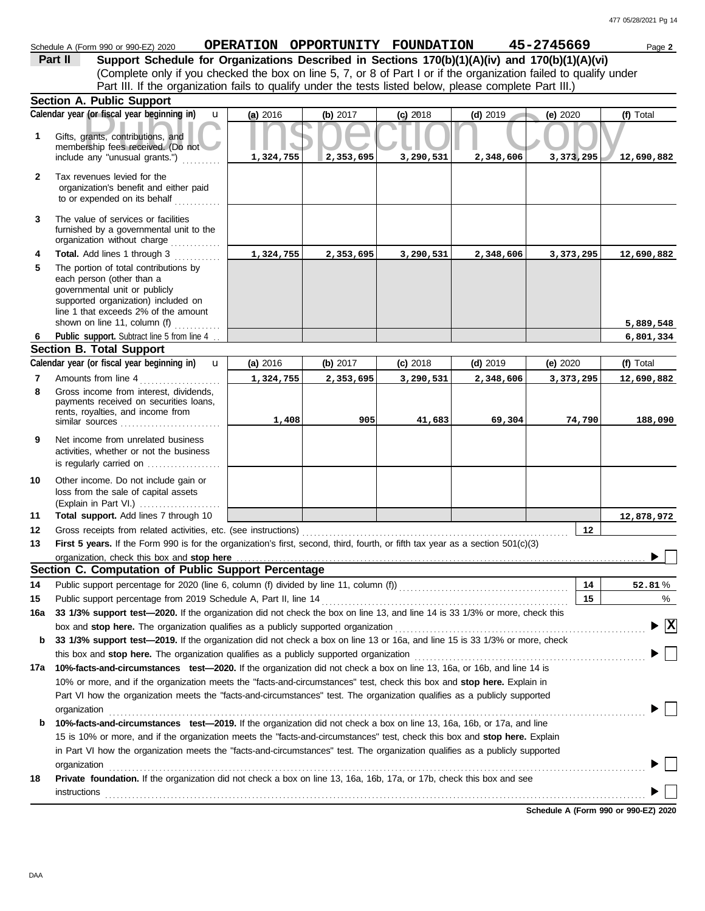|              | Schedule A (Form 990 or 990-EZ) 2020                                                                                                                                                                                         | OPERATION OPPORTUNITY FOUNDATION |           |            |            | 45-2745669 | Page 2     |
|--------------|------------------------------------------------------------------------------------------------------------------------------------------------------------------------------------------------------------------------------|----------------------------------|-----------|------------|------------|------------|------------|
|              | Support Schedule for Organizations Described in Sections 170(b)(1)(A)(iv) and 170(b)(1)(A)(vi)<br>Part II                                                                                                                    |                                  |           |            |            |            |            |
|              | (Complete only if you checked the box on line 5, 7, or 8 of Part I or if the organization failed to qualify under<br>Part III. If the organization fails to qualify under the tests listed below, please complete Part III.) |                                  |           |            |            |            |            |
|              | <b>Section A. Public Support</b>                                                                                                                                                                                             |                                  |           |            |            |            |            |
|              | Calendar year (or fiscal year beginning in)<br>$\mathbf{u}$                                                                                                                                                                  | (a) 2016                         |           |            | $(d)$ 2019 |            | (f) Total  |
|              |                                                                                                                                                                                                                              |                                  | (b) 2017  | $(c)$ 2018 |            | (e) 2020   |            |
| 1            | Gifts, grants, contributions, and<br>membership fees received. (Do not                                                                                                                                                       |                                  |           |            |            |            |            |
|              | include any "unusual grants.")                                                                                                                                                                                               | 1,324,755                        | 2,353,695 | 3,290,531  | 2,348,606  | 3,373,295  | 12,690,882 |
| $\mathbf{2}$ | Tax revenues levied for the<br>organization's benefit and either paid<br>to or expended on its behalf                                                                                                                        |                                  |           |            |            |            |            |
| 3            | The value of services or facilities<br>furnished by a governmental unit to the<br>organization without charge                                                                                                                |                                  |           |            |            |            |            |
| 4            | Total. Add lines 1 through 3                                                                                                                                                                                                 | 1,324,755                        | 2,353,695 | 3,290,531  | 2,348,606  | 3,373,295  | 12,690,882 |
| 5            | The portion of total contributions by<br>each person (other than a<br>governmental unit or publicly<br>supported organization) included on<br>line 1 that exceeds 2% of the amount                                           |                                  |           |            |            |            |            |
|              | shown on line 11, column (f)                                                                                                                                                                                                 |                                  |           |            |            |            | 5,889,548  |
| 6.           | Public support. Subtract line 5 from line 4                                                                                                                                                                                  |                                  |           |            |            |            | 6,801,334  |
|              | <b>Section B. Total Support</b><br>Calendar year (or fiscal year beginning in)                                                                                                                                               |                                  |           |            |            |            |            |
|              | $\mathbf{u}$                                                                                                                                                                                                                 | (a) 2016                         | (b) 2017  | $(c)$ 2018 | $(d)$ 2019 | (e) 2020   | (f) Total  |
| 7            | Amounts from line 4                                                                                                                                                                                                          | 1,324,755                        | 2,353,695 | 3,290,531  | 2,348,606  | 3,373,295  | 12,690,882 |
| 8            | Gross income from interest, dividends,<br>payments received on securities loans,<br>rents, royalties, and income from<br>similar sources                                                                                     | 1,408                            | 905       | 41,683     | 69,304     | 74,790     | 188,090    |
| 9            | Net income from unrelated business<br>activities, whether or not the business<br>is regularly carried on                                                                                                                     |                                  |           |            |            |            |            |
| 10           | Other income. Do not include gain or<br>loss from the sale of capital assets<br>(Explain in Part VI.)                                                                                                                        |                                  |           |            |            |            |            |
| 11           | Total support. Add lines 7 through 10                                                                                                                                                                                        |                                  |           |            |            |            | 12,878,972 |
| 12           | Gross receipts from related activities, etc. (see instructions)                                                                                                                                                              |                                  |           |            |            | $12 \,$    |            |
| 13           | First 5 years. If the Form 990 is for the organization's first, second, third, fourth, or fifth tax year as a section 501(c)(3)                                                                                              |                                  |           |            |            |            |            |

| <b>I HOL J VEGIS.</b> II LIIC I VIIII JJV IS IVI LIIC VIYAHIZAHVITS IIISK, SCOVIN, LIIIN, TOUHH, VI IIIHI LAA YEAHAS A SCOHVIT JVTTONJI   |                                                                                                               |                                 |
|-------------------------------------------------------------------------------------------------------------------------------------------|---------------------------------------------------------------------------------------------------------------|---------------------------------|
|                                                                                                                                           |                                                                                                               |                                 |
| Section C. Computation of Public Support Percentage                                                                                       |                                                                                                               |                                 |
|                                                                                                                                           | 14                                                                                                            | 52.81%                          |
| Public support percentage from 2019 Schedule A, Part II, line 14                                                                          | 15                                                                                                            | %                               |
| 33 1/3% support test—2020. If the organization did not check the box on line 13, and line 14 is 33 1/3% or more, check this               |                                                                                                               |                                 |
| box and stop here. The organization qualifies as a publicly supported organization                                                        |                                                                                                               | $\blacktriangleright$ $\vert$ X |
| 33 1/3% support test—2019. If the organization did not check a box on line 13 or 16a, and line 15 is 33 1/3% or more, check               |                                                                                                               |                                 |
| this box and <b>stop here.</b> The organization qualifies as a publicly supported organization                                            |                                                                                                               |                                 |
| 10%-facts-and-circumstances test-2020. If the organization did not check a box on line 13, 16a, or 16b, and line 14 is                    |                                                                                                               |                                 |
| 10% or more, and if the organization meets the "facts-and-circumstances" test, check this box and <b>stop here.</b> Explain in            |                                                                                                               |                                 |
| Part VI how the organization meets the "facts-and-circumstances" test. The organization qualifies as a publicly supported<br>organization |                                                                                                               |                                 |
| 10%-facts-and-circumstances test-2019. If the organization did not check a box on line 13, 16a, 16b, or 17a, and line                     |                                                                                                               |                                 |
| 15 is 10% or more, and if the organization meets the "facts-and-circumstances" test, check this box and stop here. Explain                |                                                                                                               |                                 |
| in Part VI how the organization meets the "facts-and-circumstances" test. The organization qualifies as a publicly supported              |                                                                                                               |                                 |
| organization                                                                                                                              |                                                                                                               |                                 |
| <b>Private foundation.</b> If the organization did not check a box on line 13, 16a, 16b, 17a, or 17b, check this box and see              |                                                                                                               |                                 |
| instructions                                                                                                                              |                                                                                                               |                                 |
|                                                                                                                                           | Public support percentage for 2020 (line 6, column (f) divided by line 11, column (f) [[[[[[[[[[[[[[[[[[[[[[[ |                                 |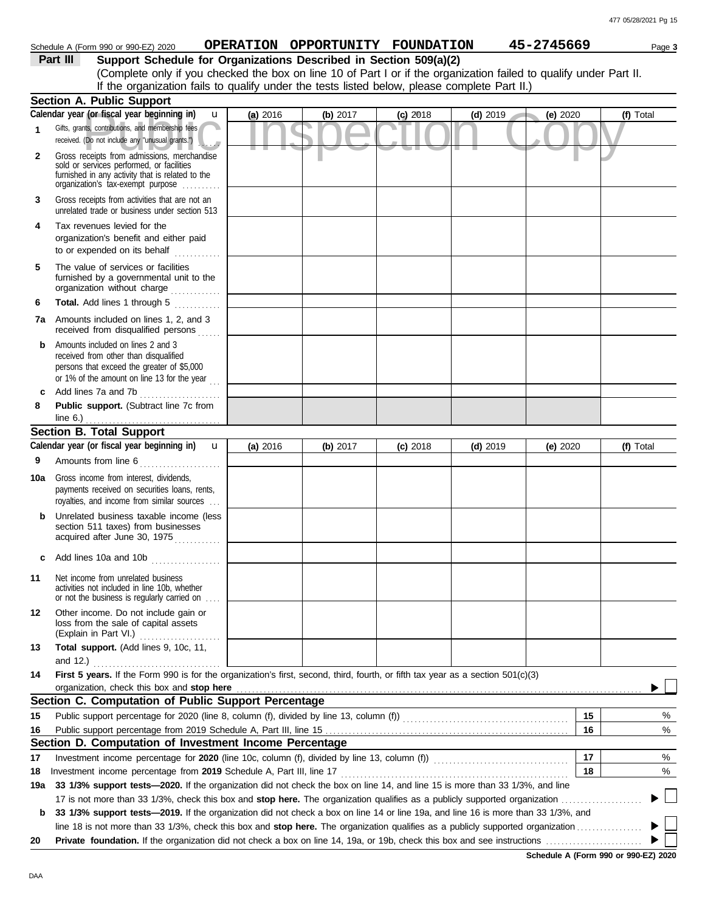| Schedule A (Form 990 or 990-EZ) 2020 | <b>OPERATION</b> | I OPPORTUNITY FOUNDATION | 45-2745669 | Page 3 |
|--------------------------------------|------------------|--------------------------|------------|--------|
|                                      |                  |                          |            |        |

**Part III Support Schedule for Organizations Described in Section 509(a)(2)** (Complete only if you checked the box on line 10 of Part I or if the organization failed to qualify under Part II. If the organization fails to qualify under the tests listed below, please complete Part II.)

|              | <b>Section A. Public Support</b>                                                                                                                                                  |          |          |            |            |          |           |
|--------------|-----------------------------------------------------------------------------------------------------------------------------------------------------------------------------------|----------|----------|------------|------------|----------|-----------|
|              | Calendar year (or fiscal year beginning in)<br>$\mathbf{u}$                                                                                                                       | (a) 2016 | (b) 2017 | $(c)$ 2018 | $(d)$ 2019 | (e) 2020 | (f) Total |
| 1            | Gifts, grants, contributions, and membership fees<br>received. (Do not include any "unusual grants.")<br>$\cdot$ . $\cdot$                                                        |          |          |            |            |          |           |
| $\mathbf{2}$ | Gross receipts from admissions, merchandise<br>sold or services performed, or facilities<br>furnished in any activity that is related to the<br>organization's fax-exempt purpose |          |          |            |            |          |           |
| 3            | Gross receipts from activities that are not an<br>unrelated trade or business under section 513                                                                                   |          |          |            |            |          |           |
| 4            | Tax revenues levied for the<br>organization's benefit and either paid<br>to or expended on its behalf<br>. <b>.</b>                                                               |          |          |            |            |          |           |
| 5            | The value of services or facilities<br>furnished by a governmental unit to the<br>organization without charge                                                                     |          |          |            |            |          |           |
| 6            | Total. Add lines 1 through 5                                                                                                                                                      |          |          |            |            |          |           |
| 7a           | Amounts included on lines 1, 2, and 3<br>received from disqualified persons                                                                                                       |          |          |            |            |          |           |
| b            | Amounts included on lines 2 and 3<br>received from other than disqualified<br>persons that exceed the greater of \$5,000<br>or 1% of the amount on line 13 for the year $\ldots$  |          |          |            |            |          |           |
| c            | Add lines 7a and 7b<br>.                                                                                                                                                          |          |          |            |            |          |           |
| 8            | Public support. (Subtract line 7c from<br>line $6.$ )                                                                                                                             |          |          |            |            |          |           |
|              | <b>Section B. Total Support</b>                                                                                                                                                   |          |          |            |            |          |           |
|              | Calendar year (or fiscal year beginning in) $\mathbf u$                                                                                                                           | (a) 2016 | (b) 2017 | $(c)$ 2018 | $(d)$ 2019 | (e) 2020 | (f) Total |
| 9            | Amounts from line 6                                                                                                                                                               |          |          |            |            |          |           |
| 10a          | Gross income from interest, dividends,<br>payments received on securities loans, rents,<br>royalties, and income from similar sources                                             |          |          |            |            |          |           |
|              | Unrelated business taxable income (less<br>section 511 taxes) from businesses<br>acquired after June 30, 1975                                                                     |          |          |            |            |          |           |
| c            | Add lines 10a and 10b $\ldots$                                                                                                                                                    |          |          |            |            |          |           |
| 11           | Net income from unrelated business<br>activities not included in line 10b, whether<br>or not the business is regularly carried on                                                 |          |          |            |            |          |           |
| 12           | Other income. Do not include gain or<br>loss from the sale of capital assets<br>(Explain in Part VI.)<br>.                                                                        |          |          |            |            |          |           |
| 13           | Total support. (Add lines 9, 10c, 11,                                                                                                                                             |          |          |            |            |          |           |
|              | and $12.$ )                                                                                                                                                                       |          |          |            |            |          |           |
| 14           | First 5 years. If the Form 990 is for the organization's first, second, third, fourth, or fifth tax year as a section 501(c)(3)<br>organization, check this box and stop here     |          |          |            |            |          |           |
|              | Section C. Computation of Public Support Percentage                                                                                                                               |          |          |            |            |          |           |
| 15           |                                                                                                                                                                                   |          |          |            |            | 15       | %         |
| 16           |                                                                                                                                                                                   |          |          |            |            | 16       | %         |
|              | Section D. Computation of Investment Income Percentage                                                                                                                            |          |          |            |            |          |           |
| 17           | Investment income percentage for 2020 (line 10c, column (f), divided by line 13, column (f)) [[[[[[[[[[[[[[[[[                                                                    |          |          |            |            | 17       | %         |
| 18           | Investment income percentage from 2019 Schedule A, Part III, line 17                                                                                                              |          |          |            |            | 18       | %         |
| 19a          | 33 1/3% support tests-2020. If the organization did not check the box on line 14, and line 15 is more than 33 1/3%, and line                                                      |          |          |            |            |          |           |
|              |                                                                                                                                                                                   |          |          |            |            |          |           |
| b            | 33 1/3% support tests-2019. If the organization did not check a box on line 14 or line 19a, and line 16 is more than 33 1/3%, and                                                 |          |          |            |            |          |           |
|              |                                                                                                                                                                                   |          |          |            |            |          |           |
| 20           |                                                                                                                                                                                   |          |          |            |            |          |           |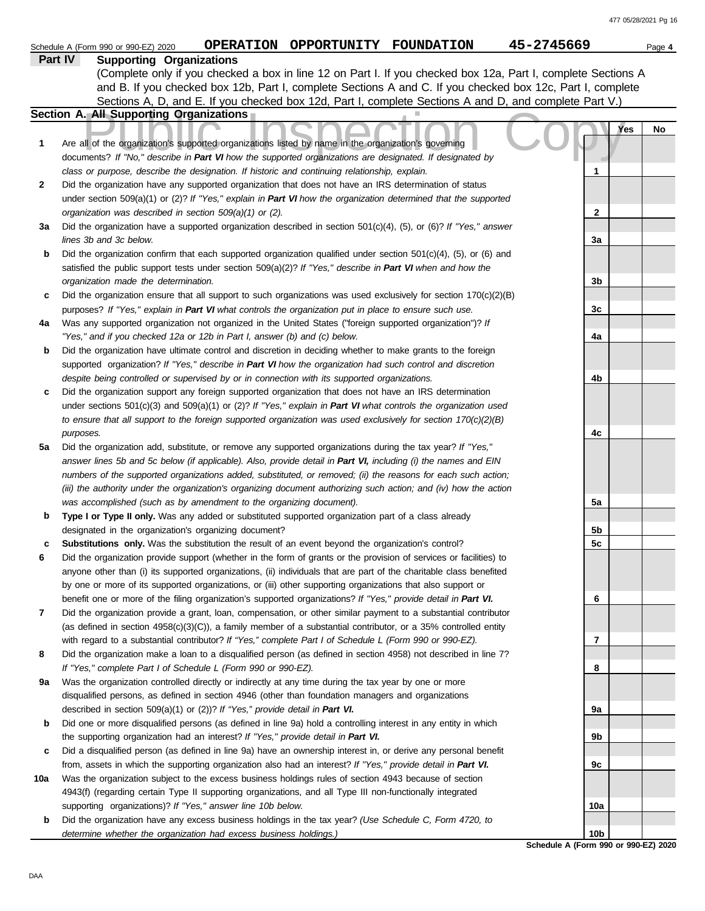|     | 45-2745669<br>OPERATION OPPORTUNITY FOUNDATION<br>Schedule A (Form 990 or 990-EZ) 2020                                                                                                               |     |     | Page 4 |
|-----|------------------------------------------------------------------------------------------------------------------------------------------------------------------------------------------------------|-----|-----|--------|
|     | Part IV<br><b>Supporting Organizations</b>                                                                                                                                                           |     |     |        |
|     | (Complete only if you checked a box in line 12 on Part I. If you checked box 12a, Part I, complete Sections A                                                                                        |     |     |        |
|     | and B. If you checked box 12b, Part I, complete Sections A and C. If you checked box 12c, Part I, complete                                                                                           |     |     |        |
|     | Sections A, D, and E. If you checked box 12d, Part I, complete Sections A and D, and complete Part V.)                                                                                               |     |     |        |
|     | <b>Section A. All Supporting Organizations</b>                                                                                                                                                       |     |     |        |
|     |                                                                                                                                                                                                      |     | Yes | No     |
| 1   | Are all of the organization's supported organizations listed by name in the organization's governing                                                                                                 |     |     |        |
|     | documents? If "No," describe in Part VI how the supported organizations are designated. If designated by                                                                                             |     |     |        |
|     | class or purpose, describe the designation. If historic and continuing relationship, explain.                                                                                                        | 1   |     |        |
| 2   | Did the organization have any supported organization that does not have an IRS determination of status                                                                                               |     |     |        |
|     | under section 509(a)(1) or (2)? If "Yes," explain in Part VI how the organization determined that the supported<br>organization was described in section 509(a)(1) or (2).                           | 2   |     |        |
| За  | Did the organization have a supported organization described in section $501(c)(4)$ , (5), or (6)? If "Yes," answer                                                                                  |     |     |        |
|     | lines 3b and 3c below.                                                                                                                                                                               | За  |     |        |
| b   | Did the organization confirm that each supported organization qualified under section $501(c)(4)$ , $(5)$ , or $(6)$ and                                                                             |     |     |        |
|     | satisfied the public support tests under section 509(a)(2)? If "Yes," describe in Part VI when and how the                                                                                           |     |     |        |
|     | organization made the determination.                                                                                                                                                                 | 3b  |     |        |
| c   | Did the organization ensure that all support to such organizations was used exclusively for section $170(c)(2)(B)$                                                                                   |     |     |        |
|     | purposes? If "Yes," explain in Part VI what controls the organization put in place to ensure such use.                                                                                               | 3c  |     |        |
| 4a  | Was any supported organization not organized in the United States ("foreign supported organization")? If                                                                                             |     |     |        |
|     | "Yes," and if you checked 12a or 12b in Part I, answer (b) and (c) below.                                                                                                                            | 4a  |     |        |
| b   | Did the organization have ultimate control and discretion in deciding whether to make grants to the foreign                                                                                          |     |     |        |
|     | supported organization? If "Yes," describe in Part VI how the organization had such control and discretion                                                                                           |     |     |        |
|     | despite being controlled or supervised by or in connection with its supported organizations.                                                                                                         | 4b  |     |        |
| c   | Did the organization support any foreign supported organization that does not have an IRS determination                                                                                              |     |     |        |
|     | under sections $501(c)(3)$ and $509(a)(1)$ or (2)? If "Yes," explain in Part VI what controls the organization used                                                                                  |     |     |        |
|     | to ensure that all support to the foreign supported organization was used exclusively for section $170(c)(2)(B)$                                                                                     |     |     |        |
|     | purposes.                                                                                                                                                                                            | 4c  |     |        |
| 5a  | Did the organization add, substitute, or remove any supported organizations during the tax year? If "Yes,"                                                                                           |     |     |        |
|     | answer lines 5b and 5c below (if applicable). Also, provide detail in Part VI, including (i) the names and EIN                                                                                       |     |     |        |
|     | numbers of the supported organizations added, substituted, or removed; (ii) the reasons for each such action;                                                                                        |     |     |        |
|     | (iii) the authority under the organization's organizing document authorizing such action; and (iv) how the action<br>was accomplished (such as by amendment to the organizing document).             | 5а  |     |        |
| b   | Type I or Type II only. Was any added or substituted supported organization part of a class already                                                                                                  |     |     |        |
|     | designated in the organization's organizing document?                                                                                                                                                | 5b  |     |        |
| c   | Substitutions only. Was the substitution the result of an event beyond the organization's control?                                                                                                   | 5c  |     |        |
| 6   | Did the organization provide support (whether in the form of grants or the provision of services or facilities) to                                                                                   |     |     |        |
|     | anyone other than (i) its supported organizations, (ii) individuals that are part of the charitable class benefited                                                                                  |     |     |        |
|     | by one or more of its supported organizations, or (iii) other supporting organizations that also support or                                                                                          |     |     |        |
|     | benefit one or more of the filing organization's supported organizations? If "Yes," provide detail in Part VI.                                                                                       | 6   |     |        |
| 7   | Did the organization provide a grant, loan, compensation, or other similar payment to a substantial contributor                                                                                      |     |     |        |
|     | (as defined in section $4958(c)(3)(C)$ ), a family member of a substantial contributor, or a 35% controlled entity                                                                                   |     |     |        |
|     | with regard to a substantial contributor? If "Yes," complete Part I of Schedule L (Form 990 or 990-EZ).                                                                                              | 7   |     |        |
| 8   | Did the organization make a loan to a disqualified person (as defined in section 4958) not described in line 7?                                                                                      |     |     |        |
|     | If "Yes," complete Part I of Schedule L (Form 990 or 990-EZ).                                                                                                                                        | 8   |     |        |
| 9а  | Was the organization controlled directly or indirectly at any time during the tax year by one or more                                                                                                |     |     |        |
|     | disqualified persons, as defined in section 4946 (other than foundation managers and organizations                                                                                                   |     |     |        |
|     | described in section 509(a)(1) or (2))? If "Yes," provide detail in Part VI.                                                                                                                         | 9а  |     |        |
| b   | Did one or more disqualified persons (as defined in line 9a) hold a controlling interest in any entity in which<br>the supporting organization had an interest? If "Yes," provide detail in Part VI. | 9b  |     |        |
| c   | Did a disqualified person (as defined in line 9a) have an ownership interest in, or derive any personal benefit                                                                                      |     |     |        |
|     | from, assets in which the supporting organization also had an interest? If "Yes," provide detail in Part VI.                                                                                         | 9с  |     |        |
| 10a | Was the organization subject to the excess business holdings rules of section 4943 because of section                                                                                                |     |     |        |
|     | 4943(f) (regarding certain Type II supporting organizations, and all Type III non-functionally integrated                                                                                            |     |     |        |
|     | supporting organizations)? If "Yes," answer line 10b below.                                                                                                                                          | 10a |     |        |
| b   | Did the organization have any excess business holdings in the tax year? (Use Schedule C, Form 4720, to                                                                                               |     |     |        |
|     | determine whether the organization had excess business holdings.)                                                                                                                                    | 10b |     |        |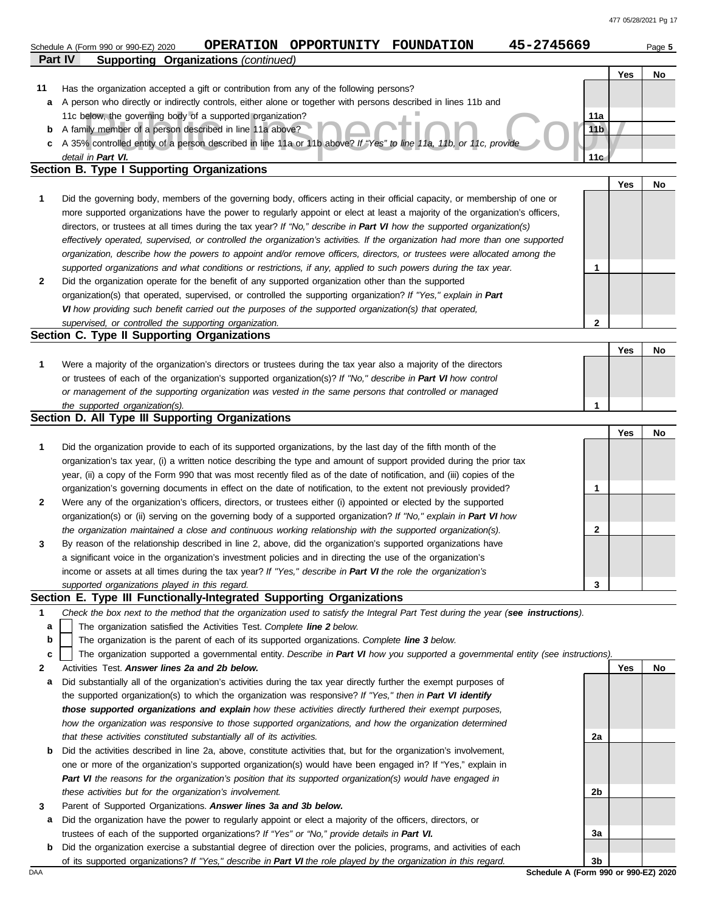|     | Part IV<br><b>Supporting Organizations (continued)</b>                                                                            |                                      |     |    |
|-----|-----------------------------------------------------------------------------------------------------------------------------------|--------------------------------------|-----|----|
|     |                                                                                                                                   |                                      | Yes | No |
| 11  | Has the organization accepted a gift or contribution from any of the following persons?                                           |                                      |     |    |
| a   | A person who directly or indirectly controls, either alone or together with persons described in lines 11b and                    |                                      |     |    |
|     | 11c below, the governing body of a supported organization?                                                                        | 11a                                  |     |    |
| b   | A family member of a person described in line 11a above?                                                                          | 11 <sub>b</sub>                      |     |    |
| c   | A 35% controlled entity of a person described in line 11a or 11b above? If "Yes" to line 11a, 11b, or 11c, provide                |                                      |     |    |
|     | detail in Part VI.                                                                                                                | 11 <sub>G</sub>                      |     |    |
|     | Section B. Type I Supporting Organizations                                                                                        |                                      |     |    |
|     |                                                                                                                                   |                                      | Yes | No |
| 1   | Did the governing body, members of the governing body, officers acting in their official capacity, or membership of one or        |                                      |     |    |
|     | more supported organizations have the power to regularly appoint or elect at least a majority of the organization's officers,     |                                      |     |    |
|     | directors, or trustees at all times during the tax year? If "No," describe in Part VI how the supported organization(s)           |                                      |     |    |
|     | effectively operated, supervised, or controlled the organization's activities. If the organization had more than one supported    |                                      |     |    |
|     | organization, describe how the powers to appoint and/or remove officers, directors, or trustees were allocated among the          |                                      |     |    |
|     | supported organizations and what conditions or restrictions, if any, applied to such powers during the tax year.                  | $\mathbf{1}$                         |     |    |
| 2   | Did the organization operate for the benefit of any supported organization other than the supported                               |                                      |     |    |
|     | organization(s) that operated, supervised, or controlled the supporting organization? If "Yes," explain in Part                   |                                      |     |    |
|     | VI how providing such benefit carried out the purposes of the supported organization(s) that operated,                            |                                      |     |    |
|     | supervised, or controlled the supporting organization.                                                                            | 2                                    |     |    |
|     | Section C. Type II Supporting Organizations                                                                                       |                                      |     |    |
|     |                                                                                                                                   |                                      | Yes | No |
| 1   | Were a majority of the organization's directors or trustees during the tax year also a majority of the directors                  |                                      |     |    |
|     | or trustees of each of the organization's supported organization(s)? If "No," describe in Part VI how control                     |                                      |     |    |
|     | or management of the supporting organization was vested in the same persons that controlled or managed                            |                                      |     |    |
|     | the supported organization(s).<br>Section D. All Type III Supporting Organizations                                                | 1                                    |     |    |
|     |                                                                                                                                   |                                      | Yes | No |
| 1   | Did the organization provide to each of its supported organizations, by the last day of the fifth month of the                    |                                      |     |    |
|     | organization's tax year, (i) a written notice describing the type and amount of support provided during the prior tax             |                                      |     |    |
|     | year, (ii) a copy of the Form 990 that was most recently filed as of the date of notification, and (iii) copies of the            |                                      |     |    |
|     | organization's governing documents in effect on the date of notification, to the extent not previously provided?                  | 1                                    |     |    |
| 2   | Were any of the organization's officers, directors, or trustees either (i) appointed or elected by the supported                  |                                      |     |    |
|     | organization(s) or (ii) serving on the governing body of a supported organization? If "No," explain in Part VI how                |                                      |     |    |
|     | the organization maintained a close and continuous working relationship with the supported organization(s).                       | 2                                    |     |    |
| 3   | By reason of the relationship described in line 2, above, did the organization's supported organizations have                     |                                      |     |    |
|     | a significant voice in the organization's investment policies and in directing the use of the organization's                      |                                      |     |    |
|     | income or assets at all times during the tax year? If "Yes," describe in Part VI the role the organization's                      |                                      |     |    |
|     | supported organizations played in this regard.                                                                                    | 3                                    |     |    |
|     | Section E. Type III Functionally-Integrated Supporting Organizations                                                              |                                      |     |    |
| 1   | Check the box next to the method that the organization used to satisfy the Integral Part Test during the year (see instructions). |                                      |     |    |
| a   | The organization satisfied the Activities Test. Complete line 2 below.                                                            |                                      |     |    |
| b   | The organization is the parent of each of its supported organizations. Complete line 3 below.                                     |                                      |     |    |
| c   | The organization supported a governmental entity. Describe in Part VI how you supported a governmental entity (see instructions). |                                      |     |    |
| 2   | Activities Test. Answer lines 2a and 2b below.                                                                                    |                                      | Yes | No |
| a   | Did substantially all of the organization's activities during the tax year directly further the exempt purposes of                |                                      |     |    |
|     | the supported organization(s) to which the organization was responsive? If "Yes," then in Part VI identify                        |                                      |     |    |
|     | those supported organizations and explain how these activities directly furthered their exempt purposes,                          |                                      |     |    |
|     | how the organization was responsive to those supported organizations, and how the organization determined                         |                                      |     |    |
|     | that these activities constituted substantially all of its activities.                                                            | 2a                                   |     |    |
| b   | Did the activities described in line 2a, above, constitute activities that, but for the organization's involvement,               |                                      |     |    |
|     | one or more of the organization's supported organization(s) would have been engaged in? If "Yes," explain in                      |                                      |     |    |
|     | Part VI the reasons for the organization's position that its supported organization(s) would have engaged in                      |                                      |     |    |
|     | these activities but for the organization's involvement.                                                                          | 2b                                   |     |    |
| 3   | Parent of Supported Organizations. Answer lines 3a and 3b below.                                                                  |                                      |     |    |
| a   | Did the organization have the power to regularly appoint or elect a majority of the officers, directors, or                       |                                      |     |    |
|     | trustees of each of the supported organizations? If "Yes" or "No," provide details in Part VI.                                    | За                                   |     |    |
| b   | Did the organization exercise a substantial degree of direction over the policies, programs, and activities of each               |                                      |     |    |
|     | of its supported organizations? If "Yes," describe in Part VI the role played by the organization in this regard.                 | 3b                                   |     |    |
| DAA |                                                                                                                                   | Schedule A (Form 990 or 990-EZ) 2020 |     |    |

Schedule A (Form 990 or 990-EZ) 2020 **OPERATION OPPORTUNITY FOUNDATION 45-2745669** Page 5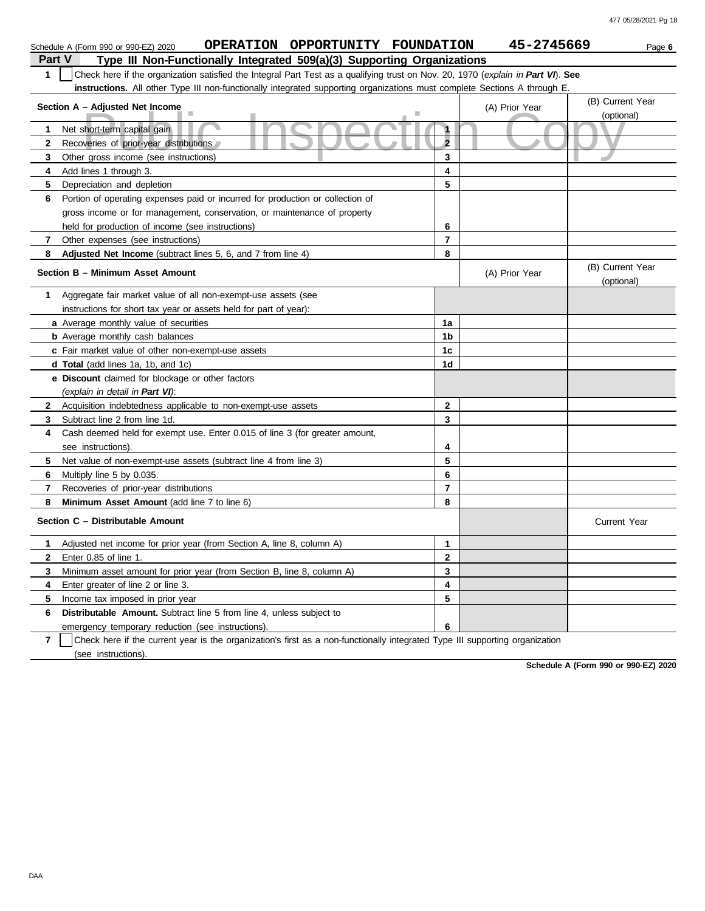|                | OPERATION OPPORTUNITY FOUNDATION<br>Schedule A (Form 990 or 990-EZ) 2020                                                         |                | 45-2745669     | Page 6                         |
|----------------|----------------------------------------------------------------------------------------------------------------------------------|----------------|----------------|--------------------------------|
| Part V         | Type III Non-Functionally Integrated 509(a)(3) Supporting Organizations                                                          |                |                |                                |
| 1              | Check here if the organization satisfied the Integral Part Test as a qualifying trust on Nov. 20, 1970 (explain in Part VI). See |                |                |                                |
|                | instructions. All other Type III non-functionally integrated supporting organizations must complete Sections A through E.        |                |                |                                |
|                | Section A - Adjusted Net Income                                                                                                  |                | (A) Prior Year | (B) Current Year<br>(optional) |
| 1              | Net short-term capital gain                                                                                                      | $\mathbf{1}$   |                |                                |
| $\mathbf{2}$   | Recoveries of prior-year distributions                                                                                           | $\overline{2}$ |                |                                |
| 3              | Other gross income (see instructions)                                                                                            | 3              |                |                                |
| 4              | Add lines 1 through 3.                                                                                                           | 4              |                |                                |
| 5              | Depreciation and depletion                                                                                                       | 5              |                |                                |
| 6              | Portion of operating expenses paid or incurred for production or collection of                                                   |                |                |                                |
|                | gross income or for management, conservation, or maintenance of property                                                         |                |                |                                |
|                | held for production of income (see instructions)                                                                                 | 6              |                |                                |
| 7              | Other expenses (see instructions)                                                                                                | $\overline{7}$ |                |                                |
| 8              | Adjusted Net Income (subtract lines 5, 6, and 7 from line 4)                                                                     | 8              |                |                                |
|                | Section B - Minimum Asset Amount                                                                                                 |                | (A) Prior Year | (B) Current Year<br>(optional) |
| 1              | Aggregate fair market value of all non-exempt-use assets (see                                                                    |                |                |                                |
|                | instructions for short tax year or assets held for part of year):                                                                |                |                |                                |
|                | a Average monthly value of securities                                                                                            | 1a             |                |                                |
|                | <b>b</b> Average monthly cash balances                                                                                           | 1 <sub>b</sub> |                |                                |
|                | c Fair market value of other non-exempt-use assets                                                                               | 1 <sub>c</sub> |                |                                |
|                | d Total (add lines 1a, 1b, and 1c)                                                                                               | 1d             |                |                                |
|                | e Discount claimed for blockage or other factors                                                                                 |                |                |                                |
|                | (explain in detail in Part VI):                                                                                                  |                |                |                                |
| $\mathbf{2}$   | Acquisition indebtedness applicable to non-exempt-use assets                                                                     | $\mathbf{2}$   |                |                                |
| 3              | Subtract line 2 from line 1d.                                                                                                    | 3              |                |                                |
| 4              | Cash deemed held for exempt use. Enter 0.015 of line 3 (for greater amount,                                                      |                |                |                                |
|                | see instructions).                                                                                                               | 4              |                |                                |
| 5.             | Net value of non-exempt-use assets (subtract line 4 from line 3)                                                                 | 5              |                |                                |
| 6              | Multiply line 5 by 0.035.                                                                                                        | 6              |                |                                |
| 7              | Recoveries of prior-year distributions                                                                                           | $\overline{7}$ |                |                                |
| 8              | Minimum Asset Amount (add line 7 to line 6)                                                                                      | 8              |                |                                |
|                | Section C - Distributable Amount                                                                                                 |                |                | <b>Current Year</b>            |
|                | 1 Adjusted net income for prior year (from Section A, line 8, column A)                                                          | $\mathbf{1}$   |                |                                |
| $\mathbf{2}$   | Enter 0.85 of line 1.                                                                                                            | $\mathbf{2}$   |                |                                |
| 3              | Minimum asset amount for prior year (from Section B, line 8, column A)                                                           | 3              |                |                                |
| 4              | Enter greater of line 2 or line 3.                                                                                               | 4              |                |                                |
| 5              | Income tax imposed in prior year                                                                                                 | 5              |                |                                |
| 6              | Distributable Amount. Subtract line 5 from line 4, unless subject to                                                             |                |                |                                |
|                | emergency temporary reduction (see instructions).                                                                                | 6              |                |                                |
| $\overline{7}$ | Check here if the current year is the organization's first as a non-functionally integrated Type III supporting organization     |                |                |                                |

(see instructions).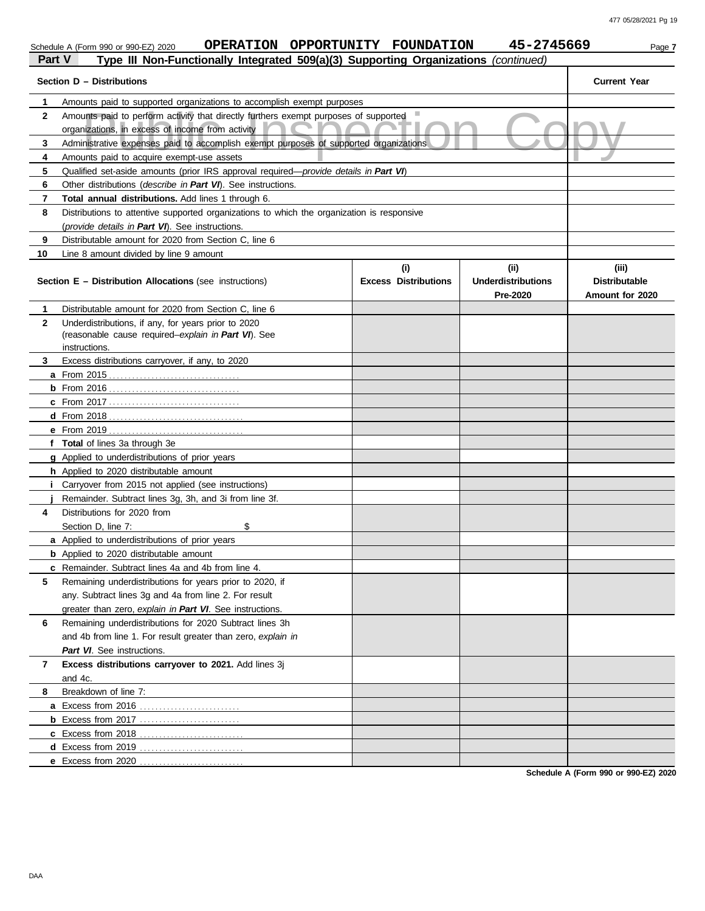| Part V | OPERATION OPPORTUNITY FOUNDATION<br>Schedule A (Form 990 or 990-EZ) 2020<br>Type III Non-Functionally Integrated 509(a)(3) Supporting Organizations (continued) |                                    | 45-2745669                                    | Page 7                                           |
|--------|-----------------------------------------------------------------------------------------------------------------------------------------------------------------|------------------------------------|-----------------------------------------------|--------------------------------------------------|
|        | Section D - Distributions                                                                                                                                       |                                    |                                               | <b>Current Year</b>                              |
| 1      | Amounts paid to supported organizations to accomplish exempt purposes                                                                                           |                                    |                                               |                                                  |
| 2      | Amounts paid to perform activity that directly furthers exempt purposes of supported<br>organizations, in excess of income from activity                        | ш                                  |                                               |                                                  |
| 3      | Administrative expenses paid to accomplish exempt purposes of supported organizations                                                                           |                                    |                                               |                                                  |
| 4      | Amounts paid to acquire exempt-use assets                                                                                                                       |                                    |                                               |                                                  |
| 5      | Qualified set-aside amounts (prior IRS approval required—provide details in Part VI)                                                                            |                                    |                                               |                                                  |
| 6      | Other distributions (describe in Part VI). See instructions.                                                                                                    |                                    |                                               |                                                  |
| 7      | Total annual distributions. Add lines 1 through 6.                                                                                                              |                                    |                                               |                                                  |
| 8      | Distributions to attentive supported organizations to which the organization is responsive                                                                      |                                    |                                               |                                                  |
|        | (provide details in Part VI). See instructions.                                                                                                                 |                                    |                                               |                                                  |
| 9      | Distributable amount for 2020 from Section C, line 6                                                                                                            |                                    |                                               |                                                  |
| 10     | Line 8 amount divided by line 9 amount                                                                                                                          |                                    |                                               |                                                  |
|        | Section E - Distribution Allocations (see instructions)                                                                                                         | (i)<br><b>Excess Distributions</b> | (ii)<br><b>Underdistributions</b><br>Pre-2020 | (iii)<br><b>Distributable</b><br>Amount for 2020 |
| 1      | Distributable amount for 2020 from Section C, line 6                                                                                                            |                                    |                                               |                                                  |
| 2      | Underdistributions, if any, for years prior to 2020                                                                                                             |                                    |                                               |                                                  |
|        | (reasonable cause required-explain in Part VI). See                                                                                                             |                                    |                                               |                                                  |
|        | instructions.                                                                                                                                                   |                                    |                                               |                                                  |
| 3.     | Excess distributions carryover, if any, to 2020                                                                                                                 |                                    |                                               |                                                  |
|        |                                                                                                                                                                 |                                    |                                               |                                                  |
|        | <b>b</b> From 2016                                                                                                                                              |                                    |                                               |                                                  |
|        |                                                                                                                                                                 |                                    |                                               |                                                  |
|        | $d$ From 2018                                                                                                                                                   |                                    |                                               |                                                  |
|        | <b>e</b> From 2019                                                                                                                                              |                                    |                                               |                                                  |
|        | f Total of lines 3a through 3e                                                                                                                                  |                                    |                                               |                                                  |
|        | g Applied to underdistributions of prior years                                                                                                                  |                                    |                                               |                                                  |
|        | <b>h</b> Applied to 2020 distributable amount                                                                                                                   |                                    |                                               |                                                  |
|        | i Carryover from 2015 not applied (see instructions)                                                                                                            |                                    |                                               |                                                  |
|        | Remainder. Subtract lines 3g, 3h, and 3i from line 3f.                                                                                                          |                                    |                                               |                                                  |
| 4      | Distributions for 2020 from                                                                                                                                     |                                    |                                               |                                                  |
|        | \$<br>Section D, line 7:                                                                                                                                        |                                    |                                               |                                                  |
|        | a Applied to underdistributions of prior years                                                                                                                  |                                    |                                               |                                                  |
|        | <b>b</b> Applied to 2020 distributable amount                                                                                                                   |                                    |                                               |                                                  |
|        | <b>c</b> Remainder. Subtract lines 4a and 4b from line 4.                                                                                                       |                                    |                                               |                                                  |
| 5      | Remaining underdistributions for years prior to 2020, if                                                                                                        |                                    |                                               |                                                  |
|        | any. Subtract lines 3g and 4a from line 2. For result                                                                                                           |                                    |                                               |                                                  |
|        | greater than zero, explain in Part VI. See instructions.                                                                                                        |                                    |                                               |                                                  |
| 6      | Remaining underdistributions for 2020 Subtract lines 3h                                                                                                         |                                    |                                               |                                                  |
|        | and 4b from line 1. For result greater than zero, explain in                                                                                                    |                                    |                                               |                                                  |
|        | Part VI. See instructions.                                                                                                                                      |                                    |                                               |                                                  |
| 7      | Excess distributions carryover to 2021. Add lines 3j<br>and 4c.                                                                                                 |                                    |                                               |                                                  |
| 8      | Breakdown of line 7:                                                                                                                                            |                                    |                                               |                                                  |
|        | a Excess from 2016                                                                                                                                              |                                    |                                               |                                                  |
|        | <b>b</b> Excess from 2017                                                                                                                                       |                                    |                                               |                                                  |
|        |                                                                                                                                                                 |                                    |                                               |                                                  |
|        | d Excess from 2019                                                                                                                                              |                                    |                                               |                                                  |
|        | e Excess from 2020                                                                                                                                              |                                    |                                               |                                                  |
|        |                                                                                                                                                                 |                                    |                                               |                                                  |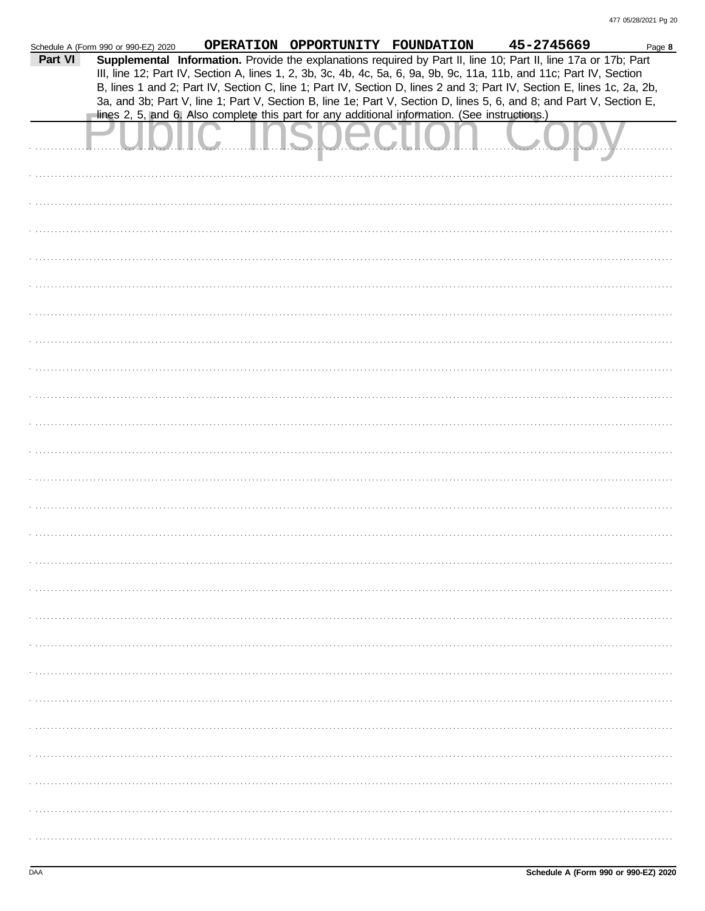|         | Schedule A (Form 990 or 990-EZ) 2020 | OPERATION OPPORTUNITY FOUNDATION |                                                                                                                                                                                                                                         | 45-2745669 | Page 8 |
|---------|--------------------------------------|----------------------------------|-----------------------------------------------------------------------------------------------------------------------------------------------------------------------------------------------------------------------------------------|------------|--------|
| Part VI |                                      |                                  | Supplemental Information. Provide the explanations required by Part II, line 10; Part II, line 17a or 17b; Part<br>III, line 12; Part IV, Section A, lines 1, 2, 3b, 3c, 4b, 4c, 5a, 6, 9a, 9b, 9c, 11a, 11b, and 11c; Part IV, Section |            |        |
|         |                                      |                                  | B, lines 1 and 2; Part IV, Section C, line 1; Part IV, Section D, lines 2 and 3; Part IV, Section E, lines 1c, 2a, 2b,                                                                                                                  |            |        |
|         |                                      |                                  | 3a, and 3b; Part V, line 1; Part V, Section B, line 1e; Part V, Section D, lines 5, 6, and 8; and Part V, Section E,<br>lines 2, 5, and 6. Also complete this part for any additional information. (See instructions.)                  |            |        |
|         |                                      |                                  |                                                                                                                                                                                                                                         |            |        |
|         |                                      |                                  |                                                                                                                                                                                                                                         |            |        |
|         |                                      |                                  |                                                                                                                                                                                                                                         |            |        |
|         |                                      |                                  |                                                                                                                                                                                                                                         |            |        |
|         |                                      |                                  |                                                                                                                                                                                                                                         |            |        |
|         |                                      |                                  |                                                                                                                                                                                                                                         |            |        |
|         |                                      |                                  |                                                                                                                                                                                                                                         |            |        |
|         |                                      |                                  |                                                                                                                                                                                                                                         |            |        |
|         |                                      |                                  |                                                                                                                                                                                                                                         |            |        |
|         |                                      |                                  |                                                                                                                                                                                                                                         |            |        |
|         |                                      |                                  |                                                                                                                                                                                                                                         |            |        |
|         |                                      |                                  |                                                                                                                                                                                                                                         |            |        |
|         |                                      |                                  |                                                                                                                                                                                                                                         |            |        |
|         |                                      |                                  |                                                                                                                                                                                                                                         |            |        |
|         |                                      |                                  |                                                                                                                                                                                                                                         |            |        |
|         |                                      |                                  |                                                                                                                                                                                                                                         |            |        |
|         |                                      |                                  |                                                                                                                                                                                                                                         |            |        |
|         |                                      |                                  |                                                                                                                                                                                                                                         |            |        |
|         |                                      |                                  |                                                                                                                                                                                                                                         |            |        |
|         |                                      |                                  |                                                                                                                                                                                                                                         |            |        |
|         |                                      |                                  |                                                                                                                                                                                                                                         |            |        |
|         |                                      |                                  |                                                                                                                                                                                                                                         |            |        |
|         |                                      |                                  |                                                                                                                                                                                                                                         |            |        |
|         |                                      |                                  |                                                                                                                                                                                                                                         |            |        |
|         |                                      |                                  |                                                                                                                                                                                                                                         |            |        |
|         |                                      |                                  |                                                                                                                                                                                                                                         |            |        |
|         |                                      |                                  |                                                                                                                                                                                                                                         |            |        |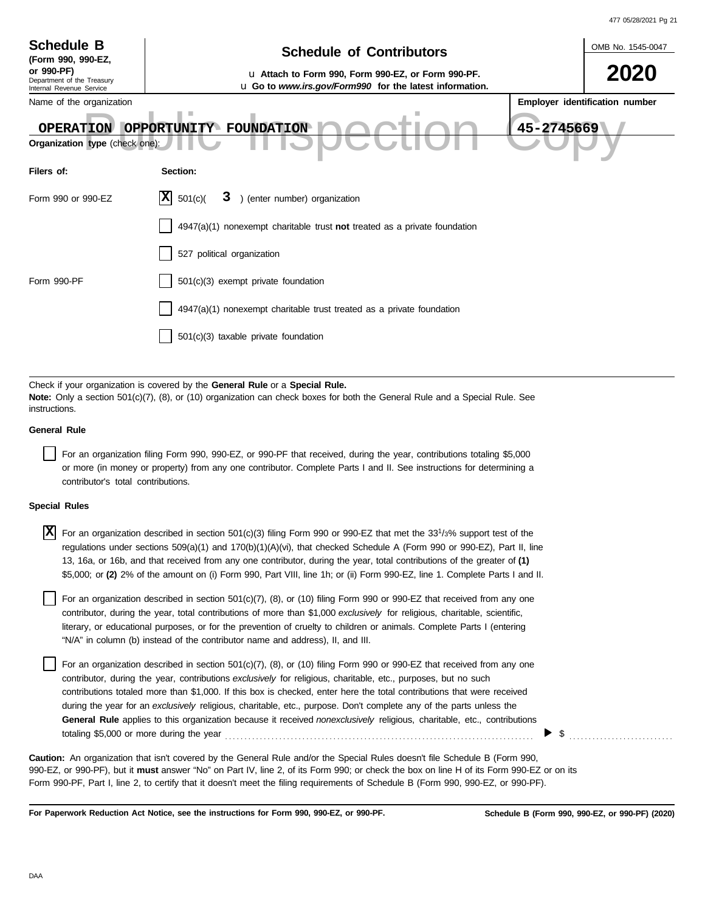|                                                                |                                                                                                                                                                                                                                                                                                                                                                                                                                                                                                                                                                                                                        | 477 05/28/2021 Pg 21           |
|----------------------------------------------------------------|------------------------------------------------------------------------------------------------------------------------------------------------------------------------------------------------------------------------------------------------------------------------------------------------------------------------------------------------------------------------------------------------------------------------------------------------------------------------------------------------------------------------------------------------------------------------------------------------------------------------|--------------------------------|
| <b>Schedule B</b>                                              | <b>Schedule of Contributors</b>                                                                                                                                                                                                                                                                                                                                                                                                                                                                                                                                                                                        | OMB No. 1545-0047              |
| (Form 990, 990-EZ,<br>or 990-PF)<br>Department of the Treasury | u Attach to Form 990, Form 990-EZ, or Form 990-PF.                                                                                                                                                                                                                                                                                                                                                                                                                                                                                                                                                                     |                                |
| Internal Revenue Service<br>Name of the organization           | <b>u</b> Go to <i>www.irs.gov/Form990</i> for the latest information.                                                                                                                                                                                                                                                                                                                                                                                                                                                                                                                                                  | Employer identification number |
| Organization type (check one):                                 | ш<br>45-2745669<br>OPERATION OPPORTUNITY FOUNDATION                                                                                                                                                                                                                                                                                                                                                                                                                                                                                                                                                                    |                                |
| Filers of:                                                     | Section:                                                                                                                                                                                                                                                                                                                                                                                                                                                                                                                                                                                                               |                                |
| Form 990 or 990-EZ                                             | 3 ) (enter number) organization<br>IXI<br>501(c)                                                                                                                                                                                                                                                                                                                                                                                                                                                                                                                                                                       |                                |
|                                                                | $4947(a)(1)$ nonexempt charitable trust not treated as a private foundation                                                                                                                                                                                                                                                                                                                                                                                                                                                                                                                                            |                                |
|                                                                | 527 political organization                                                                                                                                                                                                                                                                                                                                                                                                                                                                                                                                                                                             |                                |
| Form 990-PF                                                    | 501(c)(3) exempt private foundation                                                                                                                                                                                                                                                                                                                                                                                                                                                                                                                                                                                    |                                |
|                                                                | 4947(a)(1) nonexempt charitable trust treated as a private foundation                                                                                                                                                                                                                                                                                                                                                                                                                                                                                                                                                  |                                |
|                                                                | 501(c)(3) taxable private foundation                                                                                                                                                                                                                                                                                                                                                                                                                                                                                                                                                                                   |                                |
|                                                                |                                                                                                                                                                                                                                                                                                                                                                                                                                                                                                                                                                                                                        |                                |
| instructions.                                                  | Check if your organization is covered by the General Rule or a Special Rule.<br>Note: Only a section 501(c)(7), (8), or (10) organization can check boxes for both the General Rule and a Special Rule. See                                                                                                                                                                                                                                                                                                                                                                                                            |                                |
| <b>General Rule</b>                                            |                                                                                                                                                                                                                                                                                                                                                                                                                                                                                                                                                                                                                        |                                |
| contributor's total contributions.                             | For an organization filing Form 990, 990-EZ, or 990-PF that received, during the year, contributions totaling \$5,000<br>or more (in money or property) from any one contributor. Complete Parts I and II. See instructions for determining a                                                                                                                                                                                                                                                                                                                                                                          |                                |
| <b>Special Rules</b>                                           |                                                                                                                                                                                                                                                                                                                                                                                                                                                                                                                                                                                                                        |                                |
| X                                                              | For an organization described in section 501(c)(3) filing Form 990 or 990-EZ that met the 33 <sup>1</sup> /3% support test of the<br>regulations under sections $509(a)(1)$ and $170(b)(1)(A)(vi)$ , that checked Schedule A (Form 990 or 990-EZ), Part II, line<br>13, 16a, or 16b, and that received from any one contributor, during the year, total contributions of the greater of (1)<br>\$5,000; or (2) 2% of the amount on (i) Form 990, Part VIII, line 1h; or (ii) Form 990-EZ, line 1. Complete Parts I and II.                                                                                             |                                |
|                                                                | For an organization described in section $501(c)(7)$ , (8), or (10) filing Form 990 or 990-EZ that received from any one<br>contributor, during the year, total contributions of more than \$1,000 exclusively for religious, charitable, scientific,<br>literary, or educational purposes, or for the prevention of cruelty to children or animals. Complete Parts I (entering<br>"N/A" in column (b) instead of the contributor name and address), II, and III.                                                                                                                                                      |                                |
|                                                                | For an organization described in section $501(c)(7)$ , (8), or (10) filing Form 990 or 990-EZ that received from any one<br>contributor, during the year, contributions exclusively for religious, charitable, etc., purposes, but no such<br>contributions totaled more than \$1,000. If this box is checked, enter here the total contributions that were received<br>during the year for an exclusively religious, charitable, etc., purpose. Don't complete any of the parts unless the<br>General Rule applies to this organization because it received nonexclusively religious, charitable, etc., contributions |                                |

990-EZ, or 990-PF), but it **must** answer "No" on Part IV, line 2, of its Form 990; or check the box on line H of its Form 990-EZ or on its **Caution:** An organization that isn't covered by the General Rule and/or the Special Rules doesn't file Schedule B (Form 990,

totaling \$5,000 or more during the year . . . . . . . . . . . . . . . . . . . . . . . . . . . . . . . . . . . . . . . . . . . . . . . . . . . . . . . . . . . . . . . . . . . . . . . . . . . . . . . . \$ . . . . . . . . . . . . . . . . . . . . . . . . . . .

Form 990-PF, Part I, line 2, to certify that it doesn't meet the filing requirements of Schedule B (Form 990, 990-EZ, or 990-PF).

**For Paperwork Reduction Act Notice, see the instructions for Form 990, 990-EZ, or 990-PF.**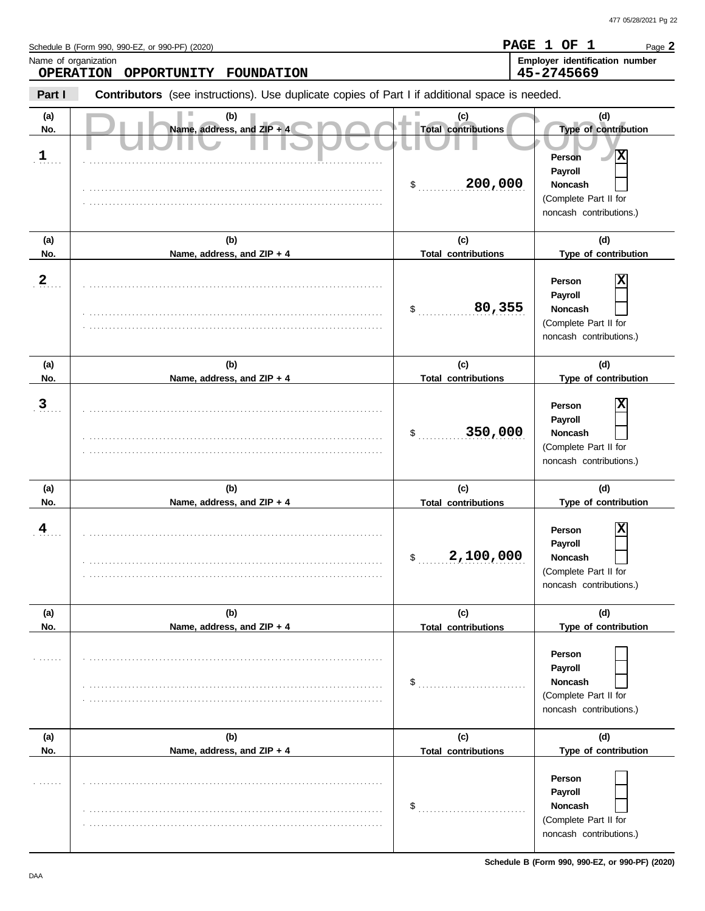**PAGE 1 OF 1**

Page **2**

Schedule B (Form 990, 990-EZ, or 990-PF) (2020)

Name, address, and ZIP + 4 S D C C Total contributions (c) (d)<br>Person X **Part I Type of contribution Person Payroll Noncash (a) (b) (c) (d) No. Name, address, and ZIP + 4 Type of contribution Person Payroll Noncash (a) (b) (c) (d) No. Name, address, and ZIP + 4 Type of contribution Person Payroll Noncash (a) (b) (c) (d)** No. No. Name, address, and ZIP + 4 **Total contributions** Type of contribution **Person Payroll Noncash** \$ . . . . . . . . . . . . . . . . . . . . . . . . . . . . **200,000** (Complete Part II for noncash contributions.) \$ . . . . . . . . . . . . . . . . . . . . . . . . . . . . (Complete Part II for noncash contributions.) \$ . . . . . . . . . . . . . . . . . . . . . . . . . . . . (Complete Part II for noncash contributions.) \$ . . . . . . . . . . . . . . . . . . . . . . . . . . . . **2,100,000** (Complete Part II for noncash contributions.)  $\frac{1}{2}$ (Complete Part II for noncash contributions.)  $\mathsf{\$}$  . . . . . . . . (Complete Part II for noncash contributions.) **Contributors** (see instructions). Use duplicate copies of Part I if additional space is needed. **(a) (b) (c) (d) No. Name, address, and ZIP + 4 Total contributions Type of contribution Person Payroll Noncash (a) (b) (c) (d)** No. **Name, address, and ZIP + 4 Total contributions** Type of contribution **Person Payroll Noncash (a) (b) (c) (d) No. Name, address, and ZIP + 4** Name of organization **Employer identification number Employer identification number** . . . . . . . **1** . **2** . . . . . . . **3** . 4 . . . . . . . . . . . . . . . . . . . . . . . . . . . . . . . . . . . . . . . . . . . . . . . . . . . . . . . . . . . . . . . . . . . . . . . . . . . . . . . . . . . . . . . . . . . . . . . . . . . . . . . . . . . . . . . . . . . . . . . . . . . . . . . . . . . . . . . . . . . . . . . . . . . . . . . . . . . . . . . . . . . . . . . . . . . . . . . . . . . . . . . . . . . . . . . . . . . . . . . . . . . . . . . . . . . . . . . . . . . . . . . . . . . . . . . . . . . . . . . . . . . . . . . . . . . . . . . . . . . . . . . . . . . . . . . . . . . . . . . . . . . . . . . . . . . . . . . . . . . . . . . . . . . . . . . . . . . . . . . . . . . . . . . . . . . . . . . . . . . . . . . . . . . . . . . . . . . . . . . . . . . . . . . . . . . . . . . . . . . . . . . . . . . . . . . . . . . . . . . . . . . . . . . . . . . . . . . . . . . . . . . . . . . . . . . . . . . . . . . . . . . . . . . . . . . . . . . . . . . . . . . . . . . . . . . . . . . . . . . . . . . . . . . . . . . . . . . . . . . . . . . . . . . . . . . . . . . . . . . . . . . . . . . . . . . . . . . . . . . . . . . . . . . . . . . . . . . . . . . . . . . . . . . . . . . . . . . . . . . . . . . . . . . . . . . . . . . . . . . . . . . . . . . . . . . . . . . . . . . . . . . . . . . . . . . . . . . . . . . . . . . . . . . . . . . . . . . . . . . . . . . . . . . . . . . . . . . . . . . . . . . . . . . . . . . . . . . . . . . . . . . . . . . . . . . . . . . . . . . . . . . . . . . . . . . . . . . . . . . . . . . . . . . . . . . . . . . . . . . . . . . . . . . . . . . . . . . . . . . . . . . . . . . . . . . . . . . . . . . . . . . . . . . . . . . . . . . . . . . . . . . . . . . . . . . . . . . . . . . . . . . . . . . . . . . . . . . . . . . . . . . . . . . . . . . . . . . . . . . . . . . . . . . . . . . . . . . . . . . . . . . . . . . . . . . . . . . . . . . . . . . . . . . . . . . . . . . . . . . . . . . . . . . . . . . . . . . . . . . . . . . . . . . . . . . . . . . . . . . . . . . . . . . . . . . . . . . . . . . . . . . . . . . . . . . . . . . . . . . . . . . . . . . . . . . . . . . . . . . . . . . . . . . . . . . . . . . . . . . . . . . . . . . . . . . . . . . . . . . . . . . . . . . . . . . . . . . . . . . . . . . . . . . . . . . . . . . . . . . . . . . . . . . . . . . . . . . . . . . . . . . . . . . . . . . . . . . . . . . . . . . . . . . . . . . . . . . . . . . . . . . . . . . . . . . . . . . . . . . . . . . . . . . . . . . . . . . . . . . . . . . . . . . . . . . . . . . . . . . . . . . . . . . . . . . . . . . . . . . . . . . . . . . . . . . . . . . . . . . . . . . . . . . . . . . . . . . . . . . . . . . . . . . . . . . . . . . . . . . . . . . . . . . . . . . . . . . . . . . . . . . . . . . . . . . . . . . . . . . . . . . . . . . . . . . . . . . . . . . . . . . . . . . . . . . . . . . . . . . . **Total contributions Total contributions Total contributions Total contributions Total contributions OPERATION OPPORTUNITY FOUNDATION 45-2745669 X 80,355 X 350,000 X X**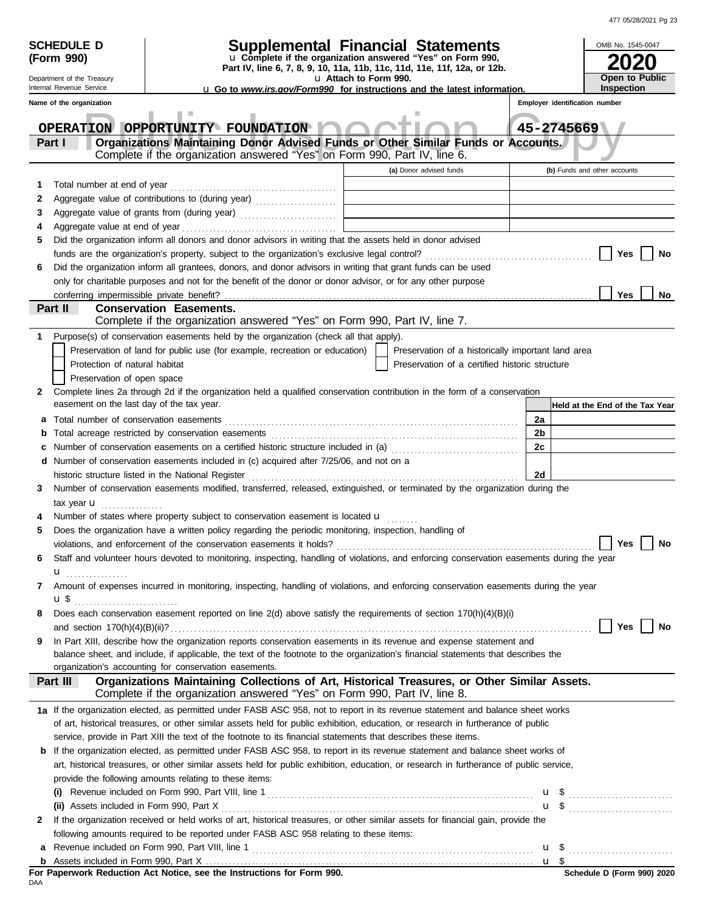| 477 05/28/2021 Pg 23 |  |
|----------------------|--|

|     | <b>SCHEDULE D</b>                         | Supplemental Financial Statements                                                                                                                                                                                             |  |                                                    |    |                                | OMB No. 1545-0047                                   |
|-----|-------------------------------------------|-------------------------------------------------------------------------------------------------------------------------------------------------------------------------------------------------------------------------------|--|----------------------------------------------------|----|--------------------------------|-----------------------------------------------------|
|     | (Form 990)                                | u Complete if the organization answered "Yes" on Form 990,                                                                                                                                                                    |  |                                                    |    |                                |                                                     |
|     | Department of the Treasury                | Part IV, line 6, 7, 8, 9, 10, 11a, 11b, 11c, 11d, 11e, 11f, 12a, or 12b.<br>u Attach to Form 990.                                                                                                                             |  |                                                    |    |                                | Open to Public                                      |
|     | Internal Revenue Service                  | <b>u</b> Go to www.irs.gov/Form990 for instructions and the latest information.                                                                                                                                               |  |                                                    |    |                                | Inspection                                          |
|     | Name of the organization                  |                                                                                                                                                                                                                               |  |                                                    |    | Employer identification number |                                                     |
|     |                                           | ш<br>OPERATION OPPORTUNITY FOUNDATION                                                                                                                                                                                         |  |                                                    |    | 45-2745669                     |                                                     |
|     | Part I                                    | Organizations Maintaining Donor Advised Funds or Other Similar Funds or Accounts.<br>Complete if the organization answered "Yes" on Form 990, Part IV, line 6.                                                                |  |                                                    |    |                                |                                                     |
|     |                                           |                                                                                                                                                                                                                               |  | (a) Donor advised funds                            |    |                                | (b) Funds and other accounts                        |
| 1   | Total number at end of year               |                                                                                                                                                                                                                               |  |                                                    |    |                                |                                                     |
| 2   |                                           |                                                                                                                                                                                                                               |  |                                                    |    |                                |                                                     |
| 3   |                                           | Aggregate value of grants from (during year)                                                                                                                                                                                  |  |                                                    |    |                                |                                                     |
| 4   |                                           |                                                                                                                                                                                                                               |  |                                                    |    |                                |                                                     |
| 5   |                                           | Did the organization inform all donors and donor advisors in writing that the assets held in donor advised                                                                                                                    |  |                                                    |    |                                |                                                     |
|     |                                           |                                                                                                                                                                                                                               |  |                                                    |    |                                | Yes<br>No                                           |
| 6   |                                           | Did the organization inform all grantees, donors, and donor advisors in writing that grant funds can be used                                                                                                                  |  |                                                    |    |                                |                                                     |
|     |                                           | only for charitable purposes and not for the benefit of the donor or donor advisor, or for any other purpose                                                                                                                  |  |                                                    |    |                                |                                                     |
|     | conferring impermissible private benefit? |                                                                                                                                                                                                                               |  |                                                    |    |                                | <b>Yes</b><br><b>No</b>                             |
|     | Part II                                   | <b>Conservation Easements.</b>                                                                                                                                                                                                |  |                                                    |    |                                |                                                     |
|     |                                           | Complete if the organization answered "Yes" on Form 990, Part IV, line 7.                                                                                                                                                     |  |                                                    |    |                                |                                                     |
| 1   |                                           | Purpose(s) of conservation easements held by the organization (check all that apply).                                                                                                                                         |  |                                                    |    |                                |                                                     |
|     |                                           | Preservation of land for public use (for example, recreation or education)                                                                                                                                                    |  | Preservation of a historically important land area |    |                                |                                                     |
|     | Protection of natural habitat             |                                                                                                                                                                                                                               |  | Preservation of a certified historic structure     |    |                                |                                                     |
| 2.  | Preservation of open space                | Complete lines 2a through 2d if the organization held a qualified conservation contribution in the form of a conservation                                                                                                     |  |                                                    |    |                                |                                                     |
|     | easement on the last day of the tax year. |                                                                                                                                                                                                                               |  |                                                    |    |                                | Held at the End of the Tax Year                     |
| а   |                                           |                                                                                                                                                                                                                               |  |                                                    | 2a |                                |                                                     |
|     |                                           |                                                                                                                                                                                                                               |  |                                                    | 2b |                                |                                                     |
|     |                                           | Number of conservation easements on a certified historic structure included in (a) [[[[[[[[[[[[[[[[[[[[[[[[[]]]]]]]                                                                                                           |  |                                                    | 2c |                                |                                                     |
|     |                                           | d Number of conservation easements included in (c) acquired after 7/25/06, and not on a                                                                                                                                       |  |                                                    |    |                                |                                                     |
|     |                                           | historic structure listed in the National Register [11] contained a structure of the National Register [11] contained a structure of the National Register [11] contained a structure of the National Register [11] contained |  |                                                    | 2d |                                |                                                     |
| 3   |                                           | Number of conservation easements modified, transferred, released, extinguished, or terminated by the organization during the                                                                                                  |  |                                                    |    |                                |                                                     |
|     | tax year $\mathbf{u}$                     |                                                                                                                                                                                                                               |  |                                                    |    |                                |                                                     |
|     |                                           | Number of states where property subject to conservation easement is located u                                                                                                                                                 |  |                                                    |    |                                |                                                     |
| 5   |                                           | Does the organization have a written policy regarding the periodic monitoring, inspection, handling of                                                                                                                        |  |                                                    |    |                                |                                                     |
|     |                                           |                                                                                                                                                                                                                               |  |                                                    |    |                                | Yes $\vert$ $\vert$<br>No                           |
| 6   |                                           | Staff and volunteer hours devoted to monitoring, inspecting, handling of violations, and enforcing conservation easements during the year                                                                                     |  |                                                    |    |                                |                                                     |
|     | $\mathbf{u}$                              |                                                                                                                                                                                                                               |  |                                                    |    |                                |                                                     |
| 7   |                                           | Amount of expenses incurred in monitoring, inspecting, handling of violations, and enforcing conservation easements during the year                                                                                           |  |                                                    |    |                                |                                                     |
|     |                                           |                                                                                                                                                                                                                               |  |                                                    |    |                                |                                                     |
| 8   |                                           | Does each conservation easement reported on line 2(d) above satisfy the requirements of section 170(h)(4)(B)(i)                                                                                                               |  |                                                    |    |                                | Yes<br>No                                           |
| 9   |                                           | In Part XIII, describe how the organization reports conservation easements in its revenue and expense statement and                                                                                                           |  |                                                    |    |                                |                                                     |
|     |                                           | balance sheet, and include, if applicable, the text of the footnote to the organization's financial statements that describes the                                                                                             |  |                                                    |    |                                |                                                     |
|     |                                           | organization's accounting for conservation easements.                                                                                                                                                                         |  |                                                    |    |                                |                                                     |
|     | Part III                                  | Organizations Maintaining Collections of Art, Historical Treasures, or Other Similar Assets.                                                                                                                                  |  |                                                    |    |                                |                                                     |
|     |                                           | Complete if the organization answered "Yes" on Form 990, Part IV, line 8.                                                                                                                                                     |  |                                                    |    |                                |                                                     |
|     |                                           | 1a If the organization elected, as permitted under FASB ASC 958, not to report in its revenue statement and balance sheet works                                                                                               |  |                                                    |    |                                |                                                     |
|     |                                           | of art, historical treasures, or other similar assets held for public exhibition, education, or research in furtherance of public                                                                                             |  |                                                    |    |                                |                                                     |
|     |                                           | service, provide in Part XIII the text of the footnote to its financial statements that describes these items.                                                                                                                |  |                                                    |    |                                |                                                     |
|     |                                           | <b>b</b> If the organization elected, as permitted under FASB ASC 958, to report in its revenue statement and balance sheet works of                                                                                          |  |                                                    |    |                                |                                                     |
|     |                                           | art, historical treasures, or other similar assets held for public exhibition, education, or research in furtherance of public service,                                                                                       |  |                                                    |    |                                |                                                     |
|     |                                           | provide the following amounts relating to these items:                                                                                                                                                                        |  |                                                    |    |                                |                                                     |
|     |                                           |                                                                                                                                                                                                                               |  |                                                    |    |                                |                                                     |
|     |                                           |                                                                                                                                                                                                                               |  |                                                    |    |                                | $\mathbf{u}$ \$ $\ldots$ $\ldots$ $\ldots$ $\ldots$ |
| 2   |                                           | If the organization received or held works of art, historical treasures, or other similar assets for financial gain, provide the<br>following amounts required to be reported under FASB ASC 958 relating to these items:     |  |                                                    |    |                                |                                                     |
| a   |                                           |                                                                                                                                                                                                                               |  |                                                    |    |                                |                                                     |
|     |                                           |                                                                                                                                                                                                                               |  |                                                    |    |                                |                                                     |
|     |                                           |                                                                                                                                                                                                                               |  |                                                    |    |                                | Schedule D (Form 990) 2020                          |
| DAA |                                           |                                                                                                                                                                                                                               |  |                                                    |    |                                |                                                     |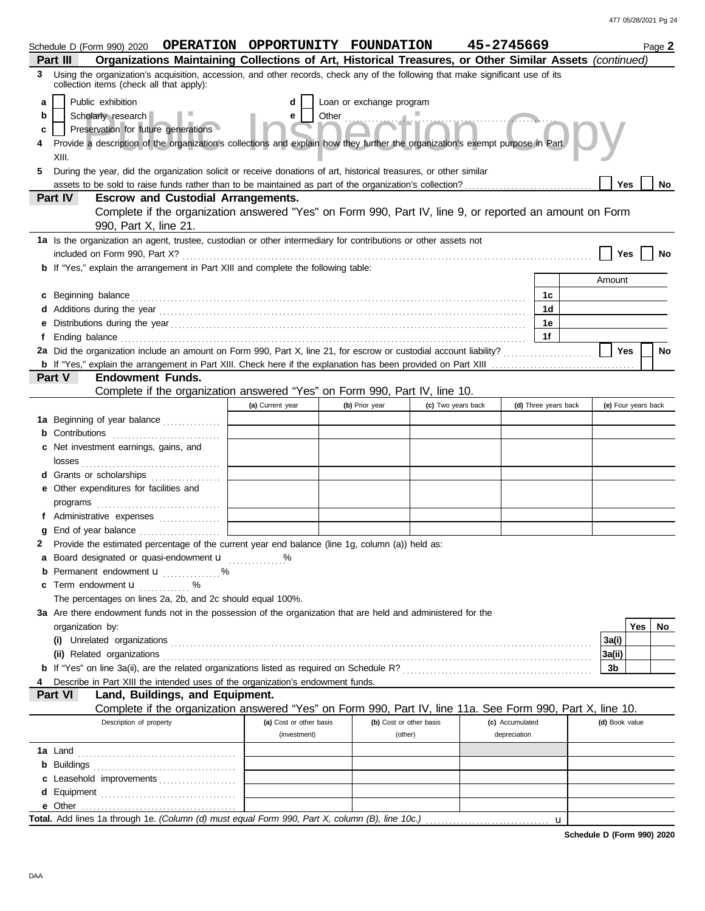|   | Schedule D (Form 990) 2020 OPERATION OPPORTUNITY FOUNDATION                                                                                                                 |                                                    |                            |                         | 45-2745669      |                      |                     |     | Page 2 |
|---|-----------------------------------------------------------------------------------------------------------------------------------------------------------------------------|----------------------------------------------------|----------------------------|-------------------------|-----------------|----------------------|---------------------|-----|--------|
|   | Organizations Maintaining Collections of Art, Historical Treasures, or Other Similar Assets (continued)<br>Part III                                                         |                                                    |                            |                         |                 |                      |                     |     |        |
| 3 | Using the organization's acquisition, accession, and other records, check any of the following that make significant use of its<br>collection items (check all that apply): |                                                    |                            |                         |                 |                      |                     |     |        |
| a | Public exhibition                                                                                                                                                           |                                                    | Loan or exchange program   |                         |                 |                      |                     |     |        |
| b | Scholarly research                                                                                                                                                          | e                                                  | Other <b>Communication</b> |                         |                 |                      |                     |     |        |
| c | Preservation for future generations                                                                                                                                         |                                                    |                            |                         |                 |                      |                     |     |        |
|   | Provide a description of the organization's collections and explain how they further the organization's exempt purpose in Part                                              |                                                    |                            |                         |                 |                      |                     |     |        |
|   | XIII.                                                                                                                                                                       |                                                    |                            |                         |                 |                      |                     |     |        |
| 5 | During the year, did the organization solicit or receive donations of art, historical treasures, or other similar                                                           |                                                    |                            |                         |                 |                      |                     |     |        |
|   |                                                                                                                                                                             |                                                    |                            |                         |                 |                      | <b>Yes</b>          |     | No     |
|   | Part IV<br><b>Escrow and Custodial Arrangements.</b>                                                                                                                        |                                                    |                            |                         |                 |                      |                     |     |        |
|   | Complete if the organization answered "Yes" on Form 990, Part IV, line 9, or reported an amount on Form                                                                     |                                                    |                            |                         |                 |                      |                     |     |        |
|   | 990, Part X, line 21.                                                                                                                                                       |                                                    |                            |                         |                 |                      |                     |     |        |
|   | 1a Is the organization an agent, trustee, custodian or other intermediary for contributions or other assets not                                                             |                                                    |                            |                         |                 |                      |                     |     |        |
|   |                                                                                                                                                                             |                                                    |                            |                         |                 |                      | Yes                 |     | No     |
|   | <b>b</b> If "Yes," explain the arrangement in Part XIII and complete the following table:                                                                                   |                                                    |                            |                         |                 |                      |                     |     |        |
|   |                                                                                                                                                                             |                                                    |                            |                         |                 |                      | Amount              |     |        |
|   | c Beginning balance                                                                                                                                                         |                                                    |                            |                         |                 | 1c                   |                     |     |        |
|   |                                                                                                                                                                             |                                                    |                            |                         |                 | 1d                   |                     |     |        |
|   |                                                                                                                                                                             |                                                    |                            |                         |                 | 1е                   |                     |     |        |
|   |                                                                                                                                                                             |                                                    |                            |                         |                 | 1f                   |                     |     |        |
|   | 2a Did the organization include an amount on Form 990, Part X, line 21, for escrow or custodial account liability?                                                          |                                                    |                            |                         |                 |                      | Yes                 |     | No     |
|   |                                                                                                                                                                             |                                                    |                            |                         |                 |                      |                     |     |        |
|   | Part V<br><b>Endowment Funds.</b>                                                                                                                                           |                                                    |                            |                         |                 |                      |                     |     |        |
|   | Complete if the organization answered "Yes" on Form 990, Part IV, line 10.                                                                                                  |                                                    |                            |                         |                 |                      |                     |     |        |
|   |                                                                                                                                                                             | (a) Current year                                   | (b) Prior year             | (c) Two years back      |                 | (d) Three years back | (e) Four years back |     |        |
|   |                                                                                                                                                                             |                                                    |                            |                         |                 |                      |                     |     |        |
|   | 1a Beginning of year balance                                                                                                                                                |                                                    |                            |                         |                 |                      |                     |     |        |
|   | <b>b</b> Contributions                                                                                                                                                      |                                                    |                            |                         |                 |                      |                     |     |        |
|   | Net investment earnings, gains, and                                                                                                                                         |                                                    |                            |                         |                 |                      |                     |     |        |
|   | losses                                                                                                                                                                      |                                                    |                            |                         |                 |                      |                     |     |        |
|   |                                                                                                                                                                             |                                                    |                            |                         |                 |                      |                     |     |        |
|   | e Other expenditures for facilities and                                                                                                                                     |                                                    |                            |                         |                 |                      |                     |     |        |
|   |                                                                                                                                                                             |                                                    |                            |                         |                 |                      |                     |     |        |
|   | f Administrative expenses                                                                                                                                                   |                                                    |                            |                         |                 |                      |                     |     |        |
| a |                                                                                                                                                                             |                                                    |                            |                         |                 |                      |                     |     |        |
|   | Provide the estimated percentage of the current year end balance (line 1g, column (a)) held as:                                                                             |                                                    |                            |                         |                 |                      |                     |     |        |
|   | Board designated or quasi-endowment <b>u</b> %                                                                                                                              |                                                    |                            |                         |                 |                      |                     |     |        |
|   | <b>b</b> Permanent endowment <b>u</b> %                                                                                                                                     |                                                    |                            |                         |                 |                      |                     |     |        |
| c | Term endowment <b>u</b> %                                                                                                                                                   |                                                    |                            |                         |                 |                      |                     |     |        |
|   | The percentages on lines 2a, 2b, and 2c should equal 100%.                                                                                                                  |                                                    |                            |                         |                 |                      |                     |     |        |
|   | 3a Are there endowment funds not in the possession of the organization that are held and administered for the                                                               |                                                    |                            |                         |                 |                      |                     |     |        |
|   | organization by:                                                                                                                                                            |                                                    |                            |                         |                 |                      |                     | Yes | No.    |
|   |                                                                                                                                                                             |                                                    |                            |                         |                 |                      | 3a(i)               |     |        |
|   | (ii) Related organizations                                                                                                                                                  |                                                    |                            |                         |                 |                      | 3a(ii)              |     |        |
|   |                                                                                                                                                                             |                                                    |                            |                         |                 |                      | 3b                  |     |        |
|   | Describe in Part XIII the intended uses of the organization's endowment funds.                                                                                              |                                                    |                            |                         |                 |                      |                     |     |        |
|   | Part VI<br>Land, Buildings, and Equipment.                                                                                                                                  |                                                    |                            |                         |                 |                      |                     |     |        |
|   | Complete if the organization answered "Yes" on Form 990, Part IV, line 11a. See Form 990, Part X, line 10.                                                                  |                                                    |                            |                         |                 |                      |                     |     |        |
|   | Description of property                                                                                                                                                     | (a) Cost or other basis                            |                            | (b) Cost or other basis | (c) Accumulated |                      | (d) Book value      |     |        |
|   |                                                                                                                                                                             | (investment)                                       |                            | (other)                 | depreciation    |                      |                     |     |        |
|   | <b>1a</b> Land                                                                                                                                                              |                                                    |                            |                         |                 |                      |                     |     |        |
|   |                                                                                                                                                                             |                                                    |                            |                         |                 |                      |                     |     |        |
|   | c Leasehold improvements                                                                                                                                                    |                                                    |                            |                         |                 |                      |                     |     |        |
|   |                                                                                                                                                                             | <u> 1990 - Jan Barat, politik e</u> ta politikaria |                            |                         |                 |                      |                     |     |        |
|   |                                                                                                                                                                             |                                                    |                            |                         |                 |                      |                     |     |        |
|   |                                                                                                                                                                             |                                                    |                            |                         |                 |                      |                     |     |        |

**Schedule D (Form 990) 2020**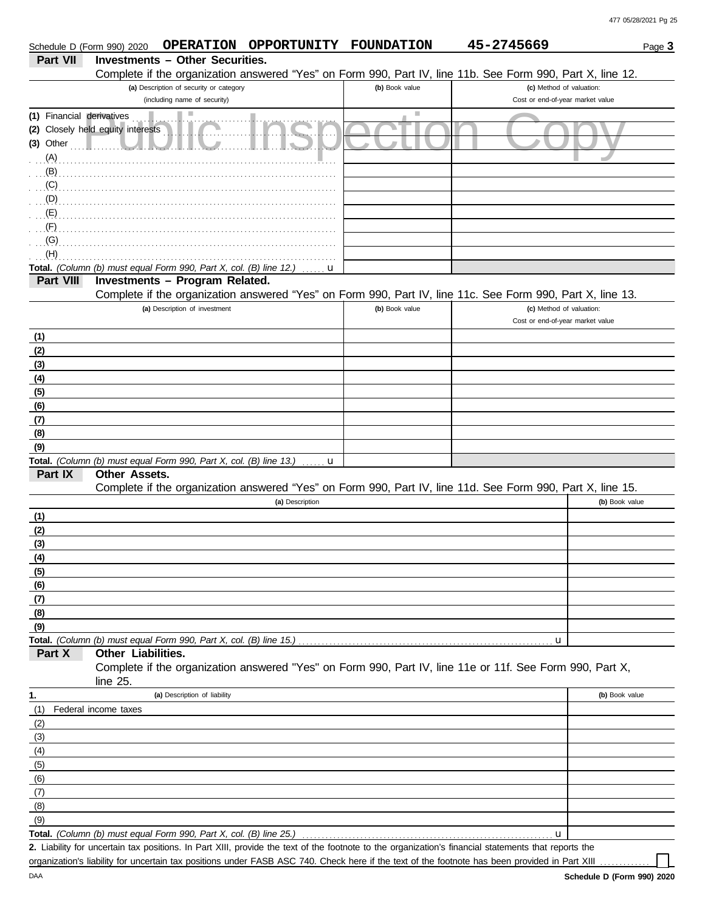| Schedule D (Form 990) 2020 |                                   |                                                                    | OPERATION OPPORTUNITY FOUNDATION |                | 45-2745669                                                                                                                                           | Page 3         |
|----------------------------|-----------------------------------|--------------------------------------------------------------------|----------------------------------|----------------|------------------------------------------------------------------------------------------------------------------------------------------------------|----------------|
| <b>Part VII</b>            |                                   | <b>Investments - Other Securities.</b>                             |                                  |                |                                                                                                                                                      |                |
|                            |                                   |                                                                    |                                  |                | Complete if the organization answered "Yes" on Form 990, Part IV, line 11b. See Form 990, Part X, line 12.                                           |                |
|                            |                                   | (a) Description of security or category                            |                                  | (b) Book value | (c) Method of valuation:                                                                                                                             |                |
|                            |                                   | (including name of security)                                       |                                  |                | Cost or end-of-year market value                                                                                                                     |                |
| (1) Financial derivatives  |                                   |                                                                    |                                  |                |                                                                                                                                                      |                |
|                            | (2) Closely held equity interests |                                                                    |                                  |                |                                                                                                                                                      |                |
| $(3)$ Other                |                                   |                                                                    |                                  |                |                                                                                                                                                      |                |
| (A)                        |                                   |                                                                    |                                  |                |                                                                                                                                                      |                |
| (B)                        |                                   |                                                                    |                                  |                |                                                                                                                                                      |                |
| (C)                        |                                   |                                                                    |                                  |                |                                                                                                                                                      |                |
| $\bigcup_{i=1}^{n}$ (D)    |                                   |                                                                    |                                  |                |                                                                                                                                                      |                |
| (E)<br>(F)                 |                                   |                                                                    |                                  |                |                                                                                                                                                      |                |
| (G)                        |                                   |                                                                    |                                  |                |                                                                                                                                                      |                |
| (H)                        |                                   |                                                                    |                                  |                |                                                                                                                                                      |                |
|                            |                                   | Total. (Column (b) must equal Form 990, Part X, col. (B) line 12.) | u                                |                |                                                                                                                                                      |                |
| Part VIII                  |                                   | Investments - Program Related.                                     |                                  |                |                                                                                                                                                      |                |
|                            |                                   |                                                                    |                                  |                | Complete if the organization answered "Yes" on Form 990, Part IV, line 11c. See Form 990, Part X, line 13.                                           |                |
|                            |                                   | (a) Description of investment                                      |                                  | (b) Book value | (c) Method of valuation:                                                                                                                             |                |
|                            |                                   |                                                                    |                                  |                | Cost or end-of-year market value                                                                                                                     |                |
| (1)                        |                                   |                                                                    |                                  |                |                                                                                                                                                      |                |
| (2)                        |                                   |                                                                    |                                  |                |                                                                                                                                                      |                |
| (3)                        |                                   |                                                                    |                                  |                |                                                                                                                                                      |                |
| (4)                        |                                   |                                                                    |                                  |                |                                                                                                                                                      |                |
| (5)                        |                                   |                                                                    |                                  |                |                                                                                                                                                      |                |
| (6)                        |                                   |                                                                    |                                  |                |                                                                                                                                                      |                |
| (7)                        |                                   |                                                                    |                                  |                |                                                                                                                                                      |                |
| (8)                        |                                   |                                                                    |                                  |                |                                                                                                                                                      |                |
| (9)                        |                                   |                                                                    |                                  |                |                                                                                                                                                      |                |
| Part IX                    | Other Assets.                     | Total. (Column (b) must equal Form 990, Part X, col. (B) line 13.) | u                                |                |                                                                                                                                                      |                |
|                            |                                   |                                                                    |                                  |                | Complete if the organization answered "Yes" on Form 990, Part IV, line 11d. See Form 990, Part X, line 15.                                           |                |
|                            |                                   |                                                                    | (a) Description                  |                |                                                                                                                                                      | (b) Book value |
| (1)                        |                                   |                                                                    |                                  |                |                                                                                                                                                      |                |
| (2)                        |                                   |                                                                    |                                  |                |                                                                                                                                                      |                |
| (3)                        |                                   |                                                                    |                                  |                |                                                                                                                                                      |                |
| (4)                        |                                   |                                                                    |                                  |                |                                                                                                                                                      |                |
| (5)                        |                                   |                                                                    |                                  |                |                                                                                                                                                      |                |
| (6)                        |                                   |                                                                    |                                  |                |                                                                                                                                                      |                |
| (7)                        |                                   |                                                                    |                                  |                |                                                                                                                                                      |                |
| (8)                        |                                   |                                                                    |                                  |                |                                                                                                                                                      |                |
| (9)                        |                                   |                                                                    |                                  |                |                                                                                                                                                      |                |
|                            |                                   | Total. (Column (b) must equal Form 990, Part X, col. (B) line 15.) |                                  |                | u                                                                                                                                                    |                |
| Part X                     | Other Liabilities.                |                                                                    |                                  |                |                                                                                                                                                      |                |
|                            |                                   |                                                                    |                                  |                | Complete if the organization answered "Yes" on Form 990, Part IV, line 11e or 11f. See Form 990, Part X,                                             |                |
|                            | line 25.                          |                                                                    |                                  |                |                                                                                                                                                      |                |
| 1.                         | Federal income taxes              | (a) Description of liability                                       |                                  |                |                                                                                                                                                      | (b) Book value |
| (1)<br>(2)                 |                                   |                                                                    |                                  |                |                                                                                                                                                      |                |
| (3)                        |                                   |                                                                    |                                  |                |                                                                                                                                                      |                |
| (4)                        |                                   |                                                                    |                                  |                |                                                                                                                                                      |                |
| (5)                        |                                   |                                                                    |                                  |                |                                                                                                                                                      |                |
| (6)                        |                                   |                                                                    |                                  |                |                                                                                                                                                      |                |
| (7)                        |                                   |                                                                    |                                  |                |                                                                                                                                                      |                |
| (8)                        |                                   |                                                                    |                                  |                |                                                                                                                                                      |                |
| (9)                        |                                   |                                                                    |                                  |                |                                                                                                                                                      |                |
|                            |                                   | Total. (Column (b) must equal Form 990, Part X, col. (B) line 25.) |                                  |                | u                                                                                                                                                    |                |
|                            |                                   |                                                                    |                                  |                | 2. Liability for uncertain tax positions. In Part XIII, provide the text of the footnote to the organization's financial statements that reports the |                |
|                            |                                   |                                                                    |                                  |                | organization's liability for uncertain tax positions under FASB ASC 740. Check here if the text of the footpote has been provided in Part XIII       |                |

organization's liability for uncertain tax positions under FASB ASC 740. Check here if the text of the footnote has been provided in Part XIII ...

DAA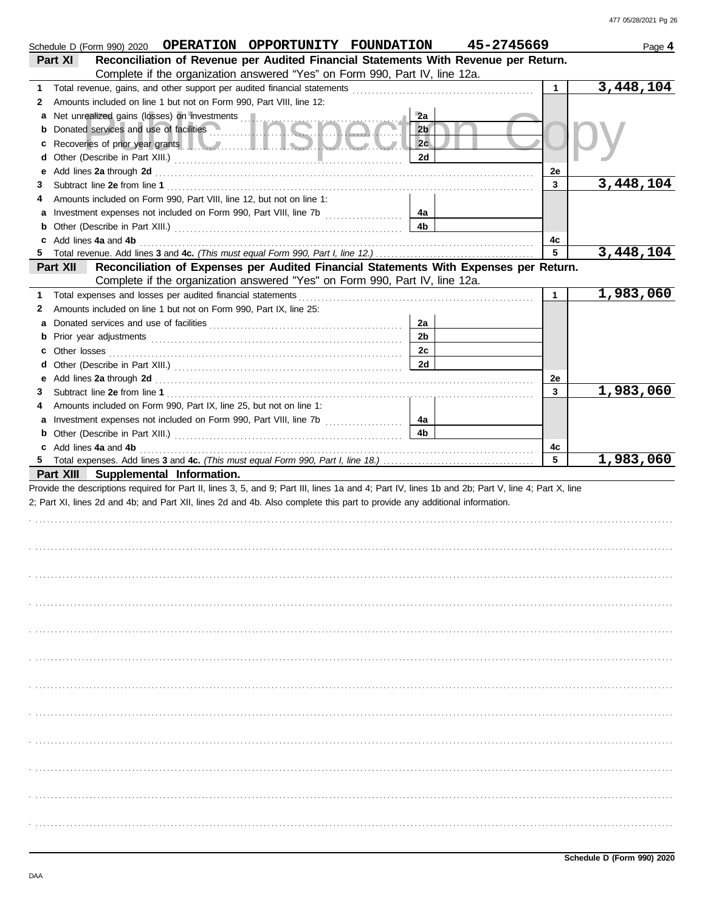|    | Schedule D (Form 990) 2020 OPERATION OPPORTUNITY FOUNDATION                                                                                                                                                                          |                | 45-2745669 |                    | Page 4    |
|----|--------------------------------------------------------------------------------------------------------------------------------------------------------------------------------------------------------------------------------------|----------------|------------|--------------------|-----------|
|    | Reconciliation of Revenue per Audited Financial Statements With Revenue per Return.<br>Part XI                                                                                                                                       |                |            |                    |           |
|    | Complete if the organization answered "Yes" on Form 990, Part IV, line 12a.                                                                                                                                                          |                |            |                    |           |
| 1  | Total revenue, gains, and other support per audited financial statements                                                                                                                                                             |                |            | 1                  | 3,448,104 |
| 2  | Amounts included on line 1 but not on Form 990, Part VIII, line 12:                                                                                                                                                                  |                |            |                    |           |
|    | Net unrealized gains (losses) on investments                                                                                                                                                                                         | 2a             |            |                    |           |
|    | Donated services and use of facilities                                                                                                                                                                                               | 2 <sub>b</sub> |            |                    |           |
| c  | Recoveries of prior year grants <b>and the contract of the contract of the contract of the contract of the contract of the contract of the contract of the contract of the contract of the contract of the contract of the contr</b> | 2c             |            |                    |           |
| d  |                                                                                                                                                                                                                                      | 2d             |            |                    |           |
| е  |                                                                                                                                                                                                                                      |                |            | 2e                 |           |
| 3  |                                                                                                                                                                                                                                      |                |            | 3                  | 3,448,104 |
| 4  | Amounts included on Form 990, Part VIII, line 12, but not on line 1:                                                                                                                                                                 |                |            |                    |           |
| а  |                                                                                                                                                                                                                                      | 4a             |            |                    |           |
|    |                                                                                                                                                                                                                                      | 4b             |            |                    |           |
|    | c Add lines 4a and 4b                                                                                                                                                                                                                |                |            | 4с                 |           |
| 5  |                                                                                                                                                                                                                                      |                |            | 5                  | 3,448,104 |
|    | Part XII<br>Reconciliation of Expenses per Audited Financial Statements With Expenses per Return.                                                                                                                                    |                |            |                    |           |
|    | Complete if the organization answered "Yes" on Form 990, Part IV, line 12a.                                                                                                                                                          |                |            |                    |           |
| 1  | Total expenses and losses per audited financial statements                                                                                                                                                                           |                |            | $\mathbf{1}$       | 1,983,060 |
| 2  | Amounts included on line 1 but not on Form 990, Part IX, line 25:                                                                                                                                                                    |                |            |                    |           |
|    |                                                                                                                                                                                                                                      | 2a             |            |                    |           |
|    |                                                                                                                                                                                                                                      | 2 <sub>b</sub> |            |                    |           |
| c  | Other losses                                                                                                                                                                                                                         | 2c             |            |                    |           |
| d  |                                                                                                                                                                                                                                      | 2d             |            |                    |           |
|    |                                                                                                                                                                                                                                      |                |            |                    |           |
| е  |                                                                                                                                                                                                                                      |                |            | 2e<br>$\mathbf{3}$ | 1,983,060 |
| 3  |                                                                                                                                                                                                                                      |                |            |                    |           |
| 4  | Amounts included on Form 990, Part IX, line 25, but not on line 1:                                                                                                                                                                   |                |            |                    |           |
| а  | Investment expenses not included on Form 990, Part VIII, line 7b [                                                                                                                                                                   | 4a<br>4b       |            |                    |           |
|    |                                                                                                                                                                                                                                      |                |            |                    |           |
| 5. | c Add lines 4a and 4b                                                                                                                                                                                                                |                |            | 4с<br>5            | 1,983,060 |
|    |                                                                                                                                                                                                                                      |                |            |                    |           |
|    | Part XIII Supplemental Information.                                                                                                                                                                                                  |                |            |                    |           |
|    | Provide the descriptions required for Part II, lines 3, 5, and 9; Part III, lines 1a and 4; Part IV, lines 1b and 2b; Part V, line 4; Part X, line                                                                                   |                |            |                    |           |
|    | 2; Part XI, lines 2d and 4b; and Part XII, lines 2d and 4b. Also complete this part to provide any additional information.                                                                                                           |                |            |                    |           |
|    |                                                                                                                                                                                                                                      |                |            |                    |           |
|    |                                                                                                                                                                                                                                      |                |            |                    |           |
|    |                                                                                                                                                                                                                                      |                |            |                    |           |
|    |                                                                                                                                                                                                                                      |                |            |                    |           |
|    |                                                                                                                                                                                                                                      |                |            |                    |           |
|    |                                                                                                                                                                                                                                      |                |            |                    |           |
|    |                                                                                                                                                                                                                                      |                |            |                    |           |
|    |                                                                                                                                                                                                                                      |                |            |                    |           |
|    |                                                                                                                                                                                                                                      |                |            |                    |           |
|    |                                                                                                                                                                                                                                      |                |            |                    |           |
|    |                                                                                                                                                                                                                                      |                |            |                    |           |
|    |                                                                                                                                                                                                                                      |                |            |                    |           |
|    |                                                                                                                                                                                                                                      |                |            |                    |           |
|    |                                                                                                                                                                                                                                      |                |            |                    |           |
|    |                                                                                                                                                                                                                                      |                |            |                    |           |
|    |                                                                                                                                                                                                                                      |                |            |                    |           |
|    |                                                                                                                                                                                                                                      |                |            |                    |           |
|    |                                                                                                                                                                                                                                      |                |            |                    |           |
|    |                                                                                                                                                                                                                                      |                |            |                    |           |
|    |                                                                                                                                                                                                                                      |                |            |                    |           |
|    |                                                                                                                                                                                                                                      |                |            |                    |           |
|    |                                                                                                                                                                                                                                      |                |            |                    |           |
|    |                                                                                                                                                                                                                                      |                |            |                    |           |
|    |                                                                                                                                                                                                                                      |                |            |                    |           |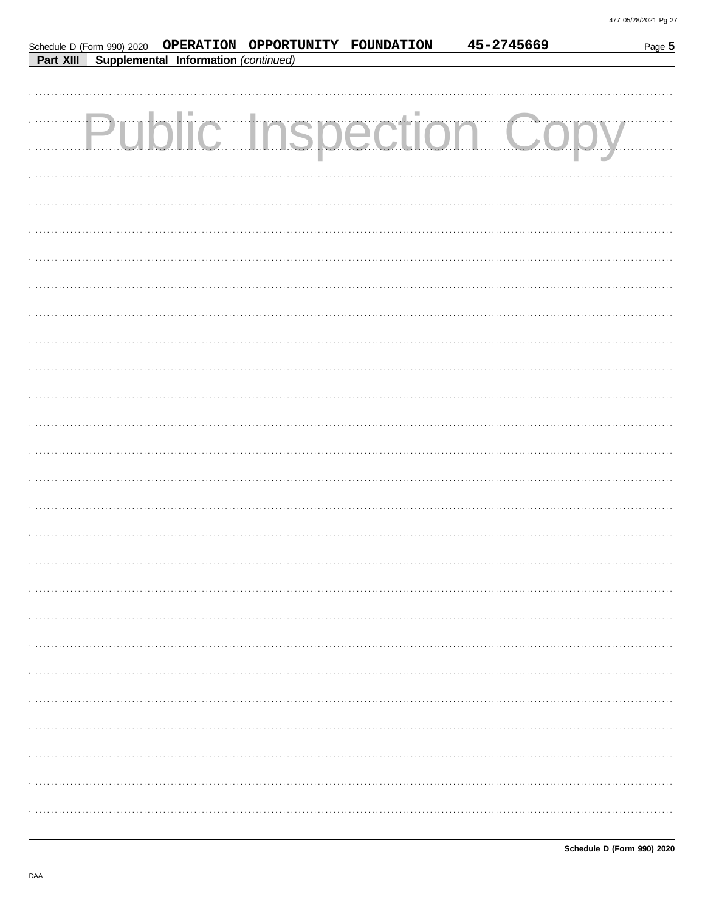|                  |                                      | Schedule D (Form 990) 2020  OPERATION  OPPORTUNITY  FOUNDATION | 45-2745669                   | Page 5 |
|------------------|--------------------------------------|----------------------------------------------------------------|------------------------------|--------|
| <b>Part XIII</b> | Supplemental Information (continued) |                                                                |                              |        |
|                  |                                      |                                                                |                              |        |
|                  |                                      |                                                                |                              |        |
|                  |                                      |                                                                | <b>Public Inspection Cor</b> |        |
|                  |                                      |                                                                |                              |        |
|                  |                                      |                                                                |                              |        |
|                  |                                      |                                                                |                              |        |
|                  |                                      |                                                                |                              |        |
|                  |                                      |                                                                |                              |        |
|                  |                                      |                                                                |                              |        |
|                  |                                      |                                                                |                              |        |
|                  |                                      |                                                                |                              |        |
|                  |                                      |                                                                |                              |        |
|                  |                                      |                                                                |                              |        |
|                  |                                      |                                                                |                              |        |
|                  |                                      |                                                                |                              |        |
|                  |                                      |                                                                |                              |        |
|                  |                                      |                                                                |                              |        |
|                  |                                      |                                                                |                              |        |
|                  |                                      |                                                                |                              |        |
|                  |                                      |                                                                |                              |        |
|                  |                                      |                                                                |                              |        |
|                  |                                      |                                                                |                              |        |
|                  |                                      |                                                                |                              |        |
|                  |                                      |                                                                |                              |        |
|                  |                                      |                                                                |                              |        |
|                  |                                      |                                                                |                              |        |
|                  |                                      |                                                                |                              |        |
|                  |                                      |                                                                |                              |        |
|                  |                                      |                                                                |                              |        |
|                  |                                      |                                                                |                              |        |
|                  |                                      |                                                                |                              |        |
|                  |                                      |                                                                |                              |        |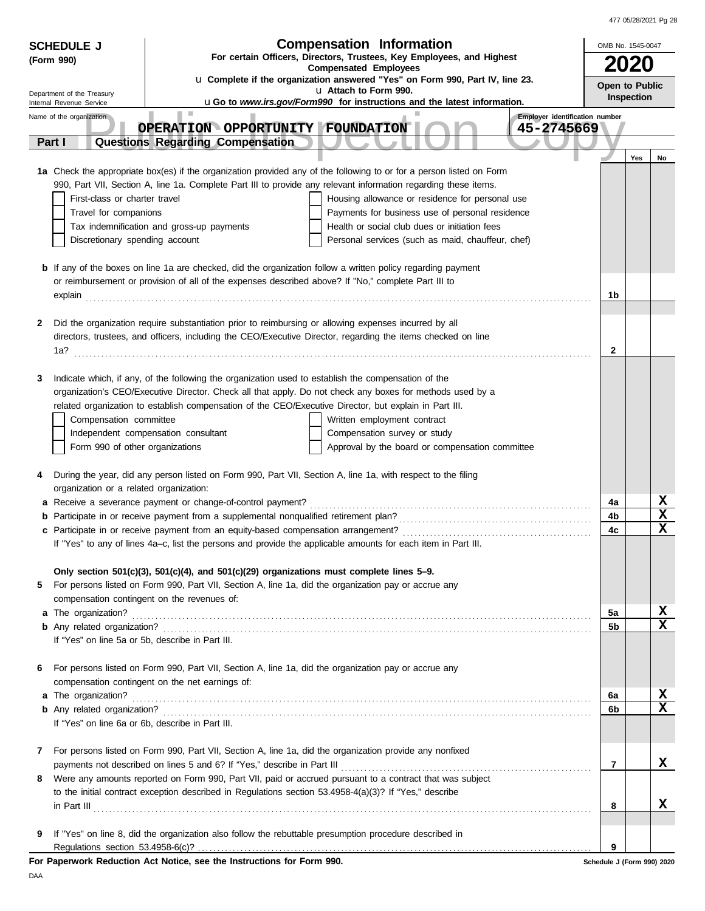|   | <b>Compensation Information</b><br><b>SCHEDULE J</b>                                                                |                                                                                                                                                                                                                            |                                                                                                                                                                                                                                      |                                              | OMB No. 1545-0047          |            |                         |
|---|---------------------------------------------------------------------------------------------------------------------|----------------------------------------------------------------------------------------------------------------------------------------------------------------------------------------------------------------------------|--------------------------------------------------------------------------------------------------------------------------------------------------------------------------------------------------------------------------------------|----------------------------------------------|----------------------------|------------|-------------------------|
|   | For certain Officers, Directors, Trustees, Key Employees, and Highest<br>(Form 990)<br><b>Compensated Employees</b> |                                                                                                                                                                                                                            |                                                                                                                                                                                                                                      |                                              |                            | 2020       |                         |
|   |                                                                                                                     |                                                                                                                                                                                                                            | u Complete if the organization answered "Yes" on Form 990, Part IV, line 23.                                                                                                                                                         |                                              |                            |            |                         |
|   | Department of the Treasury                                                                                          |                                                                                                                                                                                                                            | u Attach to Form 990.                                                                                                                                                                                                                |                                              | Open to Public             | Inspection |                         |
|   | Internal Revenue Service                                                                                            | <b>In</b>                                                                                                                                                                                                                  | uGo to www.irs.gov/Form990 for instructions and the latest information.                                                                                                                                                              |                                              |                            |            |                         |
|   | Name of the organization                                                                                            | OPERATION OPPORTUNITY FOUNDATION                                                                                                                                                                                           |                                                                                                                                                                                                                                      | Employer identification number<br>45-2745669 |                            |            |                         |
|   | Part I                                                                                                              | Questions Regarding Compensation                                                                                                                                                                                           |                                                                                                                                                                                                                                      |                                              |                            |            |                         |
|   |                                                                                                                     |                                                                                                                                                                                                                            |                                                                                                                                                                                                                                      |                                              |                            | Yes        | No                      |
|   |                                                                                                                     |                                                                                                                                                                                                                            | 1a Check the appropriate box(es) if the organization provided any of the following to or for a person listed on Form                                                                                                                 |                                              |                            |            |                         |
|   |                                                                                                                     |                                                                                                                                                                                                                            | 990, Part VII, Section A, line 1a. Complete Part III to provide any relevant information regarding these items.                                                                                                                      |                                              |                            |            |                         |
|   | First-class or charter travel                                                                                       |                                                                                                                                                                                                                            | Housing allowance or residence for personal use                                                                                                                                                                                      |                                              |                            |            |                         |
|   | Travel for companions                                                                                               |                                                                                                                                                                                                                            | Payments for business use of personal residence                                                                                                                                                                                      |                                              |                            |            |                         |
|   |                                                                                                                     | Tax indemnification and gross-up payments                                                                                                                                                                                  | Health or social club dues or initiation fees                                                                                                                                                                                        |                                              |                            |            |                         |
|   | Discretionary spending account                                                                                      |                                                                                                                                                                                                                            | Personal services (such as maid, chauffeur, chef)                                                                                                                                                                                    |                                              |                            |            |                         |
|   |                                                                                                                     |                                                                                                                                                                                                                            |                                                                                                                                                                                                                                      |                                              |                            |            |                         |
|   |                                                                                                                     | <b>b</b> If any of the boxes on line 1a are checked, did the organization follow a written policy regarding payment<br>or reimbursement or provision of all of the expenses described above? If "No," complete Part III to |                                                                                                                                                                                                                                      |                                              |                            |            |                         |
|   |                                                                                                                     |                                                                                                                                                                                                                            |                                                                                                                                                                                                                                      |                                              | 1b                         |            |                         |
|   |                                                                                                                     |                                                                                                                                                                                                                            | explain <b>contract and the contract of the contract of the contract of the contract of the contract of the contract of the contract of the contract of the contract of the contract of the contract of the contract of the cont</b> |                                              |                            |            |                         |
| 2 |                                                                                                                     | Did the organization require substantiation prior to reimbursing or allowing expenses incurred by all                                                                                                                      |                                                                                                                                                                                                                                      |                                              |                            |            |                         |
|   |                                                                                                                     |                                                                                                                                                                                                                            | directors, trustees, and officers, including the CEO/Executive Director, regarding the items checked on line                                                                                                                         |                                              |                            |            |                         |
|   |                                                                                                                     |                                                                                                                                                                                                                            |                                                                                                                                                                                                                                      |                                              | 2                          |            |                         |
|   |                                                                                                                     |                                                                                                                                                                                                                            |                                                                                                                                                                                                                                      |                                              |                            |            |                         |
| 3 |                                                                                                                     | Indicate which, if any, of the following the organization used to establish the compensation of the                                                                                                                        |                                                                                                                                                                                                                                      |                                              |                            |            |                         |
|   |                                                                                                                     |                                                                                                                                                                                                                            | organization's CEO/Executive Director. Check all that apply. Do not check any boxes for methods used by a                                                                                                                            |                                              |                            |            |                         |
|   | Compensation committee                                                                                              | related organization to establish compensation of the CEO/Executive Director, but explain in Part III.                                                                                                                     | Written employment contract                                                                                                                                                                                                          |                                              |                            |            |                         |
|   |                                                                                                                     | Independent compensation consultant                                                                                                                                                                                        | Compensation survey or study                                                                                                                                                                                                         |                                              |                            |            |                         |
|   | Form 990 of other organizations                                                                                     |                                                                                                                                                                                                                            | Approval by the board or compensation committee                                                                                                                                                                                      |                                              |                            |            |                         |
|   |                                                                                                                     |                                                                                                                                                                                                                            |                                                                                                                                                                                                                                      |                                              |                            |            |                         |
| 4 |                                                                                                                     | During the year, did any person listed on Form 990, Part VII, Section A, line 1a, with respect to the filing                                                                                                               |                                                                                                                                                                                                                                      |                                              |                            |            |                         |
|   | organization or a related organization:                                                                             |                                                                                                                                                                                                                            |                                                                                                                                                                                                                                      |                                              |                            |            |                         |
|   |                                                                                                                     | a Receive a severance payment or change-of-control payment?                                                                                                                                                                |                                                                                                                                                                                                                                      |                                              | 4a                         |            | X                       |
|   |                                                                                                                     |                                                                                                                                                                                                                            |                                                                                                                                                                                                                                      |                                              | 4b                         |            | $\mathbf x$             |
|   |                                                                                                                     |                                                                                                                                                                                                                            |                                                                                                                                                                                                                                      |                                              | 4c                         |            | $\mathbf x$             |
|   |                                                                                                                     | If "Yes" to any of lines 4a-c, list the persons and provide the applicable amounts for each item in Part III.                                                                                                              |                                                                                                                                                                                                                                      |                                              |                            |            |                         |
|   |                                                                                                                     | Only section $501(c)(3)$ , $501(c)(4)$ , and $501(c)(29)$ organizations must complete lines $5-9$ .                                                                                                                        |                                                                                                                                                                                                                                      |                                              |                            |            |                         |
| 5 |                                                                                                                     | For persons listed on Form 990, Part VII, Section A, line 1a, did the organization pay or accrue any                                                                                                                       |                                                                                                                                                                                                                                      |                                              |                            |            |                         |
|   |                                                                                                                     | compensation contingent on the revenues of:                                                                                                                                                                                |                                                                                                                                                                                                                                      |                                              |                            |            |                         |
|   |                                                                                                                     |                                                                                                                                                                                                                            |                                                                                                                                                                                                                                      |                                              | 5a                         |            | х                       |
|   |                                                                                                                     |                                                                                                                                                                                                                            |                                                                                                                                                                                                                                      |                                              | 5b                         |            | $\overline{\mathbf{x}}$ |
|   | If "Yes" on line 5a or 5b, describe in Part III.                                                                    |                                                                                                                                                                                                                            |                                                                                                                                                                                                                                      |                                              |                            |            |                         |
|   |                                                                                                                     |                                                                                                                                                                                                                            |                                                                                                                                                                                                                                      |                                              |                            |            |                         |
| 6 |                                                                                                                     | For persons listed on Form 990, Part VII, Section A, line 1a, did the organization pay or accrue any                                                                                                                       |                                                                                                                                                                                                                                      |                                              |                            |            |                         |
|   |                                                                                                                     | compensation contingent on the net earnings of:                                                                                                                                                                            |                                                                                                                                                                                                                                      |                                              | 6a                         |            | X                       |
|   |                                                                                                                     |                                                                                                                                                                                                                            |                                                                                                                                                                                                                                      |                                              | 6b                         |            | $\mathbf x$             |
|   | If "Yes" on line 6a or 6b, describe in Part III.                                                                    |                                                                                                                                                                                                                            |                                                                                                                                                                                                                                      |                                              |                            |            |                         |
|   |                                                                                                                     |                                                                                                                                                                                                                            |                                                                                                                                                                                                                                      |                                              |                            |            |                         |
| 7 |                                                                                                                     | For persons listed on Form 990, Part VII, Section A, line 1a, did the organization provide any nonfixed                                                                                                                    |                                                                                                                                                                                                                                      |                                              |                            |            |                         |
|   |                                                                                                                     |                                                                                                                                                                                                                            |                                                                                                                                                                                                                                      |                                              | 7                          |            | X                       |
|   |                                                                                                                     |                                                                                                                                                                                                                            | 8 Were any amounts reported on Form 990, Part VII, paid or accrued pursuant to a contract that was subject                                                                                                                           |                                              |                            |            |                         |
|   |                                                                                                                     | to the initial contract exception described in Regulations section 53.4958-4(a)(3)? If "Yes," describe                                                                                                                     |                                                                                                                                                                                                                                      |                                              |                            |            |                         |
|   |                                                                                                                     |                                                                                                                                                                                                                            |                                                                                                                                                                                                                                      |                                              | 8                          |            | х                       |
|   |                                                                                                                     |                                                                                                                                                                                                                            |                                                                                                                                                                                                                                      |                                              |                            |            |                         |
| 9 |                                                                                                                     | If "Yes" on line 8, did the organization also follow the rebuttable presumption procedure described in                                                                                                                     |                                                                                                                                                                                                                                      |                                              | 9                          |            |                         |
|   |                                                                                                                     | For Paperwork Reduction Act Notice, see the Instructions for Form 990.                                                                                                                                                     |                                                                                                                                                                                                                                      |                                              | Schedule J (Form 990) 2020 |            |                         |

DAA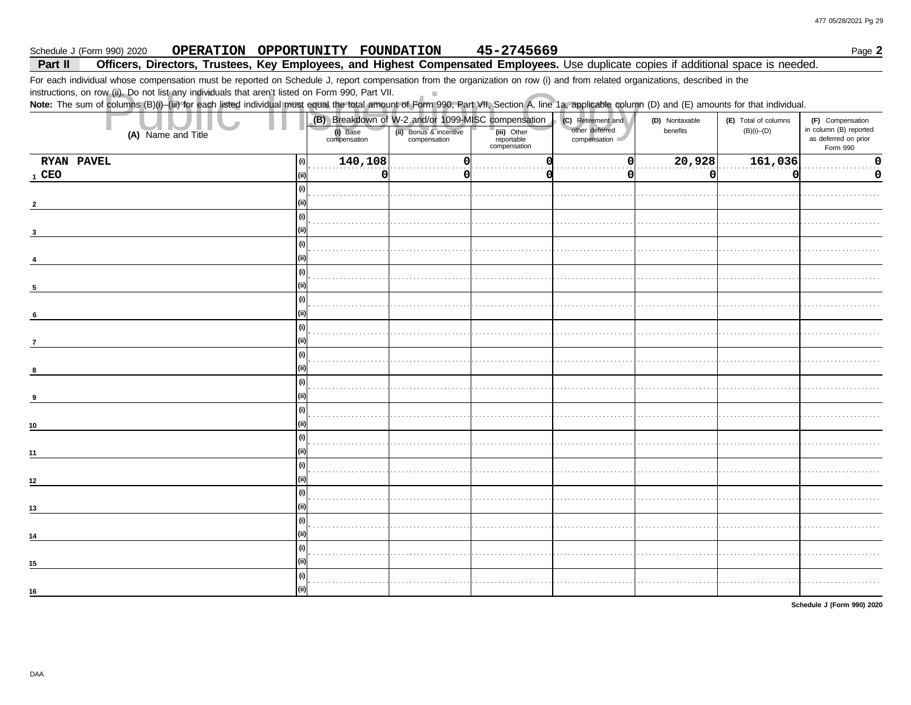Page 2

#### 45-2745669 Schedule J (Form 990) 2020 OPERATION OPPORTUNITY FOUNDATION

#### Part II Officers, Directors, Trustees, Key Employees, and Highest Compensated Employees. Use duplicate copies if additional space is needed.

 $\mathbb{R}^n$ 

For each individual whose compensation must be reported on Schedule J, report compensation from the organization on row (i) and from related organizations, described in the

instructions, on row (ii). Do not list any individuals that aren't listed on Form 990, Part VII.

Note: The sum of columns (B)(i)-(iii) for each listed individual must equal the total amount of Form 990, Part VII, Section A, line 1a, applicable column (D) and (E) amounts for that individual.

|                    |                                          | (B) Breakdown of W-2 and/or 1099-MISC compensation |                                           | (C) Retirement and             | (D) Nontaxable | (E) Total of columns | (F) Compensation                                           |
|--------------------|------------------------------------------|----------------------------------------------------|-------------------------------------------|--------------------------------|----------------|----------------------|------------------------------------------------------------|
| (A) Name and Title | (i) Base<br>compensation                 | (ii) Bonus & incentive<br>compensation             | (iii) Other<br>reportable<br>compensation | other deferred<br>compensation | benefits       | $(B)(i)$ - $(D)$     | in column (B) reported<br>as deferred on prior<br>Form 990 |
| RYAN PAVEL         | $\boxed{140,108}$<br>$\vert$ (i) $\vert$ |                                                    |                                           | O                              | [20, 928]      | $\boxed{161,036}$    |                                                            |
| $1$ CEO            | (ii)<br>0                                | 0                                                  |                                           | $\Omega$                       | $\Omega$       | 0                    | 0                                                          |
|                    | (i)                                      |                                                    |                                           |                                |                |                      |                                                            |
|                    | (i)                                      |                                                    |                                           |                                |                |                      |                                                            |
|                    | (i)                                      |                                                    |                                           |                                |                |                      |                                                            |
|                    | (i)                                      |                                                    |                                           |                                |                |                      |                                                            |
| 5                  | (i)                                      |                                                    |                                           |                                |                |                      |                                                            |
| 6                  | (i)                                      |                                                    |                                           |                                |                |                      |                                                            |
| $\overline{7}$     | (ii)<br>(i)                              |                                                    |                                           |                                |                |                      |                                                            |
| я                  | (i)<br>(ii)                              |                                                    |                                           |                                |                |                      |                                                            |
| 9                  | (i)                                      |                                                    |                                           |                                |                |                      |                                                            |
| 10                 | (i)<br>(ii)                              |                                                    |                                           |                                |                |                      |                                                            |
| 11                 | (i)                                      |                                                    |                                           |                                |                |                      |                                                            |
| 12 <sub>2</sub>    | (i)<br>(ii)                              |                                                    |                                           |                                |                |                      |                                                            |
| 13                 | (i)                                      |                                                    |                                           |                                |                |                      |                                                            |
| 14                 | (i)                                      |                                                    |                                           |                                |                |                      |                                                            |
| $15\,$             | (ii)<br>(i)<br>(ii)                      |                                                    |                                           |                                |                |                      |                                                            |
| 16                 |                                          |                                                    |                                           |                                |                |                      |                                                            |

Schedule J (Form 990) 2020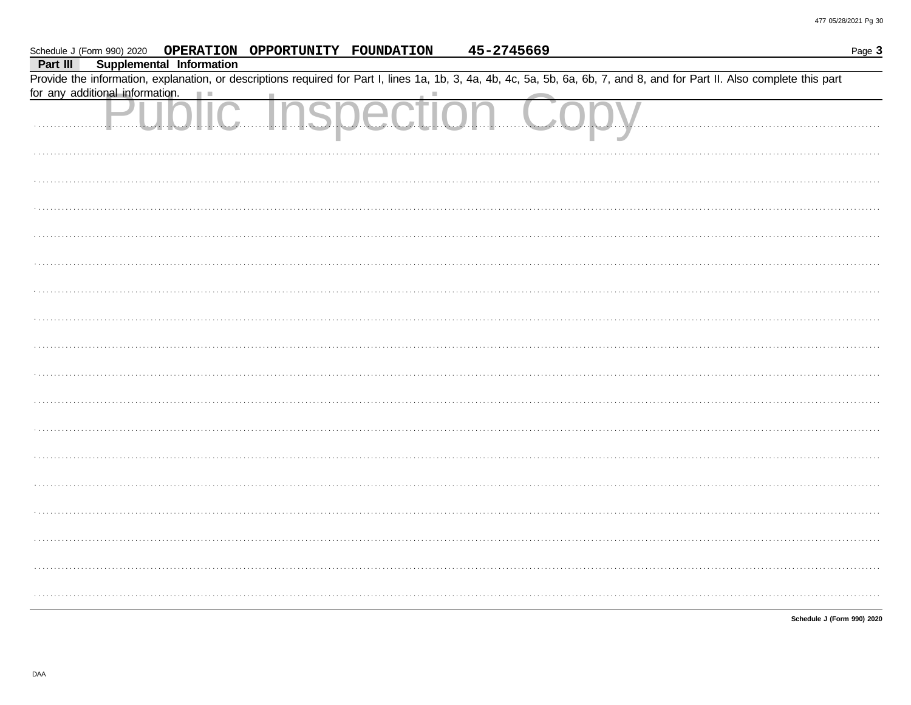|          |                                 |                                 | Schedule J (Form 990) 2020  OPERATION  OPPORTUNITY  FOUNDATION |                   | 45-2745669 | Page 3                                                                                                                                                                     |
|----------|---------------------------------|---------------------------------|----------------------------------------------------------------|-------------------|------------|----------------------------------------------------------------------------------------------------------------------------------------------------------------------------|
| Part III |                                 | <b>Supplemental Information</b> |                                                                |                   |            |                                                                                                                                                                            |
|          | for any additional information. |                                 |                                                                |                   |            | Provide the information, explanation, or descriptions required for Part I, lines 1a, 1b, 3, 4a, 4b, 4c, 5a, 5b, 6a, 6b, 7, and 8, and for Part II. Also complete this part |
|          |                                 |                                 |                                                                |                   |            |                                                                                                                                                                            |
|          |                                 |                                 |                                                                | Public Inspection |            |                                                                                                                                                                            |
|          |                                 |                                 |                                                                |                   |            |                                                                                                                                                                            |
|          |                                 |                                 |                                                                |                   |            |                                                                                                                                                                            |
|          |                                 |                                 |                                                                |                   |            |                                                                                                                                                                            |
|          |                                 |                                 |                                                                |                   |            |                                                                                                                                                                            |
|          |                                 |                                 |                                                                |                   |            |                                                                                                                                                                            |
|          |                                 |                                 |                                                                |                   |            |                                                                                                                                                                            |
|          |                                 |                                 |                                                                |                   |            |                                                                                                                                                                            |
|          |                                 |                                 |                                                                |                   |            |                                                                                                                                                                            |
|          |                                 |                                 |                                                                |                   |            |                                                                                                                                                                            |
|          |                                 |                                 |                                                                |                   |            |                                                                                                                                                                            |
|          |                                 |                                 |                                                                |                   |            |                                                                                                                                                                            |
|          |                                 |                                 |                                                                |                   |            |                                                                                                                                                                            |
|          |                                 |                                 |                                                                |                   |            |                                                                                                                                                                            |
|          |                                 |                                 |                                                                |                   |            |                                                                                                                                                                            |
|          |                                 |                                 |                                                                |                   |            |                                                                                                                                                                            |
|          |                                 |                                 |                                                                |                   |            |                                                                                                                                                                            |
|          |                                 |                                 |                                                                |                   |            |                                                                                                                                                                            |

Schedule J (Form 990) 2020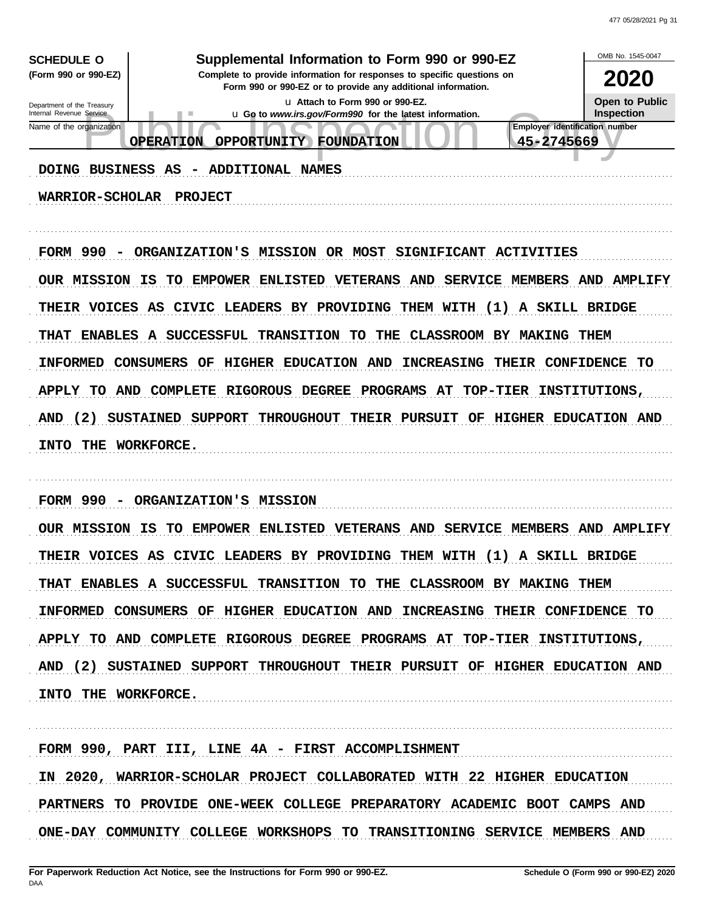| <b>SCHEDULE O</b><br>(Form 990 or 990-EZ)<br>Department of the Treasury<br>Internal Revenue Service<br>Name of the organization<br>DOING BUSINESS AS<br><b>WARRIOR-SCHOLAR</b> | Supplemental Information to Form 990 or 990-EZ<br>Complete to provide information for responses to specific questions on<br>Form 990 or 990-EZ or to provide any additional information.<br>u Attach to Form 990 or 990-EZ.<br>u Go to www.irs.gov/Form990 for the latest information.<br>٠<br>OPPORTUNITY FOUNDATION<br><b>OPERATION</b><br>- ADDITIONAL NAMES<br><b>PROJECT</b>                                                                                                               |                   | OMB No. 1545-0047<br>2020<br>Open to Public<br><b>Inspection</b><br>Employer identification number<br>45-2745669 |
|--------------------------------------------------------------------------------------------------------------------------------------------------------------------------------|-------------------------------------------------------------------------------------------------------------------------------------------------------------------------------------------------------------------------------------------------------------------------------------------------------------------------------------------------------------------------------------------------------------------------------------------------------------------------------------------------|-------------------|------------------------------------------------------------------------------------------------------------------|
| FORM 990 -<br><b>INFORMED</b><br>(2)<br>AND<br>INTO THE WORKFORCE.                                                                                                             | ORGANIZATION'S MISSION OR MOST SIGNIFICANT ACTIVITIES<br>OUR MISSION IS TO EMPOWER ENLISTED VETERANS AND SERVICE MEMBERS AND AMPLIFY<br>THEIR VOICES AS CIVIC LEADERS BY PROVIDING THEM WITH (1) A SKILL BRIDGE<br>THAT ENABLES A SUCCESSFUL TRANSITION TO THE CLASSROOM BY MAKING THEM<br>CONSUMERS OF<br>HIGHER EDUCATION AND<br>APPLY TO AND COMPLETE RIGOROUS DEGREE PROGRAMS AT TOP-TIER INSTITUTIONS,<br>SUSTAINED SUPPORT THROUGHOUT THEIR PURSUIT OF HIGHER EDUCATION AND               | <b>INCREASING</b> | THEIR CONFIDENCE TO                                                                                              |
| FORM 990 -<br>INTO THE WORKFORCE.                                                                                                                                              | ORGANIZATION'S MISSION<br>OUR MISSION IS TO EMPOWER ENLISTED VETERANS AND SERVICE MEMBERS AND AMPLIFY<br>THEIR VOICES AS CIVIC LEADERS BY PROVIDING THEM WITH (1) A SKILL BRIDGE<br>THAT ENABLES A SUCCESSFUL TRANSITION TO THE CLASSROOM BY MAKING THEM<br>INFORMED CONSUMERS OF HIGHER EDUCATION AND INCREASING THEIR CONFIDENCE TO<br>APPLY TO AND COMPLETE RIGOROUS DEGREE PROGRAMS AT TOP-TIER INSTITUTIONS,<br>AND (2) SUSTAINED SUPPORT THROUGHOUT THEIR PURSUIT OF HIGHER EDUCATION AND |                   |                                                                                                                  |
|                                                                                                                                                                                | FORM 990, PART III, LINE 4A - FIRST ACCOMPLISHMENT<br>IN 2020, WARRIOR-SCHOLAR PROJECT COLLABORATED WITH 22 HIGHER EDUCATION<br>PARTNERS TO PROVIDE ONE-WEEK COLLEGE PREPARATORY ACADEMIC BOOT CAMPS AND                                                                                                                                                                                                                                                                                        |                   |                                                                                                                  |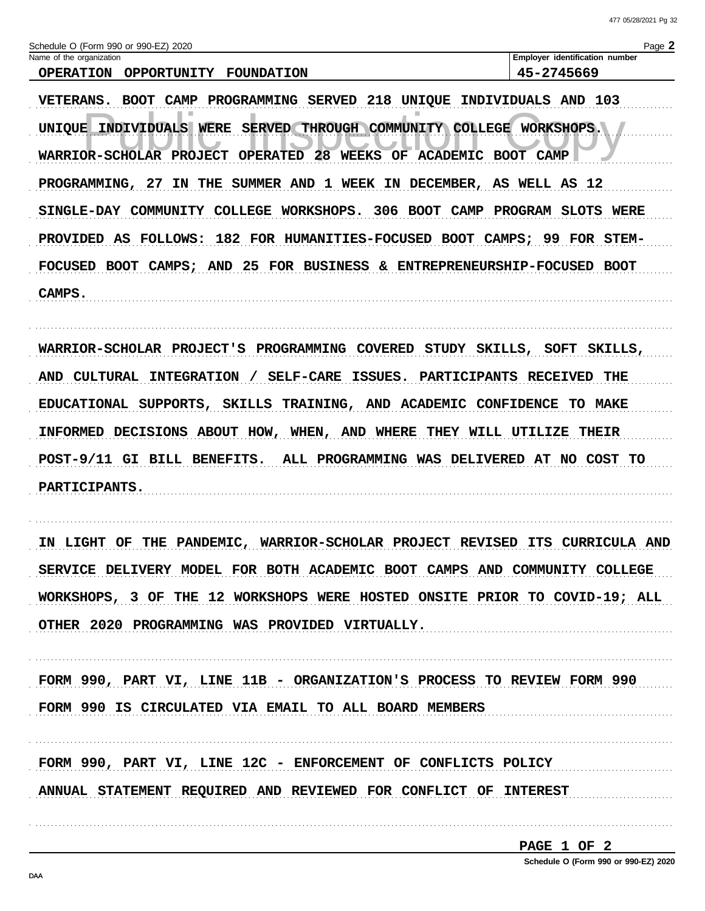| Schedule O (Form 990 or 990-EZ) 2020 |  |  |
|--------------------------------------|--|--|
|                                      |  |  |

| Schedule O (Form 990 or 990-EZ) 2020<br>$P$ age |             |                                       |  |                      |  |  |
|-------------------------------------------------|-------------|---------------------------------------|--|----------------------|--|--|
| Name of the organization                        |             | <b>Employer identification number</b> |  |                      |  |  |
| <b>OPERATION</b>                                | OPPORTUNITY | FOUNDATION                            |  | -2745669<br>$45 - 1$ |  |  |

VETERANS. BOOT CAMP PROGRAMMING SERVED 218 UNIQUE INDIVIDUALS AND 103 UNIQUE INDIVIDUALS WERE SERVED THROUGH COMMUNITY COLLEGE WORKSHOPS. WARRIOR-SCHOLAR PROJECT OPERATED 28 WEEKS OF ACADEMIC BOOT CAMP PROGRAMMING, 27 IN THE SUMMER AND 1 WEEK IN DECEMBER, AS WELL AS 12 SINGLE-DAY COMMUNITY COLLEGE WORKSHOPS. 306 BOOT CAMP PROGRAM SLOTS WERE PROVIDED AS FOLLOWS: 182 FOR HUMANITIES-FOCUSED BOOT CAMPS; 99 FOR STEM-FOCUSED BOOT CAMPS; AND 25 FOR BUSINESS & ENTREPRENEURSHIP-FOCUSED BOOT CAMPS.

WARRIOR-SCHOLAR PROJECT'S PROGRAMMING COVERED STUDY SKILLS, SOFT SKILLS, AND CULTURAL INTEGRATION / SELF-CARE ISSUES. PARTICIPANTS RECEIVED THE EDUCATIONAL SUPPORTS, SKILLS TRAINING, AND ACADEMIC CONFIDENCE TO MAKE INFORMED DECISIONS ABOUT HOW, WHEN, AND WHERE THEY WILL UTILIZE THEIR POST-9/11 GI BILL BENEFITS. ALL PROGRAMMING WAS DELIVERED AT NO COST TO **PARTICIPANTS.** 

IN LIGHT OF THE PANDEMIC, WARRIOR-SCHOLAR PROJECT REVISED ITS CURRICULA AND SERVICE DELIVERY MODEL FOR BOTH ACADEMIC BOOT CAMPS AND COMMUNITY COLLEGE WORKSHOPS, 3 OF THE 12 WORKSHOPS WERE HOSTED ONSITE PRIOR TO COVID-19; ALL OTHER 2020 PROGRAMMING WAS PROVIDED VIRTUALLY.

FORM 990, PART VI, LINE 11B - ORGANIZATION'S PROCESS TO REVIEW FORM 990 FORM 990 IS CIRCULATED VIA EMAIL TO ALL BOARD MEMBERS

FORM 990, PART VI, LINE 12C - ENFORCEMENT OF CONFLICTS POLICY ANNUAL STATEMENT REQUIRED AND REVIEWED FOR CONFLICT OF INTEREST

```
PAGE 1 OF 2
```